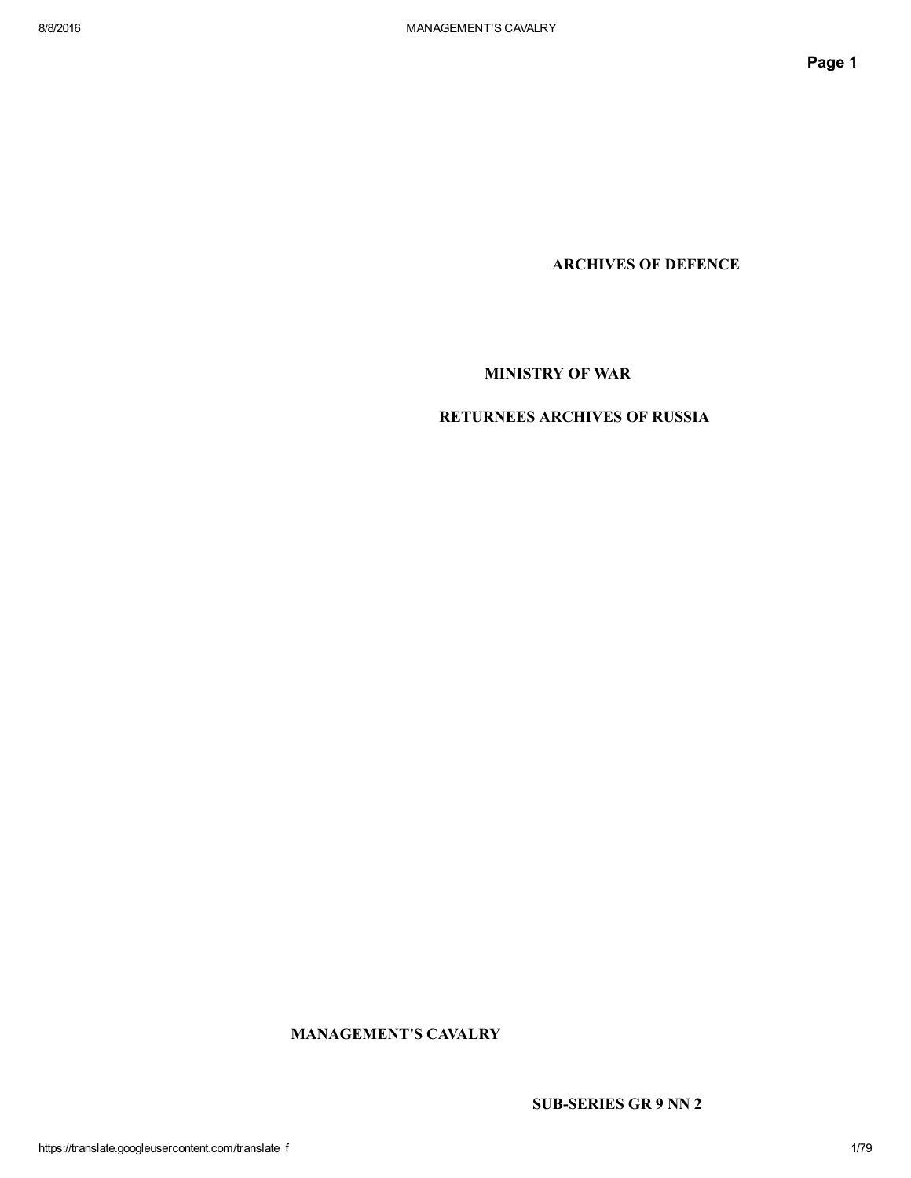ARCHIVES OF DEFENCE

MINISTRY OF WAR

# RETURNEES ARCHIVES OF RUSSIA

MANAGEMENT'S CAVALRY

SUB-SERIES GR 9 NN 2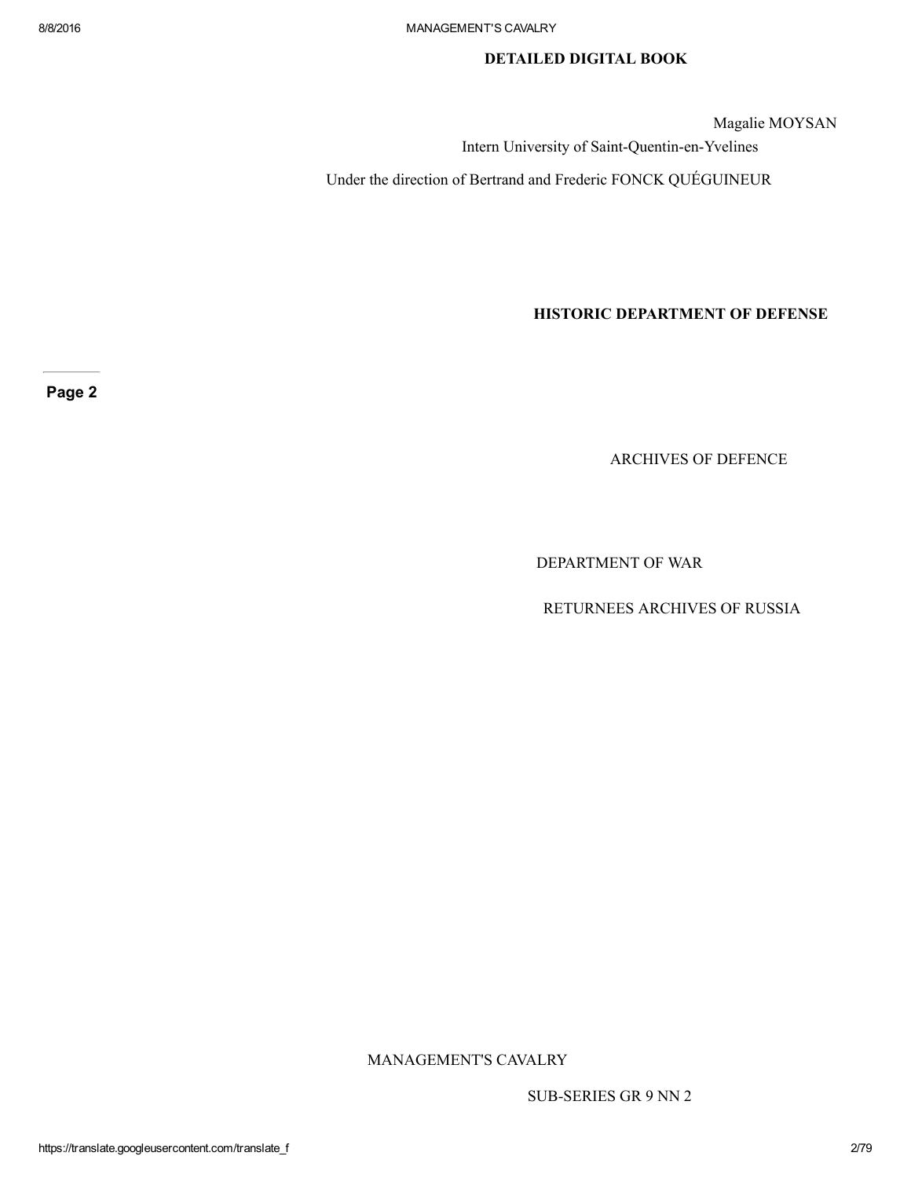## DETAILED DIGITAL BOOK

Magalie MOYSAN

Intern University of Saint-Quentin-en-Yvelines

Under the direction of Bertrand and Frederic FONCK QUÉGUINEUR

HISTORIC DEPARTMENT OF DEFENSE

Page 2

ARCHIVES OF DEFENCE

DEPARTMENT OF WAR

RETURNEES ARCHIVES OF RUSSIA

MANAGEMENT'S CAVALRY

SUB-SERIES GR 9 NN 2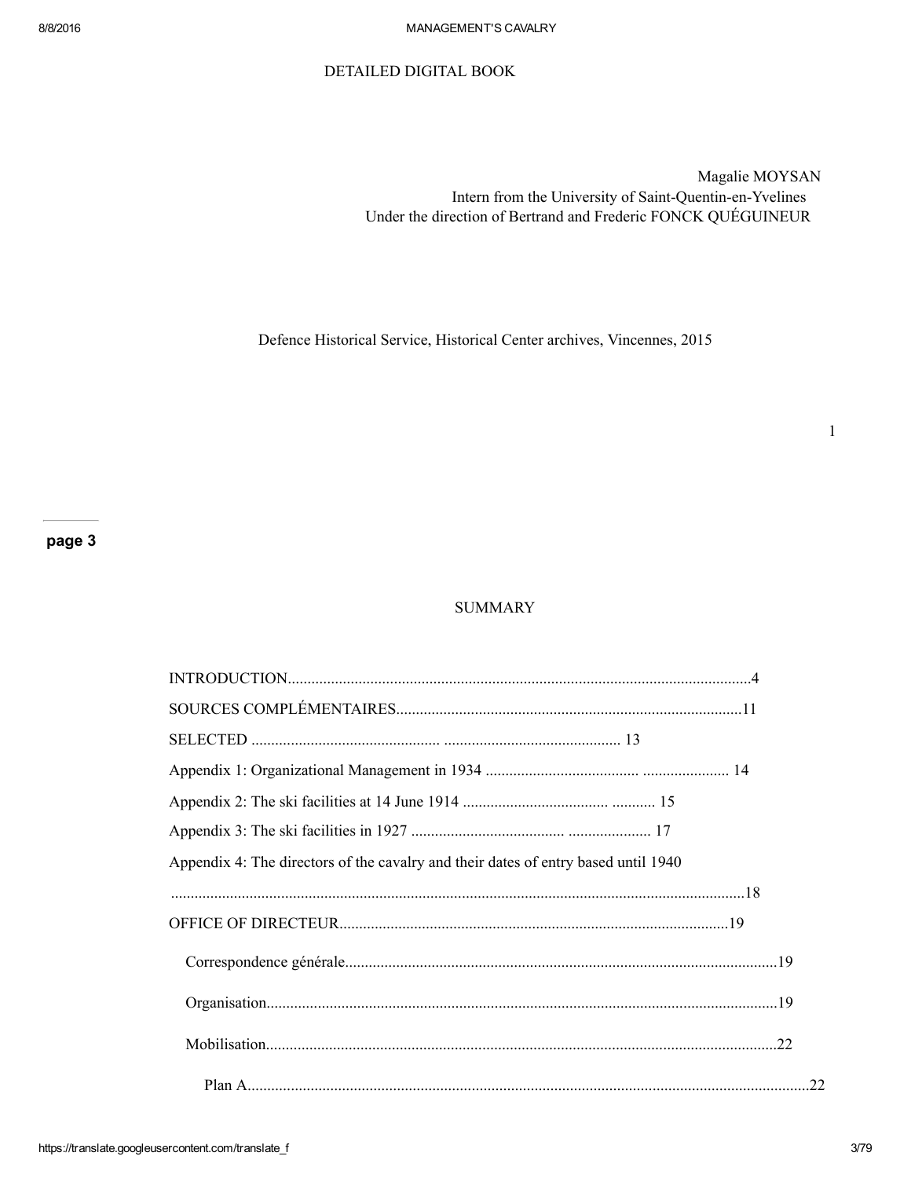### DETAILED DIGITAL BOOK

Magalie MOYSAN Intern from the University of Saint-Quentin-en-Yvelines Under the direction of Bertrand and Frederic FONCK QUÉGUINEUR

Defence Historical Service, Historical Center archives, Vincennes, 2015

## **SUMMARY**

| Appendix 4: The directors of the cavalry and their dates of entry based until 1940 |    |  |
|------------------------------------------------------------------------------------|----|--|
|                                                                                    |    |  |
|                                                                                    |    |  |
|                                                                                    |    |  |
|                                                                                    |    |  |
|                                                                                    |    |  |
|                                                                                    | 22 |  |

1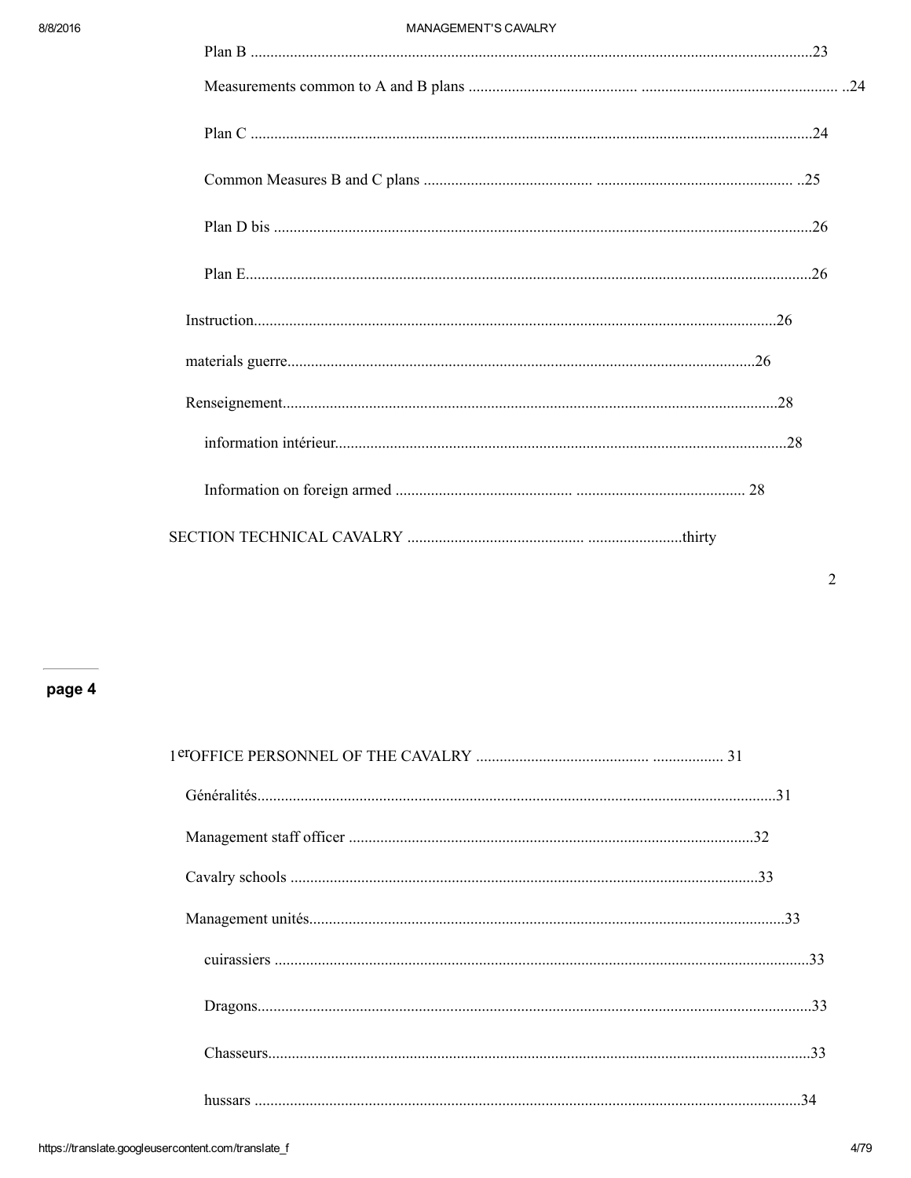#### MANAGEMENT'S CAVALRY

# page 4

| 34 |
|----|
|    |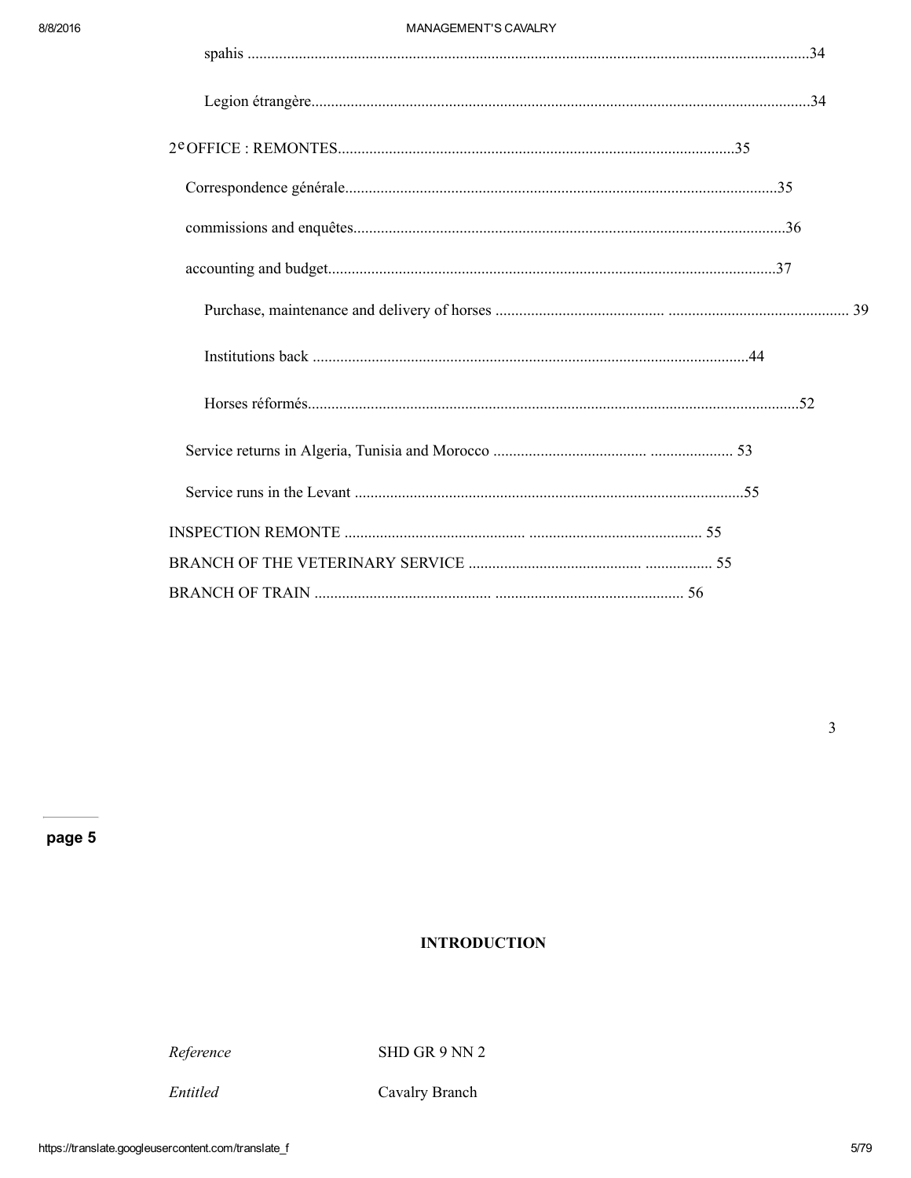# **INTRODUCTION**

Reference

SHD GR 9 NN 2

Cavalry Branch

 $\overline{\mathbf{3}}$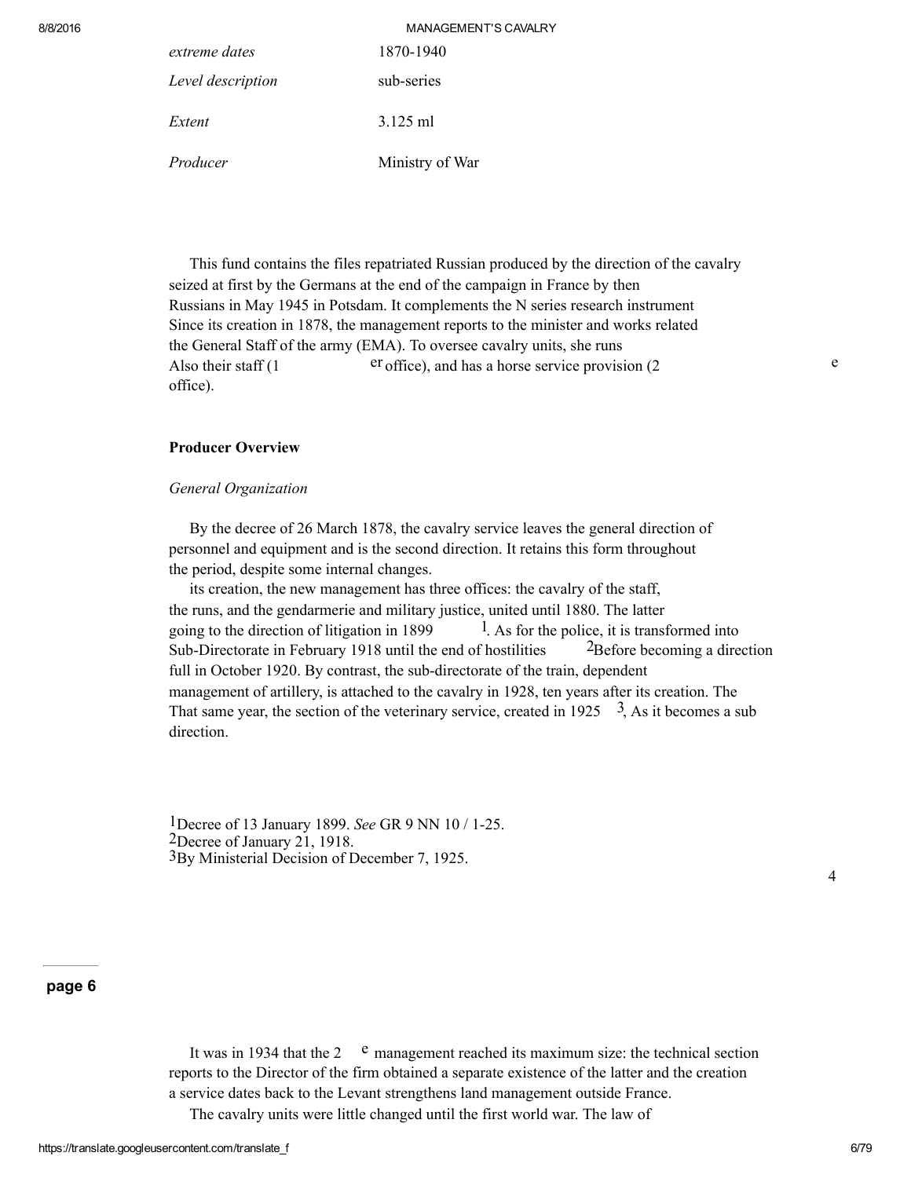| 8/8/2016 |                   | <b>MANAGEMENT'S CAVALRY</b> |
|----------|-------------------|-----------------------------|
|          | extreme dates     | 1870-1940                   |
|          | Level description | sub-series                  |
|          | Extent            | $3.125$ ml                  |
|          | Producer          | Ministry of War             |

This fund contains the files repatriated Russian produced by the direction of the cavalry seized at first by the Germans at the end of the campaign in France by then Russians in May 1945 in Potsdam. It complements the N series research instrument Since its creation in 1878, the management reports to the minister and works related the General Staff of the army (EMA). To oversee cavalry units, she runs Also their staff (1 er office), and has a horse service provision (2 office).

### Producer Overview

#### General Organization

By the decree of 26 March 1878, the cavalry service leaves the general direction of personnel and equipment and is the second direction. It retains this form throughout the period, despite some internal changes.

its creation, the new management has three offices: the cavalry of the staff, the runs, and the gendarmerie and military justice, united until 1880. The latter going to the direction of litigation in 1899  $1.$  As for the police, it is transformed into Sub-Directorate in February 1918 until the end of hostilities  $2B$  and  $2B$  and  $2B$ full in October 1920. By contrast, the sub-directorate of the train, dependent management of artillery, is attached to the cavalry in 1928, ten years after its creation. The That same year, the section of the veterinary service, created in 1925  $\frac{3}{2}$ , As it becomes a sub direction.

<sup>1</sup>Decree of 13 January 1899. See GR 9 NN 10 / 1-25. 2Decree of January 21, 1918. 3By Ministerial Decision of December 7, 1925.

4

e

## page 6

It was in 1934 that the 2  $\degree$  management reached its maximum size: the technical section reports to the Director of the firm obtained a separate existence of the latter and the creation a service dates back to the Levant strengthens land management outside France. The cavalry units were little changed until the first world war. The law of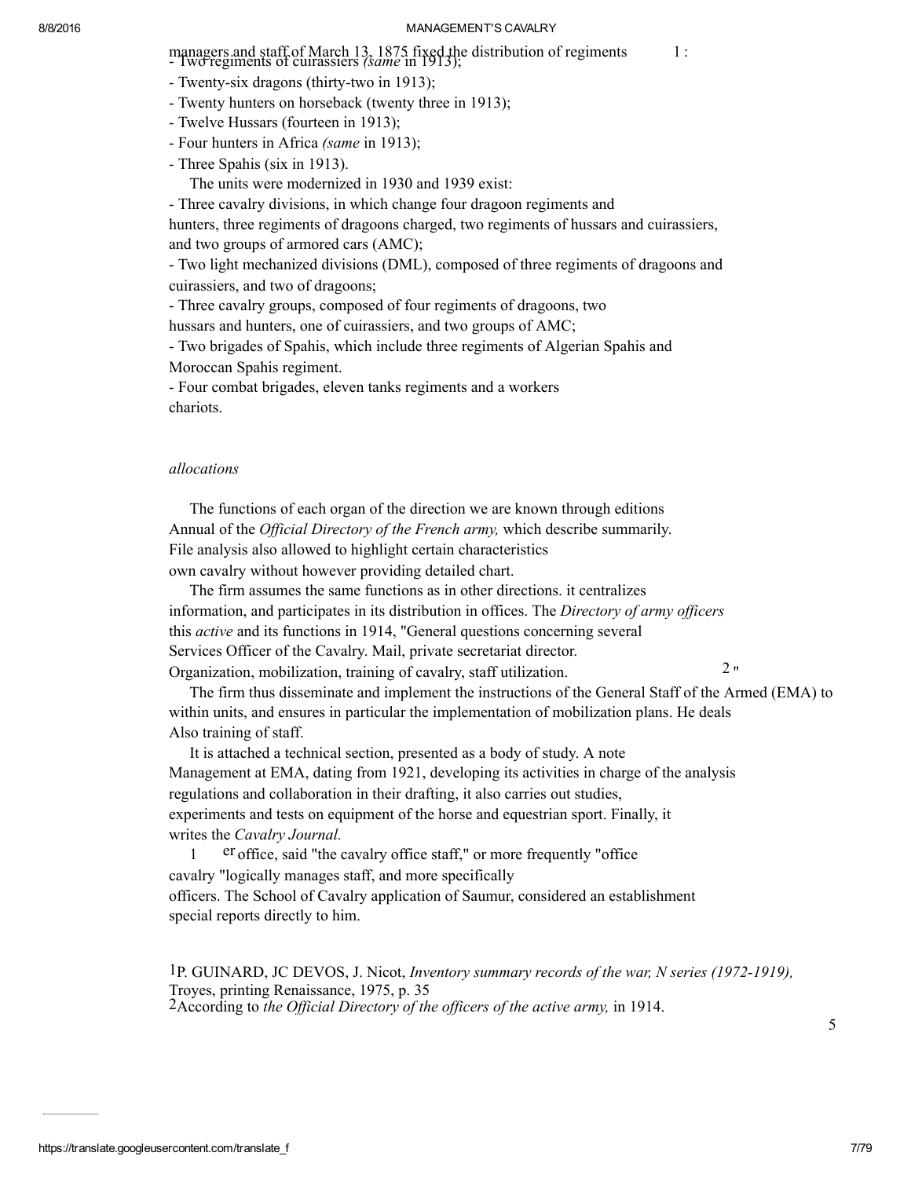managers and staff of March 13, 1875 fixed the distribution of regiments 1:<br>- Iwo regiments of cuirassiers *(same* in 1913);

- Twenty-six dragons (thirty-two in 1913);
- Twenty hunters on horseback (twenty three in 1913);
- Twelve Hussars (fourteen in 1913);
- Four hunters in Africa (same in 1913);
- Three Spahis (six in 1913).

The units were modernized in 1930 and 1939 exist:

Three cavalry divisions, in which change four dragoon regiments and

hunters, three regiments of dragoons charged, two regiments of hussars and cuirassiers, and two groups of armored cars (AMC);

 Two light mechanized divisions (DML), composed of three regiments of dragoons and cuirassiers, and two of dragoons;

Three cavalry groups, composed of four regiments of dragoons, two

hussars and hunters, one of cuirassiers, and two groups of AMC;

Two brigades of Spahis, which include three regiments of Algerian Spahis and

Moroccan Spahis regiment.

 Four combat brigades, eleven tanks regiments and a workers chariots.

#### allocations

The functions of each organ of the direction we are known through editions Annual of the *Official Directory of the French army*, which describe summarily. File analysis also allowed to highlight certain characteristics own cavalry without however providing detailed chart.

The firm assumes the same functions as in other directions. it centralizes information, and participates in its distribution in offices. The Directory of army officers this active and its functions in 1914, "General questions concerning several Services Officer of the Cavalry. Mail, private secretariat director. Organization, mobilization, training of cavalry, staff utilization.

The firm thus disseminate and implement the instructions of the General Staff of the Armed (EMA) to within units, and ensures in particular the implementation of mobilization plans. He deals Also training of staff.

It is attached a technical section, presented as a body of study. A note Management at EMA, dating from 1921, developing its activities in charge of the analysis regulations and collaboration in their drafting, it also carries out studies, experiments and tests on equipment of the horse and equestrian sport. Finally, it writes the Cavalry Journal.

1 er office, said "the cavalry office staff," or more frequently "office cavalry "logically manages staff, and more specifically officers. The School of Cavalry application of Saumur, considered an establishment special reports directly to him.

1P. GUINARD, JC DEVOS, J. Nicot, Inventory summary records of the war, N series (19721919), Troyes, printing Renaissance, 1975, p. 35  $2$ According to the Official Directory of the officers of the active army, in 1914.

5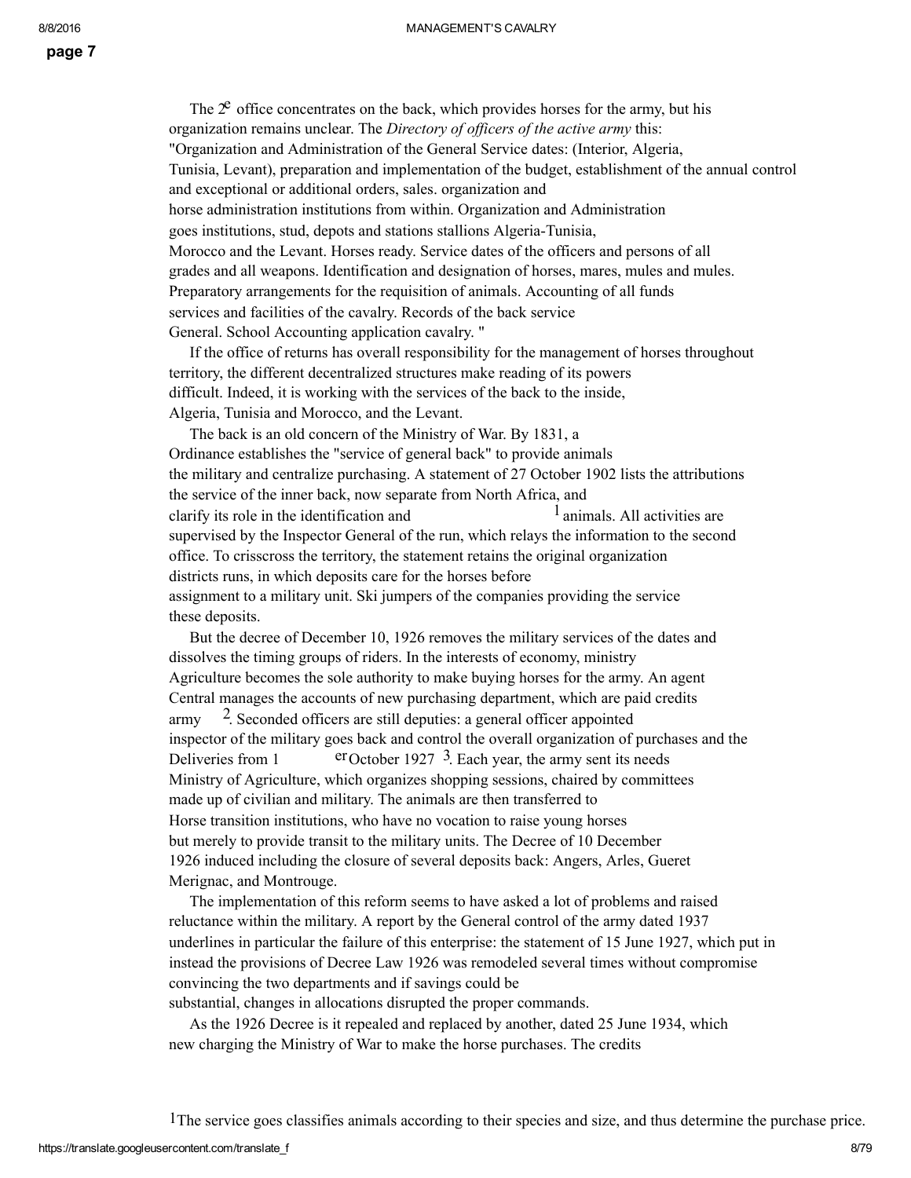The  $2^e$  office concentrates on the back, which provides horses for the army, but his organization remains unclear. The Directory of officers of the active army this: "Organization and Administration of the General Service dates: (Interior, Algeria, Tunisia, Levant), preparation and implementation of the budget, establishment of the annual control and exceptional or additional orders, sales. organization and horse administration institutions from within. Organization and Administration goes institutions, stud, depots and stations stallions Algeria-Tunisia, Morocco and the Levant. Horses ready. Service dates of the officers and persons of all grades and all weapons. Identification and designation of horses, mares, mules and mules. Preparatory arrangements for the requisition of animals. Accounting of all funds services and facilities of the cavalry. Records of the back service General. School Accounting application cavalry. "

If the office of returns has overall responsibility for the management of horses throughout territory, the different decentralized structures make reading of its powers difficult. Indeed, it is working with the services of the back to the inside, Algeria, Tunisia and Morocco, and the Levant.

The back is an old concern of the Ministry of War. By 1831, a Ordinance establishes the "service of general back" to provide animals the military and centralize purchasing. A statement of 27 October 1902 lists the attributions the service of the inner back, now separate from North Africa, and clarify its role in the identification and 1animals. All activities are supervised by the Inspector General of the run, which relays the information to the second office. To crisscross the territory, the statement retains the original organization districts runs, in which deposits care for the horses before assignment to a military unit. Ski jumpers of the companies providing the service these deposits.

But the decree of December 10, 1926 removes the military services of the dates and dissolves the timing groups of riders. In the interests of economy, ministry Agriculture becomes the sole authority to make buying horses for the army. An agent Central manages the accounts of new purchasing department, which are paid credits army 2. Seconded officers are still deputies: a general officer appointed inspector of the military goes back and control the overall organization of purchases and the Deliveries from 1 erOctober 1927 3. Each year, the army sent its needs Ministry of Agriculture, which organizes shopping sessions, chaired by committees made up of civilian and military. The animals are then transferred to Horse transition institutions, who have no vocation to raise young horses but merely to provide transit to the military units. The Decree of 10 December 1926 induced including the closure of several deposits back: Angers, Arles, Gueret Merignac, and Montrouge.

The implementation of this reform seems to have asked a lot of problems and raised reluctance within the military. A report by the General control of the army dated 1937 underlines in particular the failure of this enterprise: the statement of 15 June 1927, which put in instead the provisions of Decree Law 1926 was remodeled several times without compromise convincing the two departments and if savings could be substantial, changes in allocations disrupted the proper commands.

As the 1926 Decree is it repealed and replaced by another, dated 25 June 1934, which new charging the Ministry of War to make the horse purchases. The credits

1The service goes classifies animals according to their species and size, and thus determine the purchase price.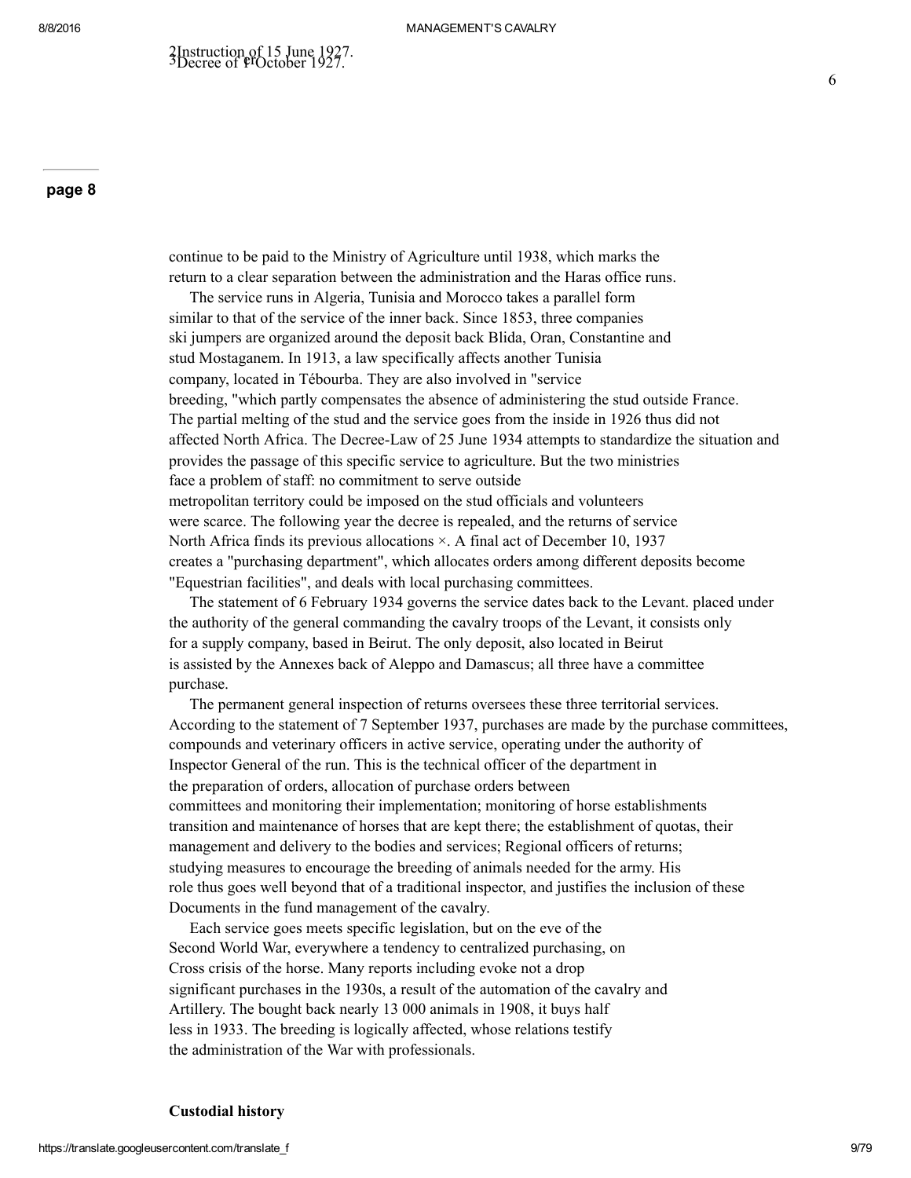continue to be paid to the Ministry of Agriculture until 1938, which marks the return to a clear separation between the administration and the Haras office runs.

The service runs in Algeria, Tunisia and Morocco takes a parallel form similar to that of the service of the inner back. Since 1853, three companies ski jumpers are organized around the deposit back Blida, Oran, Constantine and stud Mostaganem. In 1913, a law specifically affects another Tunisia company, located in Tébourba. They are also involved in "service breeding, "which partly compensates the absence of administering the stud outside France. The partial melting of the stud and the service goes from the inside in 1926 thus did not affected North Africa. The DecreeLaw of 25 June 1934 attempts to standardize the situation and provides the passage of this specific service to agriculture. But the two ministries face a problem of staff: no commitment to serve outside metropolitan territory could be imposed on the stud officials and volunteers were scarce. The following year the decree is repealed, and the returns of service North Africa finds its previous allocations  $\times$ . A final act of December 10, 1937 creates a "purchasing department", which allocates orders among different deposits become "Equestrian facilities", and deals with local purchasing committees.

The statement of 6 February 1934 governs the service dates back to the Levant. placed under the authority of the general commanding the cavalry troops of the Levant, it consists only for a supply company, based in Beirut. The only deposit, also located in Beirut is assisted by the Annexes back of Aleppo and Damascus; all three have a committee purchase.

The permanent general inspection of returns oversees these three territorial services. According to the statement of 7 September 1937, purchases are made by the purchase committees, compounds and veterinary officers in active service, operating under the authority of Inspector General of the run. This is the technical officer of the department in the preparation of orders, allocation of purchase orders between committees and monitoring their implementation; monitoring of horse establishments transition and maintenance of horses that are kept there; the establishment of quotas, their management and delivery to the bodies and services; Regional officers of returns; studying measures to encourage the breeding of animals needed for the army. His role thus goes well beyond that of a traditional inspector, and justifies the inclusion of these Documents in the fund management of the cavalry.

Each service goes meets specific legislation, but on the eve of the Second World War, everywhere a tendency to centralized purchasing, on Cross crisis of the horse. Many reports including evoke not a drop significant purchases in the 1930s, a result of the automation of the cavalry and Artillery. The bought back nearly 13 000 animals in 1908, it buys half less in 1933. The breeding is logically affected, whose relations testify the administration of the War with professionals.

#### Custodial history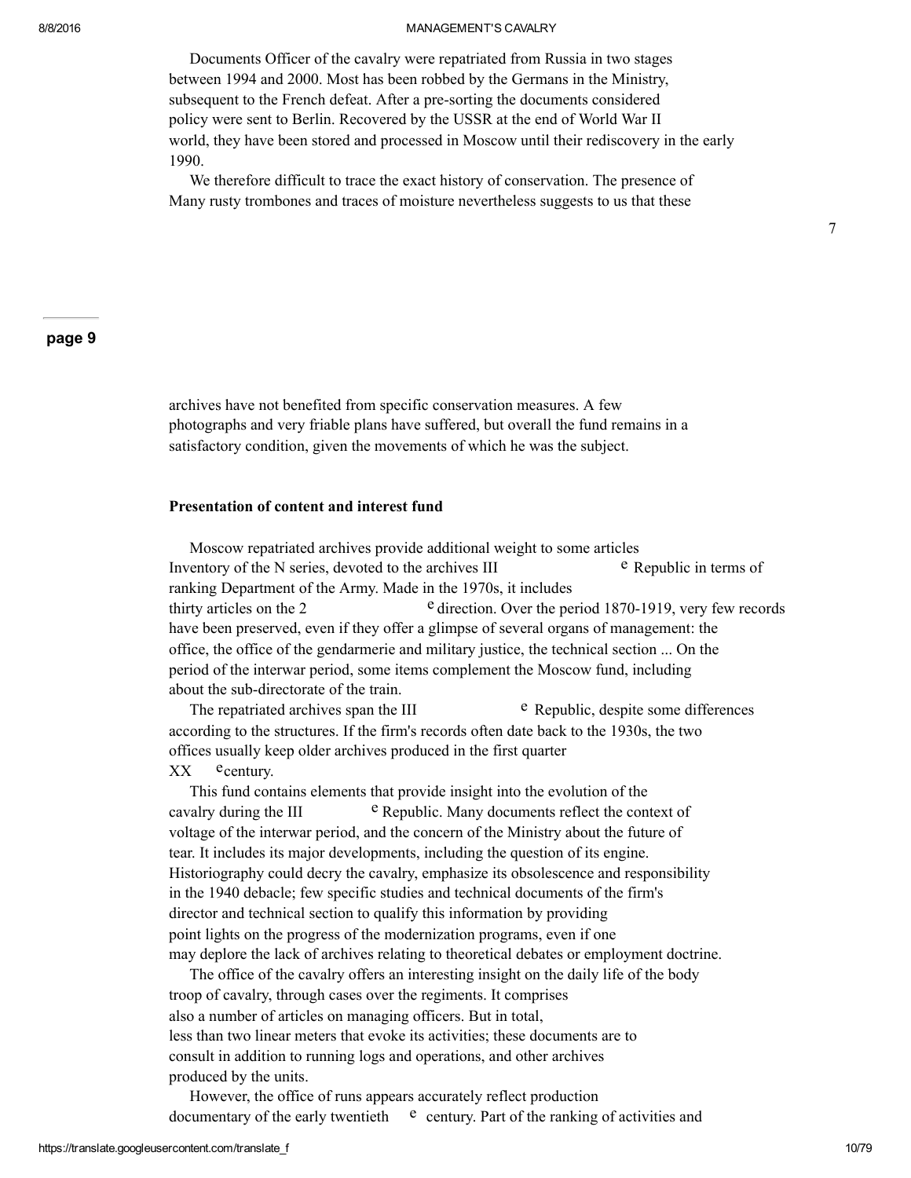Documents Officer of the cavalry were repatriated from Russia in two stages between 1994 and 2000. Most has been robbed by the Germans in the Ministry, subsequent to the French defeat. After a pre-sorting the documents considered policy were sent to Berlin. Recovered by the USSR at the end of World War II world, they have been stored and processed in Moscow until their rediscovery in the early 1990.

We therefore difficult to trace the exact history of conservation. The presence of Many rusty trombones and traces of moisture nevertheless suggests to us that these

### page 9

archives have not benefited from specific conservation measures. A few photographs and very friable plans have suffered, but overall the fund remains in a satisfactory condition, given the movements of which he was the subject.

#### Presentation of content and interest fund

Moscow repatriated archives provide additional weight to some articles Inventory of the N series, devoted to the archives III  $\cdot$  Republic in terms of ranking Department of the Army. Made in the 1970s, it includes thirty articles on the 2  $e$  direction. Over the period 1870-1919, very few records have been preserved, even if they offer a glimpse of several organs of management: the office, the office of the gendarmerie and military justice, the technical section ... On the period of the interwar period, some items complement the Moscow fund, including about the sub-directorate of the train.

The repatriated archives span the III  $\cdot$  Republic, despite some differences according to the structures. If the firm's records often date back to the 1930s, the two offices usually keep older archives produced in the first quarter XX ecentury.

This fund contains elements that provide insight into the evolution of the cavalry during the III <sup>e</sup> Republic. Many documents reflect the context of voltage of the interwar period, and the concern of the Ministry about the future of tear. It includes its major developments, including the question of its engine. Historiography could decry the cavalry, emphasize its obsolescence and responsibility in the 1940 debacle; few specific studies and technical documents of the firm's director and technical section to qualify this information by providing point lights on the progress of the modernization programs, even if one may deplore the lack of archives relating to theoretical debates or employment doctrine.

The office of the cavalry offers an interesting insight on the daily life of the body troop of cavalry, through cases over the regiments. It comprises also a number of articles on managing officers. But in total, less than two linear meters that evoke its activities; these documents are to consult in addition to running logs and operations, and other archives produced by the units.

However, the office of runs appears accurately reflect production documentary of the early twentieth  $\epsilon$  century. Part of the ranking of activities and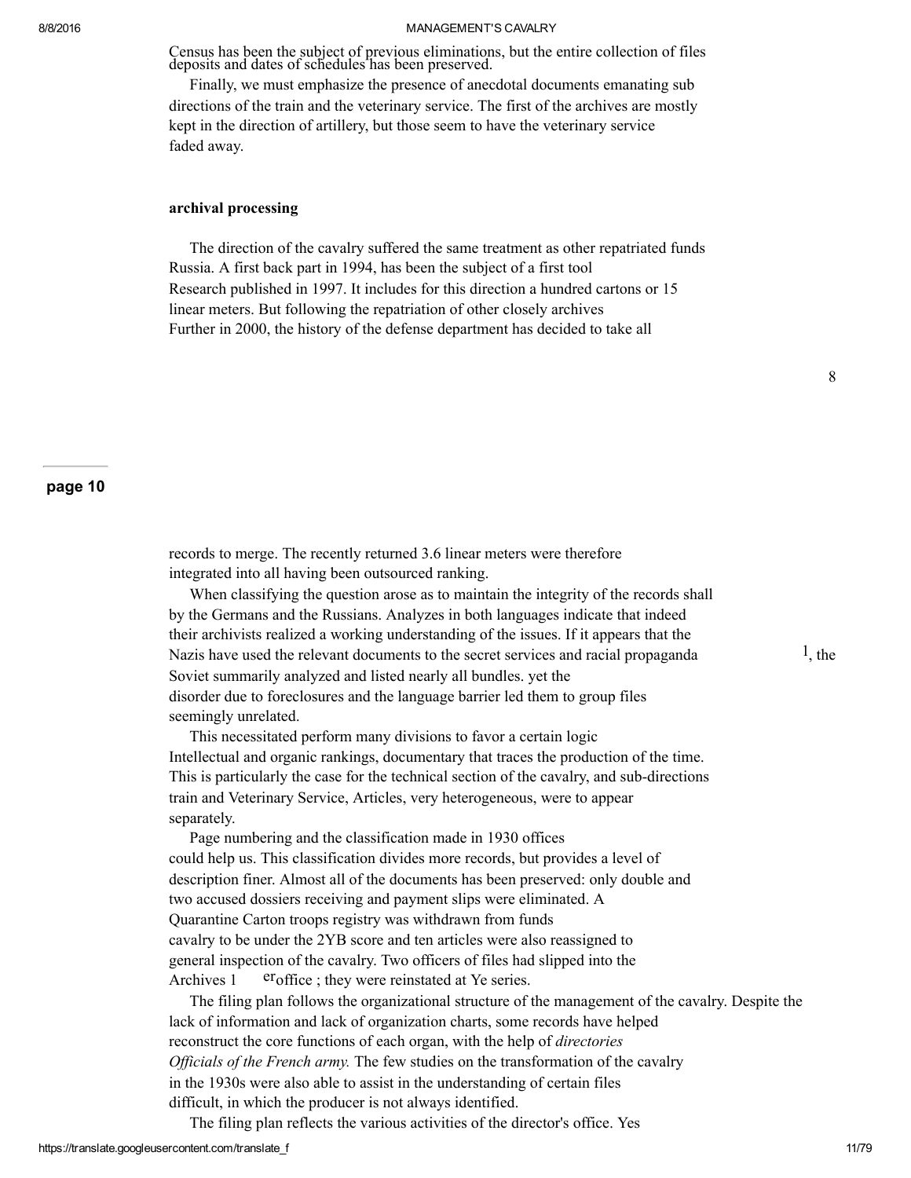Census has been the subject of previous eliminations, but the entire collection of files deposits and dates of schedules has been preserved.

Finally, we must emphasize the presence of anecdotal documents emanating sub directions of the train and the veterinary service. The first of the archives are mostly kept in the direction of artillery, but those seem to have the veterinary service faded away.

#### archival processing

The direction of the cavalry suffered the same treatment as other repatriated funds Russia. A first back part in 1994, has been the subject of a first tool Research published in 1997. It includes for this direction a hundred cartons or 15 linear meters. But following the repatriation of other closely archives Further in 2000, the history of the defense department has decided to take all

### page 10

records to merge. The recently returned 3.6 linear meters were therefore integrated into all having been outsourced ranking.

When classifying the question arose as to maintain the integrity of the records shall by the Germans and the Russians. Analyzes in both languages indicate that indeed their archivists realized a working understanding of the issues. If it appears that the Nazis have used the relevant documents to the secret services and racial propaganda  $1$ , the Soviet summarily analyzed and listed nearly all bundles. yet the disorder due to foreclosures and the language barrier led them to group files seemingly unrelated.

This necessitated perform many divisions to favor a certain logic Intellectual and organic rankings, documentary that traces the production of the time. This is particularly the case for the technical section of the cavalry, and sub-directions train and Veterinary Service, Articles, very heterogeneous, were to appear separately.

Page numbering and the classification made in 1930 offices could help us. This classification divides more records, but provides a level of description finer. Almost all of the documents has been preserved: only double and two accused dossiers receiving and payment slips were eliminated. A Quarantine Carton troops registry was withdrawn from funds cavalry to be under the 2YB score and ten articles were also reassigned to general inspection of the cavalry. Two officers of files had slipped into the Archives  $1$  er<sup>office</sup>; they were reinstated at Ye series.

The filing plan follows the organizational structure of the management of the cavalry. Despite the lack of information and lack of organization charts, some records have helped reconstruct the core functions of each organ, with the help of *directories* Officials of the French army. The few studies on the transformation of the cavalry in the 1930s were also able to assist in the understanding of certain files difficult, in which the producer is not always identified.

The filing plan reflects the various activities of the director's office. Yes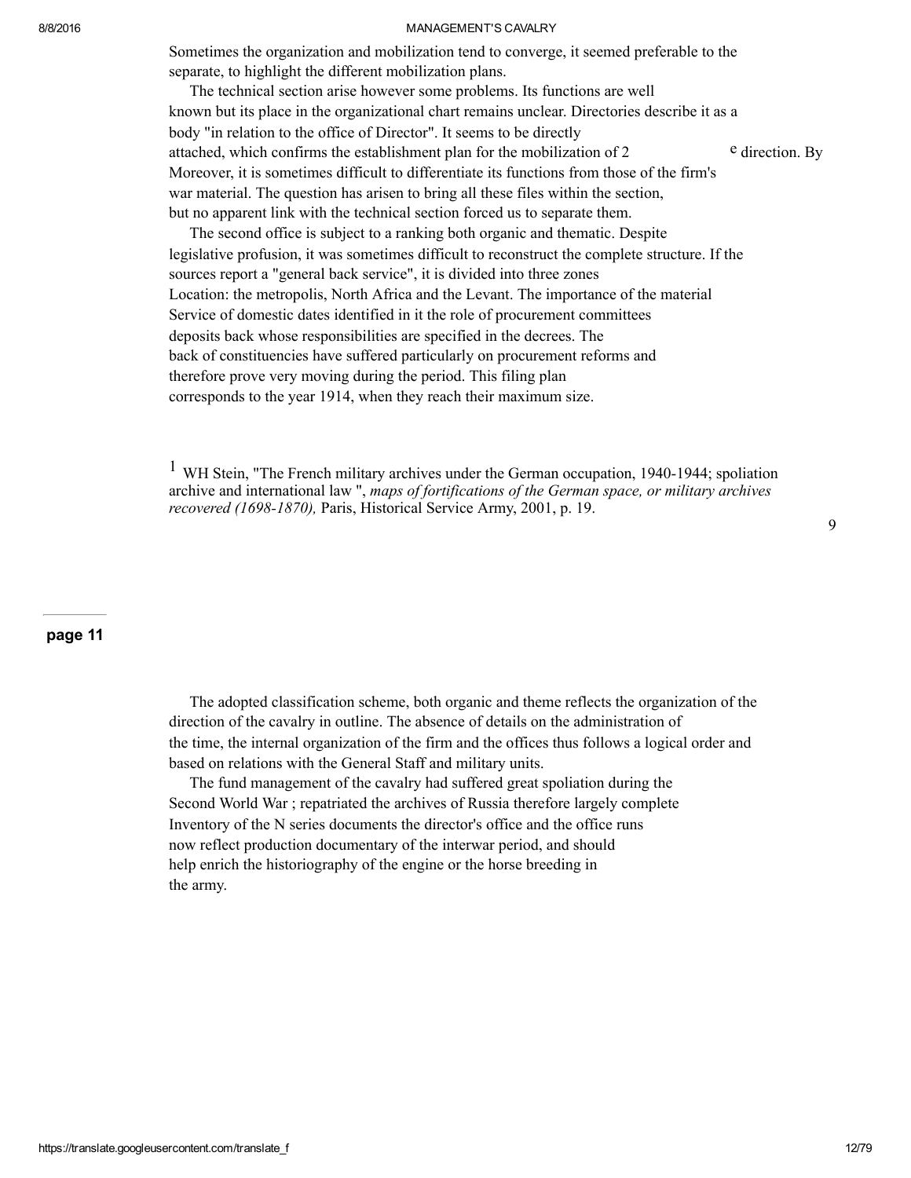Sometimes the organization and mobilization tend to converge, it seemed preferable to the separate, to highlight the different mobilization plans.

The technical section arise however some problems. Its functions are well known but its place in the organizational chart remains unclear. Directories describe it as a body "in relation to the office of Director". It seems to be directly attached, which confirms the establishment plan for the mobilization of 2 e direction. By Moreover, it is sometimes difficult to differentiate its functions from those of the firm's war material. The question has arisen to bring all these files within the section, but no apparent link with the technical section forced us to separate them.

The second office is subject to a ranking both organic and thematic. Despite legislative profusion, it was sometimes difficult to reconstruct the complete structure. If the sources report a "general back service", it is divided into three zones Location: the metropolis, North Africa and the Levant. The importance of the material Service of domestic dates identified in it the role of procurement committees deposits back whose responsibilities are specified in the decrees. The back of constituencies have suffered particularly on procurement reforms and therefore prove very moving during the period. This filing plan corresponds to the year 1914, when they reach their maximum size.

 $1$  WH Stein, "The French military archives under the German occupation, 1940-1944; spoliation archive and international law ", maps of fortifications of the German space, or military archives recovered (1698-1870), Paris, Historical Service Army, 2001, p. 19.

#### page 11

The adopted classification scheme, both organic and theme reflects the organization of the direction of the cavalry in outline. The absence of details on the administration of the time, the internal organization of the firm and the offices thus follows a logical order and based on relations with the General Staff and military units.

The fund management of the cavalry had suffered great spoliation during the Second World War ; repatriated the archives of Russia therefore largely complete Inventory of the N series documents the director's office and the office runs now reflect production documentary of the interwar period, and should help enrich the historiography of the engine or the horse breeding in the army.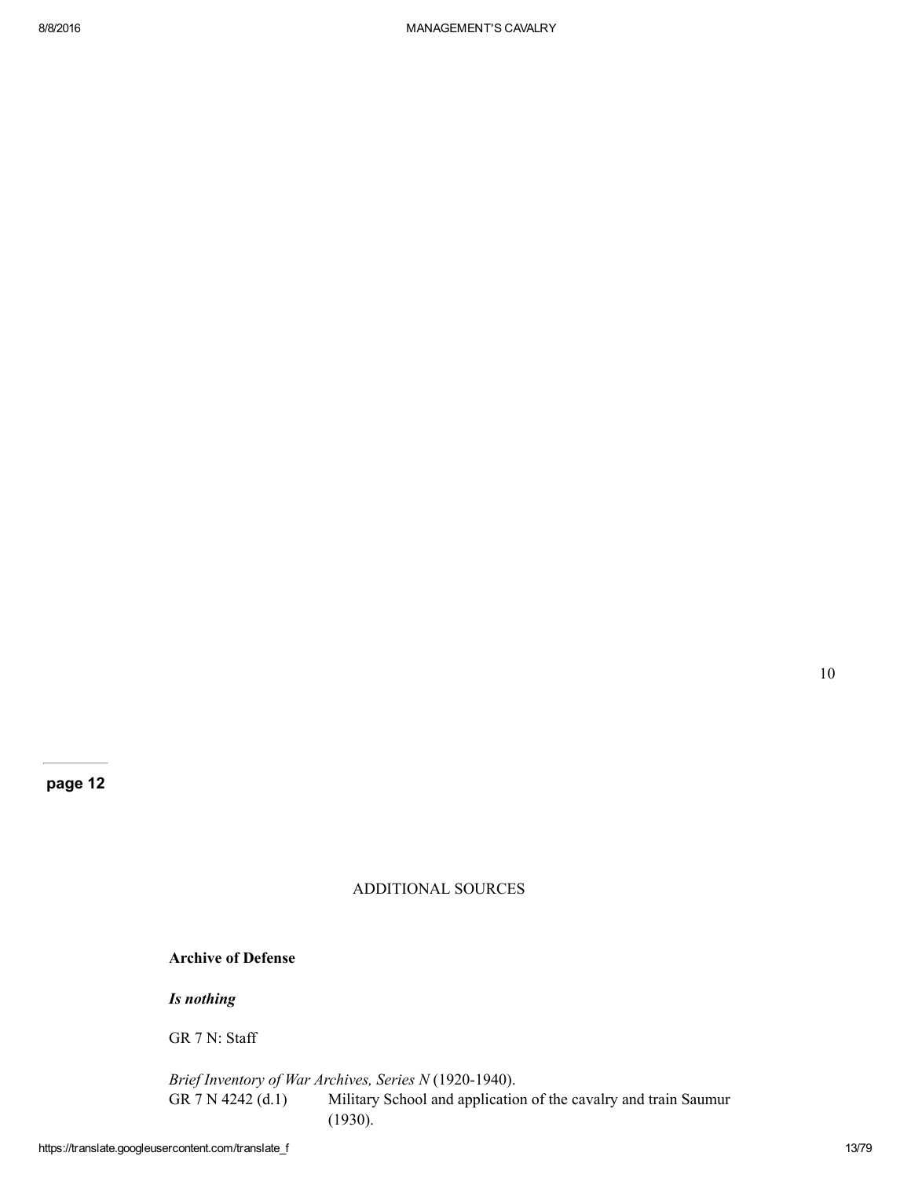## ADDITIONAL SOURCES

## Archive of Defense

Is nothing

GR 7 N: Staff

Brief Inventory of War Archives, Series  $N$  (1920-1940).<br>GR 7 N 4242 (d.1) Military School and application Military School and application of the cavalry and train Saumur (1930).

10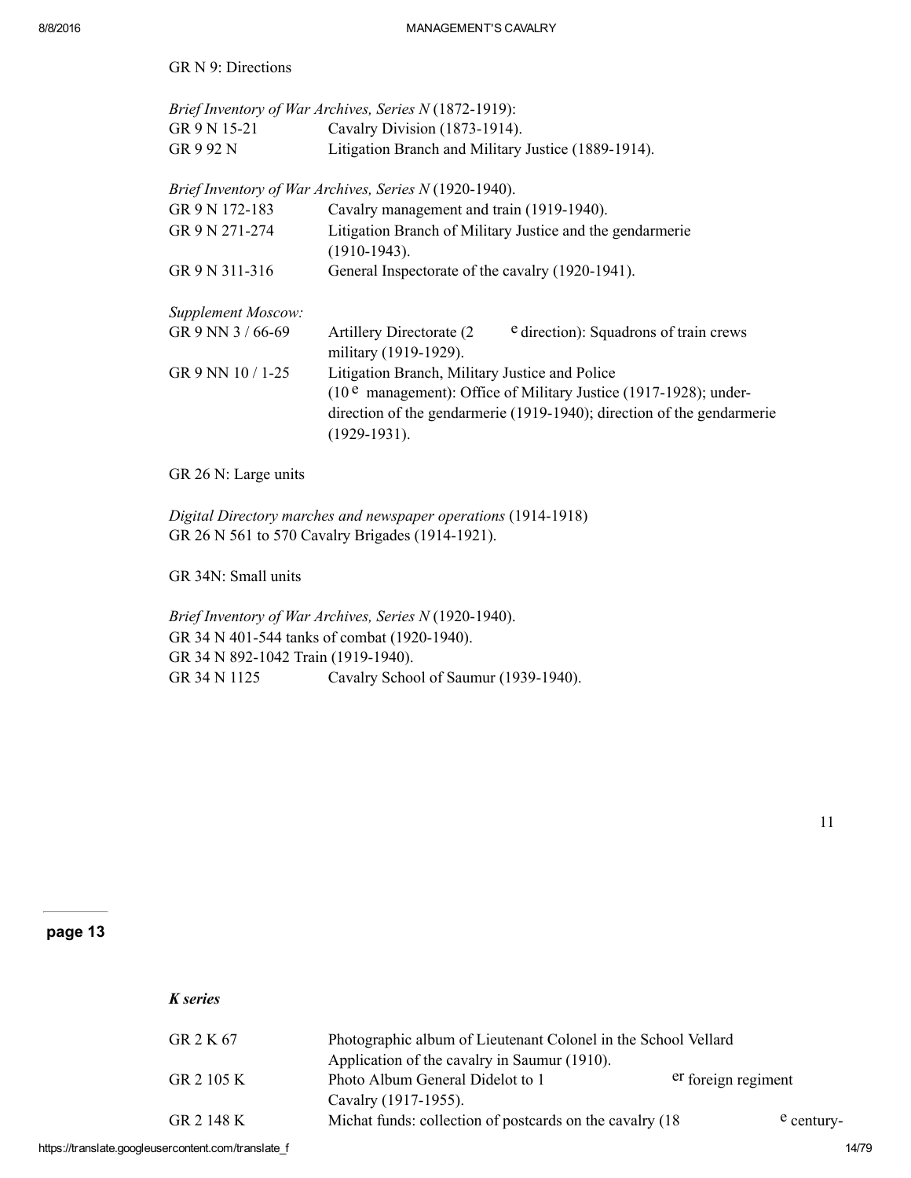GR N 9: Directions

|                           | Brief Inventory of War Archives, Series N (1872-1919):                                       |  |  |
|---------------------------|----------------------------------------------------------------------------------------------|--|--|
| GR 9 N 15-21              | Cavalry Division (1873-1914).                                                                |  |  |
| GR 9 92 N                 | Litigation Branch and Military Justice (1889-1914).                                          |  |  |
|                           | Brief Inventory of War Archives, Series N (1920-1940).                                       |  |  |
| GR 9 N 172-183            | Cavalry management and train (1919-1940).                                                    |  |  |
| GR 9 N 271-274            | Litigation Branch of Military Justice and the gendarmerie<br>$(1910-1943).$                  |  |  |
| GR 9 N 311-316            | General Inspectorate of the cavalry (1920-1941).                                             |  |  |
| <b>Supplement Moscow:</b> |                                                                                              |  |  |
| GR 9 NN 3 / 66-69         | e direction): Squadrons of train crews<br>Artillery Directorate (2)<br>military (1919-1929). |  |  |
| GR 9 NN 10 / 1-25         | Litigation Branch, Military Justice and Police                                               |  |  |
|                           | $(10^e$ management): Office of Military Justice (1917-1928); under-                          |  |  |
|                           | direction of the gendarmerie (1919-1940); direction of the gendarmerie<br>$(1929-1931).$     |  |  |

GR 26 N: Large units

Digital Directory marches and newspaper operations (1914-1918) GR 26 N 561 to 570 Cavalry Brigades (1914-1921).

GR 34N: Small units

Brief Inventory of War Archives, Series N (1920-1940). GR 34 N 401-544 tanks of combat (1920-1940). GR 34 N 892-1042 Train (1919-1940). GR 34 N 1125 Cavalry School of Saumur (1939-1940).

11

## page 13

K series

| GR 2 K 67  | Photographic album of Lieutenant Colonel in the School Vellard |                     |            |
|------------|----------------------------------------------------------------|---------------------|------------|
|            | Application of the cavalry in Saumur (1910).                   |                     |            |
| GR 2 105 K | Photo Album General Didelot to 1                               | er foreign regiment |            |
|            | Cavalry (1917-1955).                                           |                     |            |
| GR 2 148 K | Michat funds: collection of postcards on the cavalry (18)      |                     | e century- |

https://translate.googleusercontent.com/translate\_f 14/79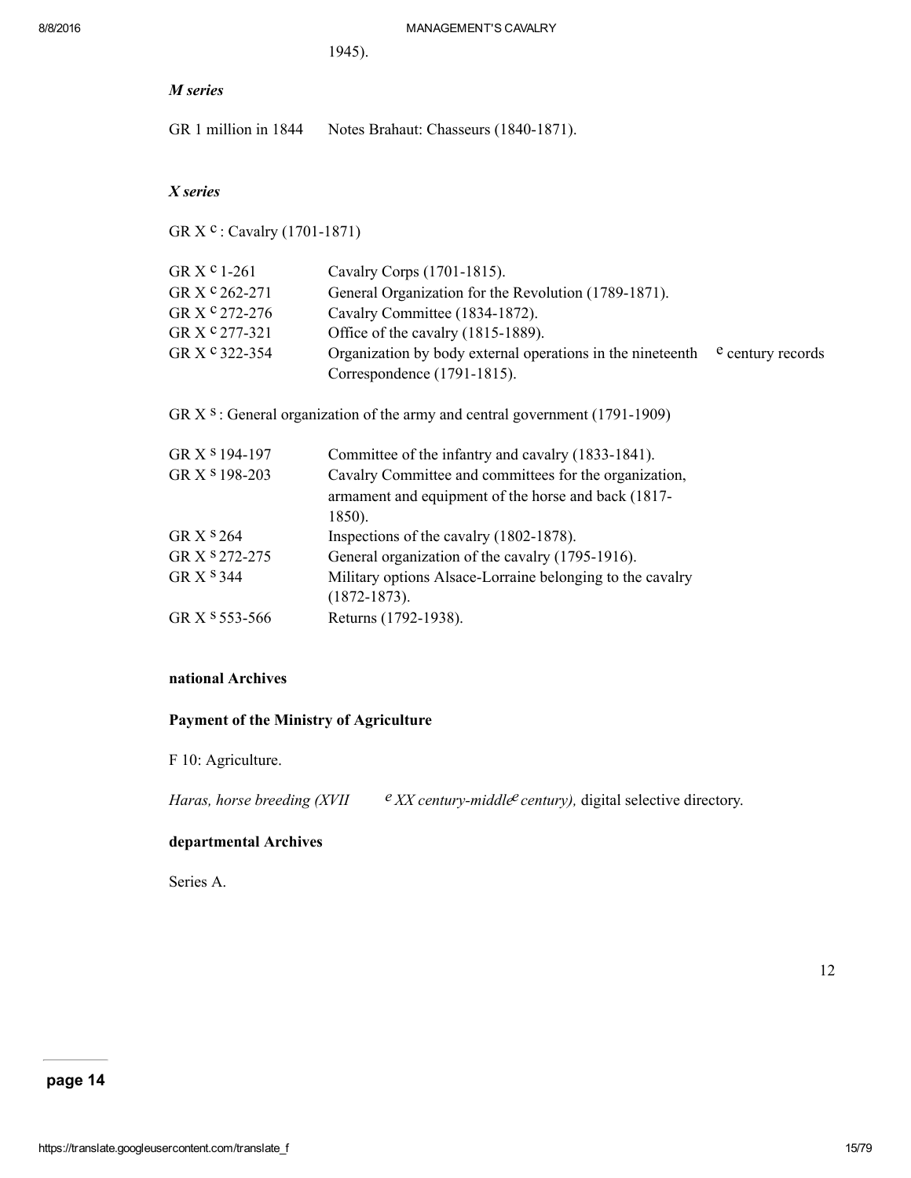1945).

| M series                                                                      |                                                            |                   |  |
|-------------------------------------------------------------------------------|------------------------------------------------------------|-------------------|--|
| GR 1 million in 1844                                                          | Notes Brahaut: Chasseurs (1840-1871).                      |                   |  |
|                                                                               |                                                            |                   |  |
| X series                                                                      |                                                            |                   |  |
| GR X <sup>c</sup> : Cavalry (1701-1871)                                       |                                                            |                   |  |
| GR $Xc$ 1-261                                                                 | Cavalry Corps (1701-1815).                                 |                   |  |
| GR X <sup>c</sup> 262-271                                                     | General Organization for the Revolution (1789-1871).       |                   |  |
| GR X <sup>c</sup> 272-276                                                     | Cavalry Committee (1834-1872).                             |                   |  |
| GR X <sup>c</sup> 277-321                                                     | Office of the cavalry (1815-1889).                         |                   |  |
| GR X <sup>c</sup> 322-354                                                     | Organization by body external operations in the nineteenth | e century records |  |
|                                                                               | Correspondence (1791-1815).                                |                   |  |
| GR $X$ s: General organization of the army and central government (1791-1909) |                                                            |                   |  |
| GR X <sup>8</sup> 194-197                                                     | Committee of the infantry and cavalry (1833-1841).         |                   |  |
| GR X <sup>s</sup> 198-203                                                     | Cavalry Committee and committees for the organization,     |                   |  |
|                                                                               | armament and equipment of the horse and back (1817-        |                   |  |
|                                                                               | 1850).                                                     |                   |  |
| GR X <sup>s</sup> 264                                                         | Inspections of the cavalry (1802-1878).                    |                   |  |
| GR X <sup>s</sup> 272-275                                                     | General organization of the cavalry (1795-1916).           |                   |  |
| GR X <sup>S</sup> 344                                                         | Military options Alsace-Lorraine belonging to the cavalry  |                   |  |
|                                                                               | $(1872 - 1873).$                                           |                   |  |
| GR X <sup>s</sup> 553-566                                                     | Returns (1792-1938).                                       |                   |  |

## national Archives

# Payment of the Ministry of Agriculture

F 10: Agriculture.

Haras, horse breeding (XVII  $e$  XX century-middle century), digital selective directory.

# departmental Archives

Series A.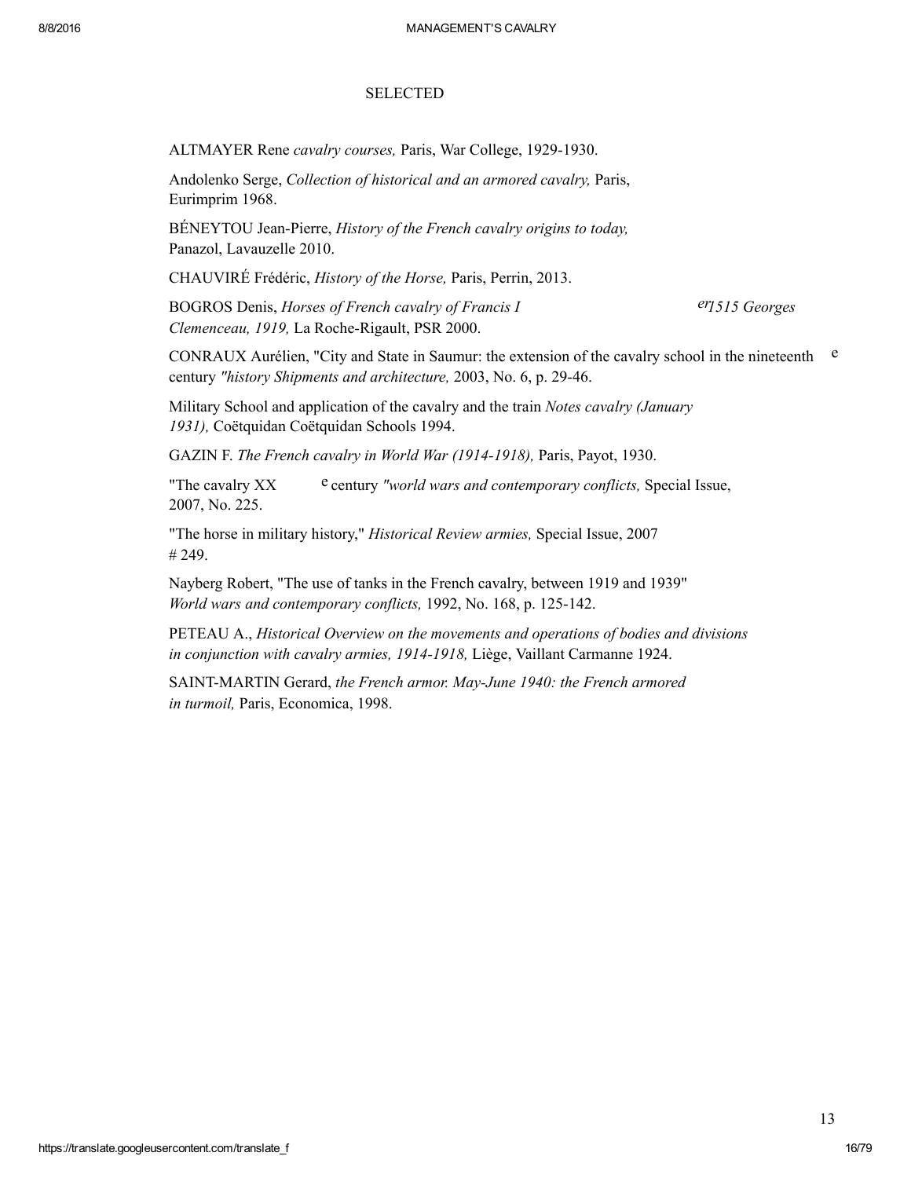### **SELECTED**

ALTMAYER Rene cavalry courses, Paris, War College, 1929-1930.

Andolenko Serge, Collection of historical and an armored cavalry, Paris, Eurimprim 1968.

BÉNEYTOU Jean-Pierre, History of the French cavalry origins to today, Panazol, Lavauzelle 2010.

CHAUVIRÉ Frédéric, History of the Horse, Paris, Perrin, 2013.

BOGROS Denis, Horses of French cavalry of Francis I ern errors of the errors of Francis I errors of French cavalry of Francis I Clemenceau, 1919, La Roche-Rigault, PSR 2000.

CONRAUX Aurélien, "City and State in Saumur: the extension of the cavalry school in the nineteenth  $e$ century "history Shipments and architecture, 2003, No. 6, p. 29-46.

Military School and application of the cavalry and the train Notes cavalry (January 1931), Coëtquidan Coëtquidan Schools 1994.

GAZIN F. The French cavalry in World War (19141918), Paris, Payot, 1930.

"The cavalry  $XX$  e century "world wars and contemporary conflicts, Special Issue, 2007, No. 225.

"The horse in military history," Historical Review armies, Special Issue, 2007 # 249.

Nayberg Robert, "The use of tanks in the French cavalry, between 1919 and 1939" World wars and contemporary conflicts, 1992, No. 168, p. 125-142.

PETEAU A., Historical Overview on the movements and operations of bodies and divisions in conjunction with cavalry armies, 1914-1918, Liège, Vaillant Carmanne 1924.

SAINT-MARTIN Gerard, the French armor. May-June 1940: the French armored in turmoil, Paris, Economica, 1998.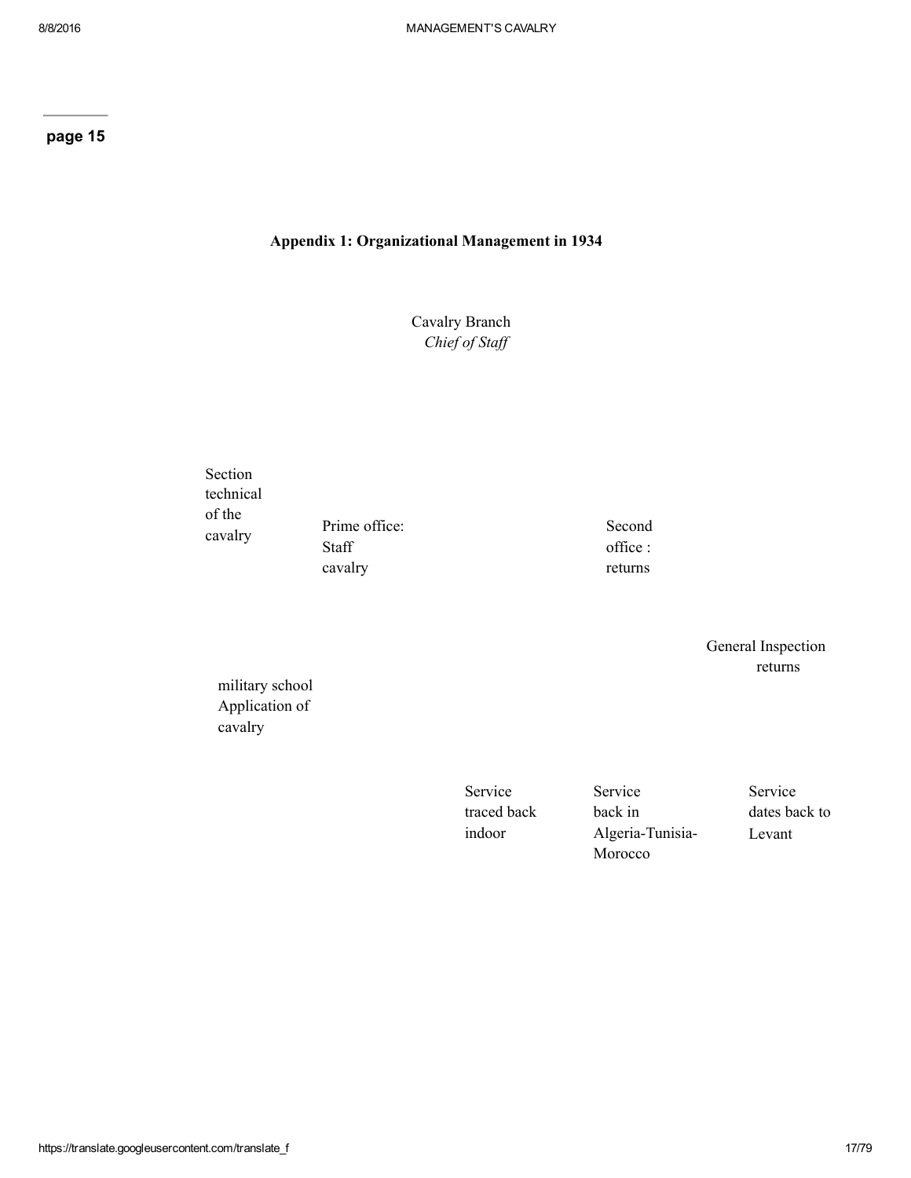## Appendix 1: Organizational Management in 1934

Cavalry Branch Chief of Staff

Section technical of the cavalry

Prime office: Staff cavalry

Second office : returns

> General Inspection returns

military school Application of cavalry

> Service traced back indoor

Service back in Algeria-Tunisia-Morocco

Service dates back to Levant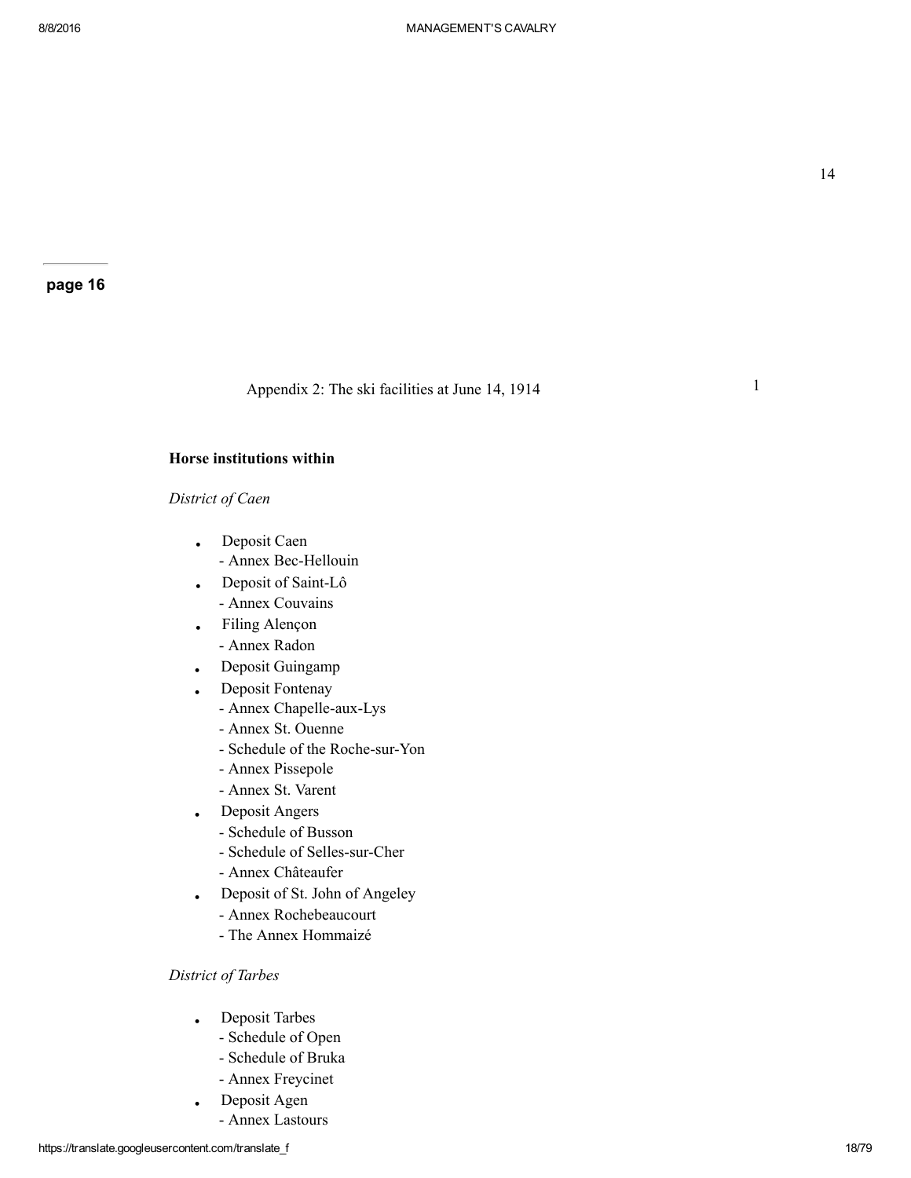1

#### page 16

Appendix 2: The ski facilities at June 14, 1914

### Horse institutions within

## District of Caen

- Deposit Caen - Annex Bec-Hellouin
- Deposit of Saint-Lô Annex Couvains
- Filing Alençon Annex Radon
- Deposit Guingamp
- Deposit Fontenay
	- Annex Chapelle-aux-Lys
	- Annex St. Ouenne
	- Schedule of the Roche-sur-Yon
	- Annex Pissepole
	- Annex St. Varent
- Deposit Angers
	- Schedule of Busson
	- Schedule of Selles-sur-Cher
	- Annex Châteaufer
- Deposit of St. John of Angeley
	- Annex Rochebeaucourt
	- The Annex Hommaizé

## District of Tarbes

- Deposit Tarbes
	- Schedule of Open
	- Schedule of Bruka
	- Annex Freycinet
- Deposit Agen
- Annex Lastours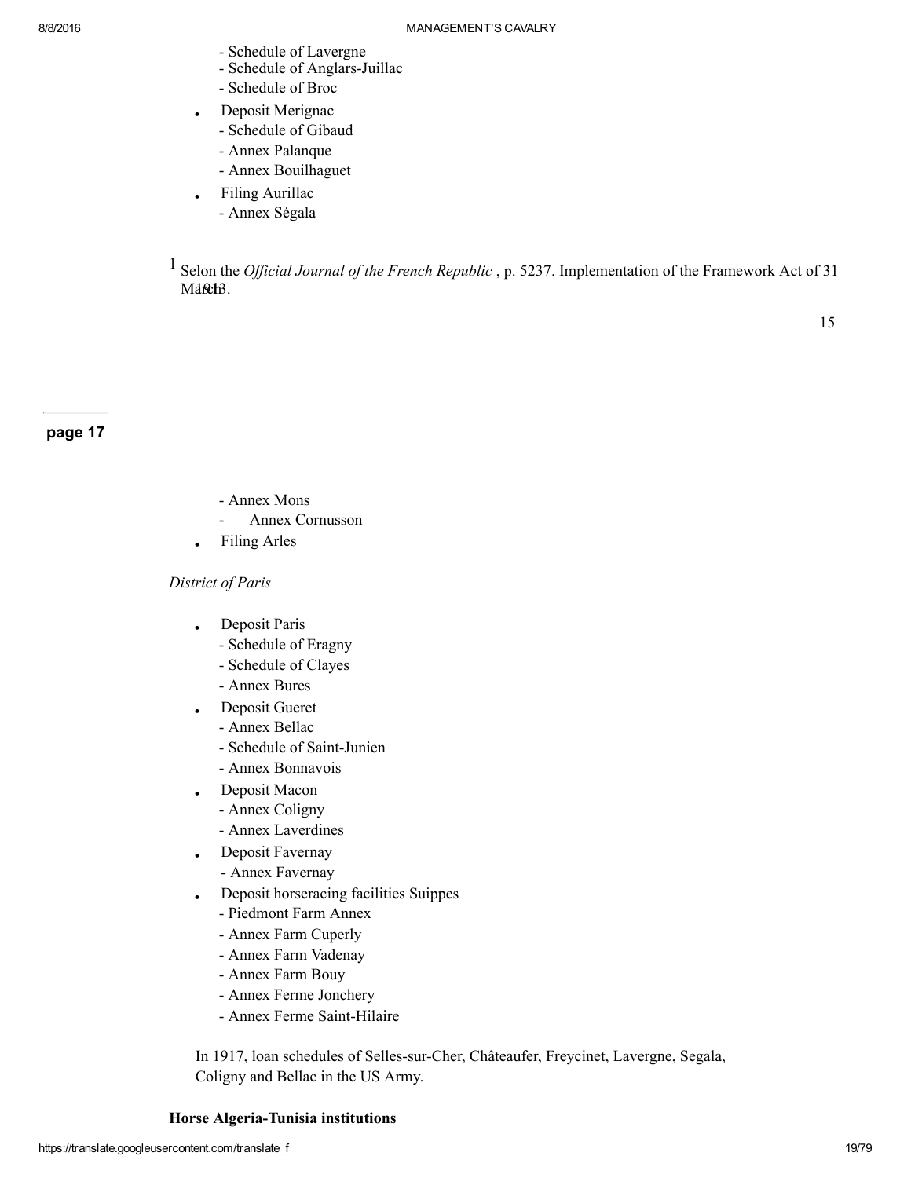- Schedule of Lavergne
- Schedule of Anglars-Juillac
- Schedule of Broc
- Deposit Merignac
	- Schedule of Gibaud
	- Annex Palanque
	- Annex Bouilhaguet
- Filing Aurillac
	- Annex Ségala

 $1$  Selon the *Official Journal of the French Republic*, p. 5237. Implementation of the Framework Act of 31 Maneh3.

page 17

- Annex Mons
- Annex Cornusson
- Filing Arles

### District of Paris

- Deposit Paris
	- Schedule of Eragny
	- Schedule of Clayes
	- Annex Bures
- Deposit Gueret
	- Annex Bellac
	- Schedule of Saint-Junien
	- Annex Bonnavois
- Deposit Macon
	- Annex Coligny
	- Annex Laverdines
- Deposit Favernay
	- Annex Favernay
- Deposit horseracing facilities Suippes
	- Piedmont Farm Annex
	- Annex Farm Cuperly
	- Annex Farm Vadenay
	- Annex Farm Bouy
	- Annex Ferme Jonchery
	- Annex Ferme Saint-Hilaire

In 1917, loan schedules of Selles-sur-Cher, Châteaufer, Freycinet, Lavergne, Segala, Coligny and Bellac in the US Army.

Horse Algeria-Tunisia institutions

15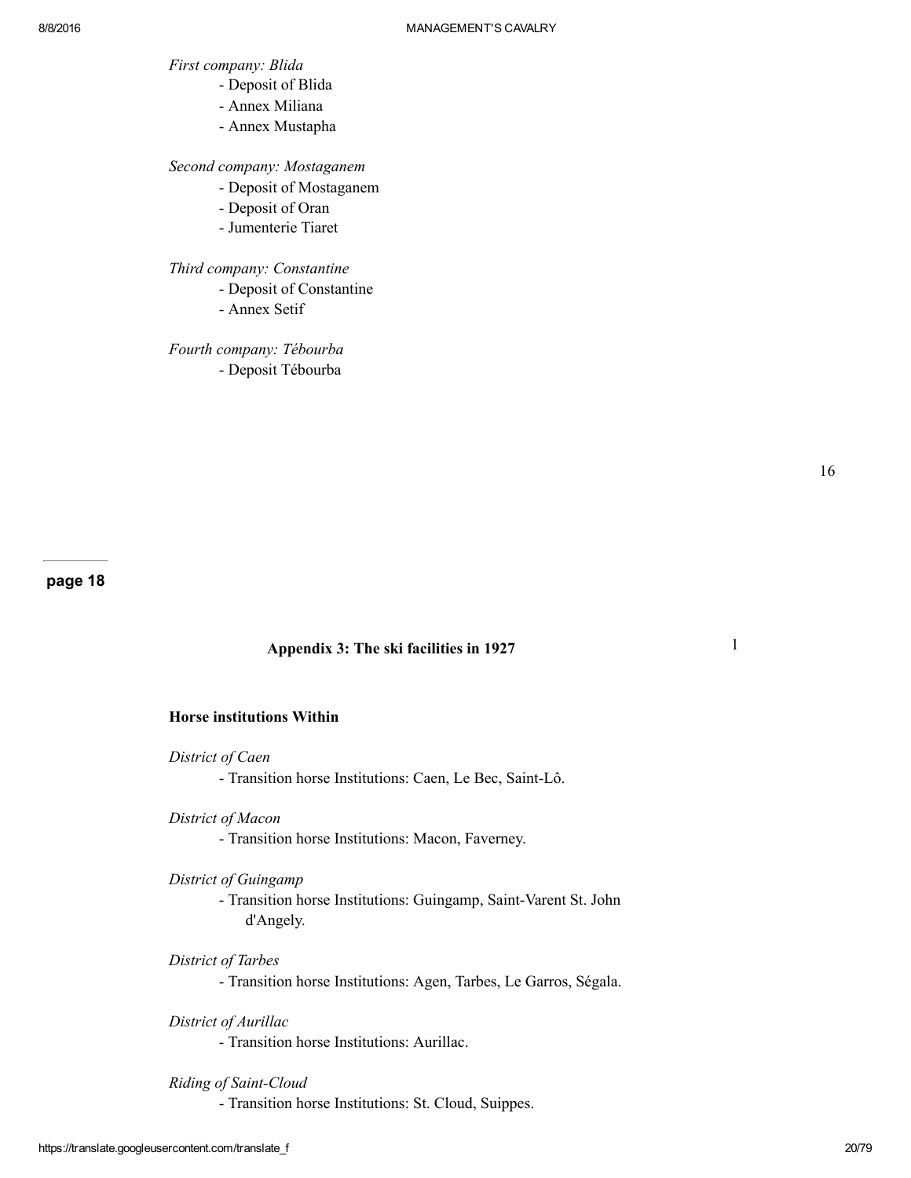- First company: Blida
	- Deposit of Blida
	- Annex Miliana
	- Annex Mustapha

Second company: Mostaganem

- Deposit of Mostaganem
- Deposit of Oran
- Jumenterie Tiaret

Third company: Constantine

- Deposit of Constantine
- Annex Setif

Fourth company: Tébourba Deposit Tébourba

16

1

page 18

### Appendix 3: The ski facilities in 1927

## Horse institutions Within

District of Caen

- Transition horse Institutions: Caen, Le Bec, Saint-Lô.
- District of Macon
	- Transition horse Institutions: Macon, Faverney.

District of Guingamp

- Transition horse Institutions: Guingamp, Saint-Varent St. John d'Angely.

### District of Tarbes

Transition horse Institutions: Agen, Tarbes, Le Garros, Ségala.

District of Aurillac

Transition horse Institutions: Aurillac.

### Riding of Saint-Cloud

Transition horse Institutions: St. Cloud, Suippes.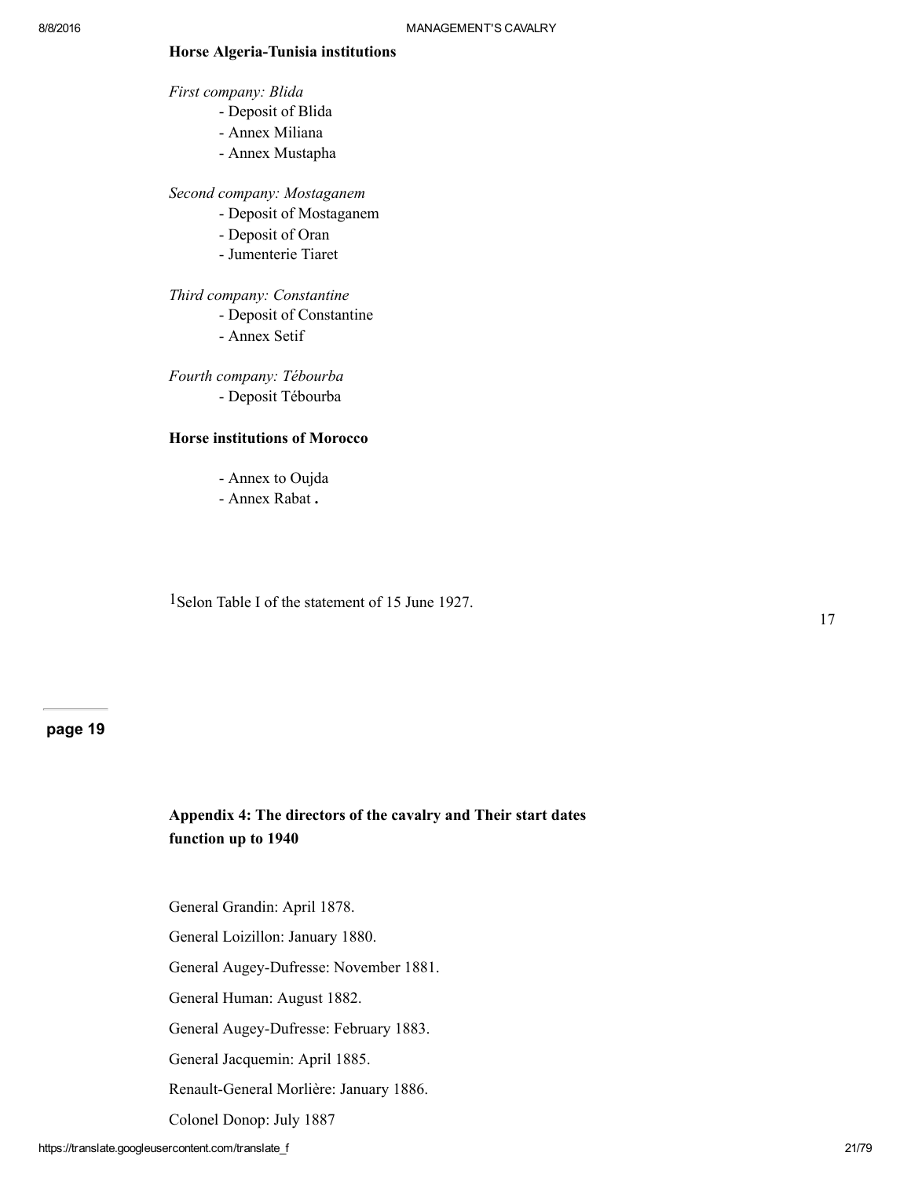#### Horse Algeria-Tunisia institutions

First company: Blida

- Deposit of Blida
- Annex Miliana
- Annex Mustapha

Second company: Mostaganem

- Deposit of Mostaganem
- Deposit of Oran
- Jumenterie Tiaret

Third company: Constantine

Deposit of Constantine

Annex Setif

Fourth company: Tébourba Deposit Tébourba

#### Horse institutions of Morocco

- Annex to Oujda
- Annex Rabat .

1Selon Table I of the statement of 15 June 1927.

17

## page 19

# Appendix 4: The directors of the cavalry and Their start dates function up to 1940

General Grandin: April 1878.

General Loizillon: January 1880.

General Augey-Dufresse: November 1881.

General Human: August 1882.

General Augey-Dufresse: February 1883.

General Jacquemin: April 1885.

Renault-General Morlière: January 1886.

Colonel Donop: July 1887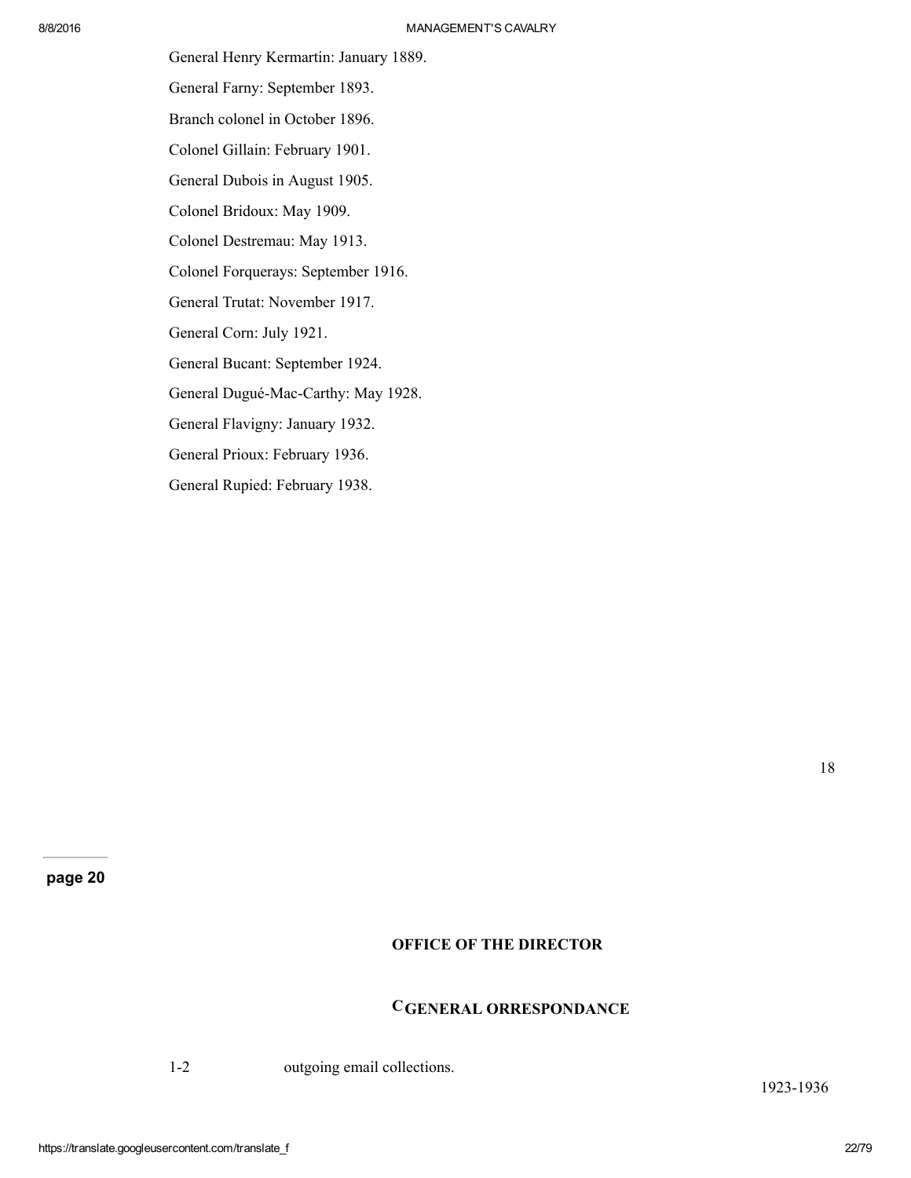General Henry Kermartin: January 1889. General Farny: September 1893. Branch colonel in October 1896. Colonel Gillain: February 1901. General Dubois in August 1905. Colonel Bridoux: May 1909. Colonel Destremau: May 1913. Colonel Forquerays: September 1916. General Trutat: November 1917. General Corn: July 1921. General Bucant: September 1924. General Dugué-Mac-Carthy: May 1928. General Flavigny: January 1932. General Prioux: February 1936. General Rupied: February 1938.

page 20

# OFFICE OF THE DIRECTOR

# CGENERAL ORRESPONDANCE

1-2 outgoing email collections.

1923-1936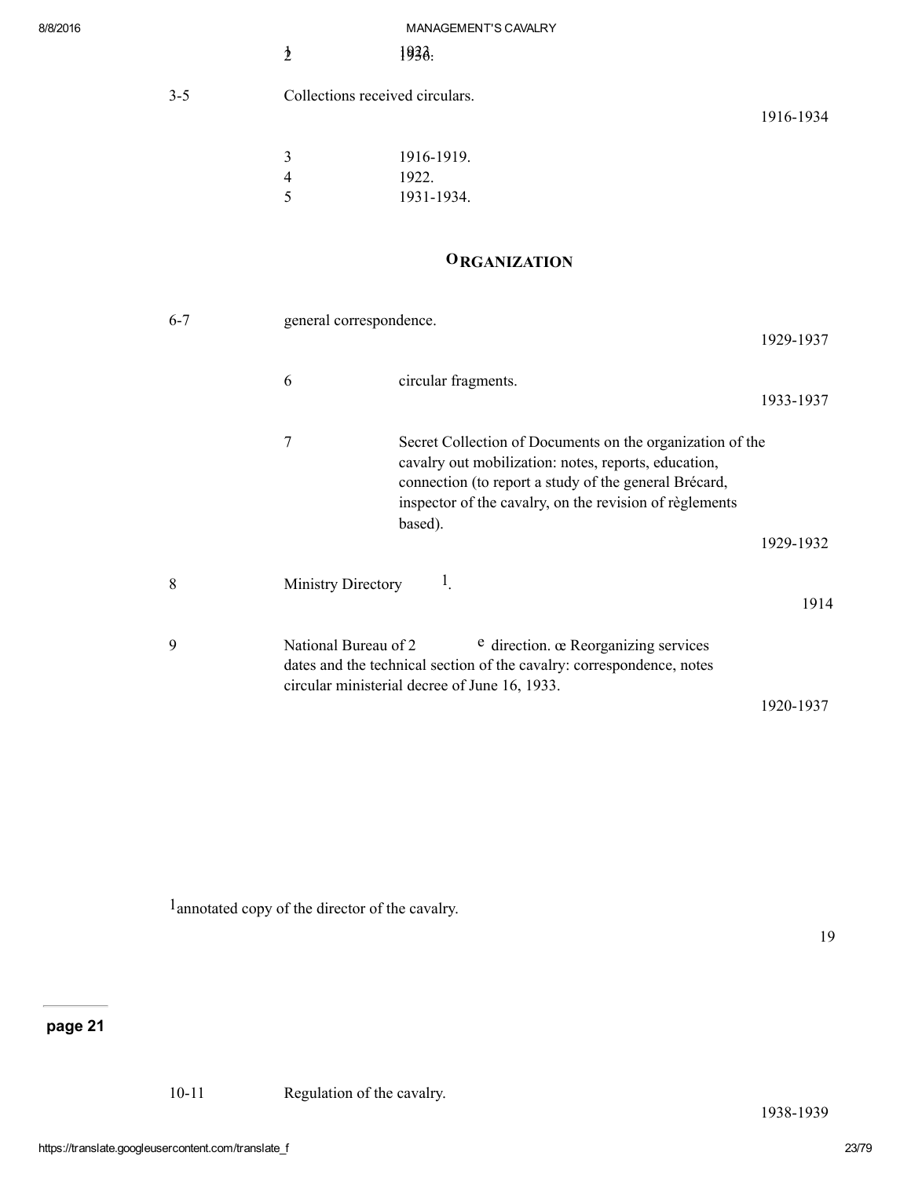| $3 - 5$ | Collections received circulars. |
|---------|---------------------------------|
|         |                                 |

1916-1934

| 3  | 1916-1919. |
|----|------------|
| 4  | 1922.      |
| -5 | 1931-1934. |

# **ORGANIZATION**

| $6 - 7$     | general correspondence.                                                                                                                                                                                                                               | 1929-1937 |
|-------------|-------------------------------------------------------------------------------------------------------------------------------------------------------------------------------------------------------------------------------------------------------|-----------|
|             | circular fragments.<br>6                                                                                                                                                                                                                              | 1933-1937 |
|             | 7<br>Secret Collection of Documents on the organization of the<br>cavalry out mobilization: notes, reports, education,<br>connection (to report a study of the general Brécard,<br>inspector of the cavalry, on the revision of règlements<br>based). | 1929-1932 |
| 8           | $\mathbf{I}_{\mathbf{r}}$<br>Ministry Directory                                                                                                                                                                                                       | 1914      |
| $\mathbf Q$ | National Bureau of 2<br><sup>e</sup> direction. œ Reorganizing services<br>dates and the technical section of the cavalry: correspondence, notes<br>circular ministerial decree of June 16, 1933.                                                     |           |
|             |                                                                                                                                                                                                                                                       | 1920-1937 |

1annotated copy of the director of the cavalry.

19

1938-1939

page 21

10-11 Regulation of the cavalry.

https://translate.googleusercontent.com/translate\_f 23/79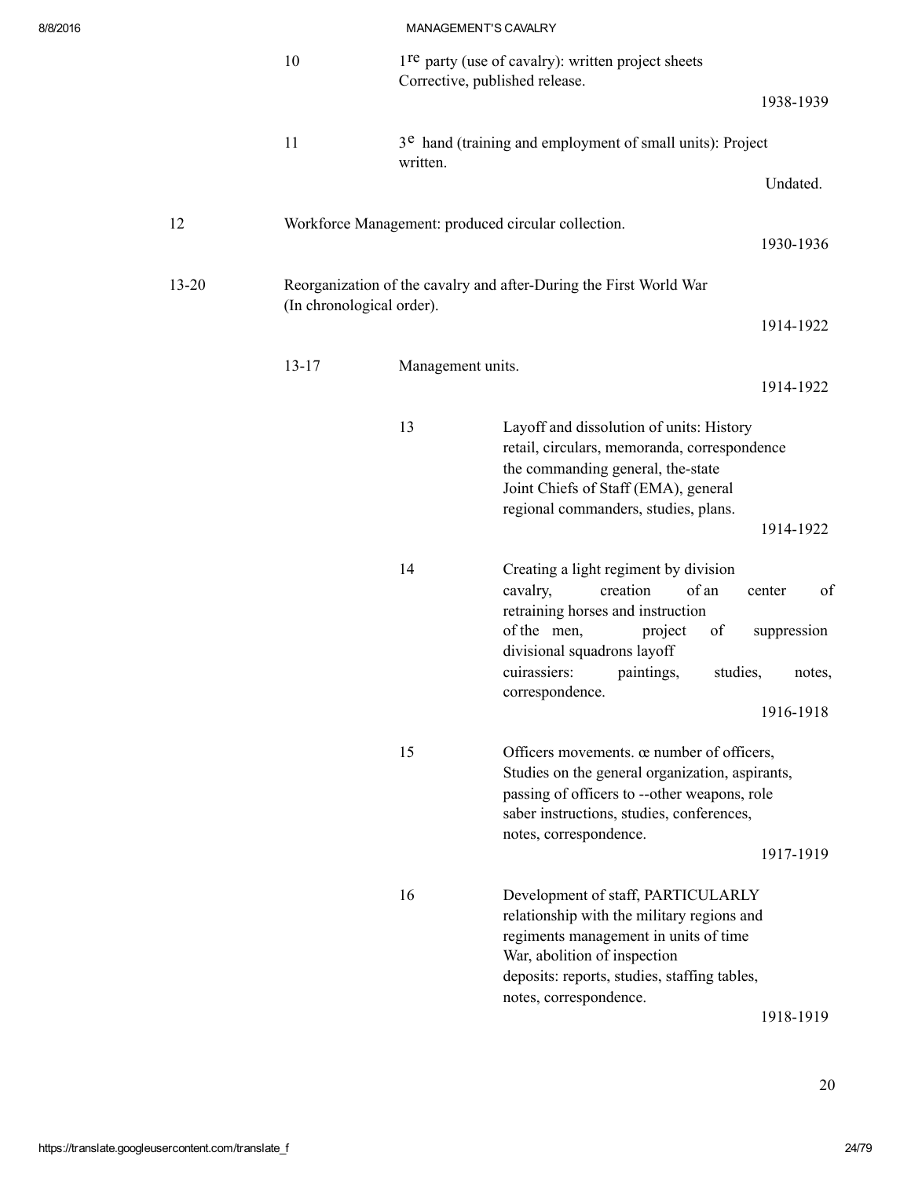|           | 10                        |                   | 1 <sup>re</sup> party (use of cavalry): written project sheets<br>Corrective, published release.<br>1938-1939                                                                                                                                    |
|-----------|---------------------------|-------------------|--------------------------------------------------------------------------------------------------------------------------------------------------------------------------------------------------------------------------------------------------|
|           | 11                        | written.          | 3 <sup>e</sup> hand (training and employment of small units): Project                                                                                                                                                                            |
|           |                           |                   | Undated.                                                                                                                                                                                                                                         |
| 12        |                           |                   | Workforce Management: produced circular collection.<br>1930-1936                                                                                                                                                                                 |
| $13 - 20$ | (In chronological order). |                   | Reorganization of the cavalry and after-During the First World War                                                                                                                                                                               |
|           |                           |                   | 1914-1922                                                                                                                                                                                                                                        |
|           | $13 - 17$                 | Management units. | 1914-1922                                                                                                                                                                                                                                        |
|           |                           | 13                | Layoff and dissolution of units: History<br>retail, circulars, memoranda, correspondence<br>the commanding general, the-state<br>Joint Chiefs of Staff (EMA), general                                                                            |
|           |                           |                   | regional commanders, studies, plans.<br>1914-1922                                                                                                                                                                                                |
|           |                           | 14                | Creating a light regiment by division<br>creation<br>of an<br>cavalry,<br>of<br>center<br>retraining horses and instruction<br>of the men,<br>project<br>suppression<br>of<br>divisional squadrons layoff                                        |
|           |                           |                   | cuirassiers:<br>paintings,<br>studies,<br>notes,<br>correspondence.                                                                                                                                                                              |
|           |                           |                   | 1916-1918                                                                                                                                                                                                                                        |
|           |                           | 15                | Officers movements. œ number of officers,<br>Studies on the general organization, aspirants,<br>passing of officers to --other weapons, role<br>saber instructions, studies, conferences,<br>notes, correspondence.                              |
|           |                           |                   | 1917-1919                                                                                                                                                                                                                                        |
|           |                           | 16                | Development of staff, PARTICULARLY<br>relationship with the military regions and<br>regiments management in units of time<br>War, abolition of inspection<br>deposits: reports, studies, staffing tables,<br>notes, correspondence.<br>1918-1919 |
|           |                           |                   |                                                                                                                                                                                                                                                  |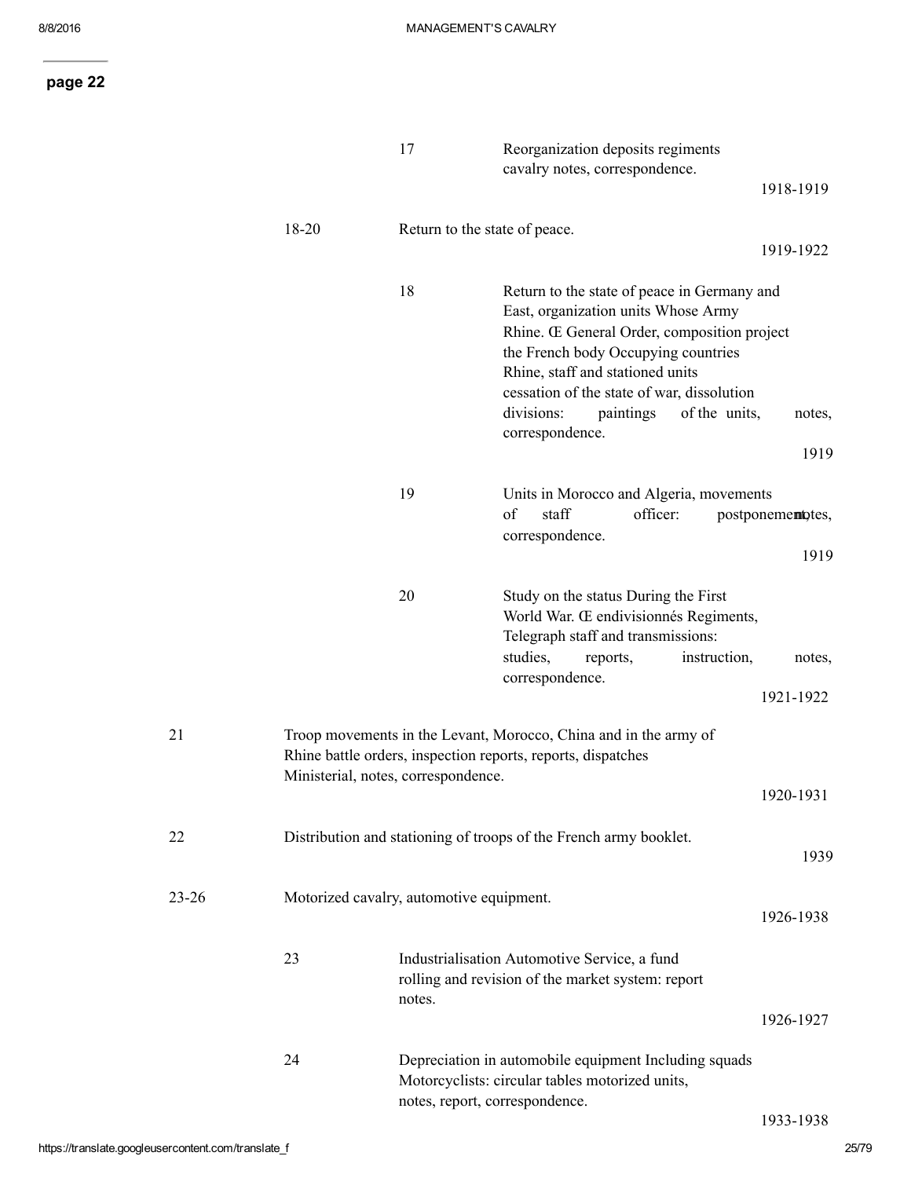|           |       | 17                                       | Reorganization deposits regiments<br>cavalry notes, correspondence.                                                                                                                                                                                                                                                       |                           |
|-----------|-------|------------------------------------------|---------------------------------------------------------------------------------------------------------------------------------------------------------------------------------------------------------------------------------------------------------------------------------------------------------------------------|---------------------------|
|           |       |                                          |                                                                                                                                                                                                                                                                                                                           | 1918-1919                 |
|           | 18-20 | Return to the state of peace.            |                                                                                                                                                                                                                                                                                                                           | 1919-1922                 |
|           |       | 18                                       | Return to the state of peace in Germany and<br>East, organization units Whose Army<br>Rhine. Œ General Order, composition project<br>the French body Occupying countries<br>Rhine, staff and stationed units<br>cessation of the state of war, dissolution<br>of the units,<br>divisions:<br>paintings<br>correspondence. | notes,<br>1919            |
|           |       | 19                                       | Units in Morocco and Algeria, movements<br>of<br>staff<br>officer:<br>correspondence.                                                                                                                                                                                                                                     | postponementotes,<br>1919 |
|           |       | 20                                       | Study on the status During the First<br>World War. Œ endivisionnés Regiments,<br>Telegraph staff and transmissions:<br>studies,<br>instruction,<br>reports,<br>correspondence.                                                                                                                                            | notes,<br>1921-1922       |
| 21        |       | Ministerial, notes, correspondence.      | Troop movements in the Levant, Morocco, China and in the army of<br>Rhine battle orders, inspection reports, reports, dispatches                                                                                                                                                                                          |                           |
|           |       |                                          |                                                                                                                                                                                                                                                                                                                           | 1920-1931                 |
| 22        |       |                                          | Distribution and stationing of troops of the French army booklet.                                                                                                                                                                                                                                                         | 1939                      |
| $23 - 26$ |       | Motorized cavalry, automotive equipment. |                                                                                                                                                                                                                                                                                                                           | 1926-1938                 |
|           | 23    | notes.                                   | Industrialisation Automotive Service, a fund<br>rolling and revision of the market system: report                                                                                                                                                                                                                         | 1926-1927                 |
|           | 24    |                                          | Depreciation in automobile equipment Including squads<br>Motorcyclists: circular tables motorized units,<br>notes, report, correspondence.                                                                                                                                                                                | 1933-1938                 |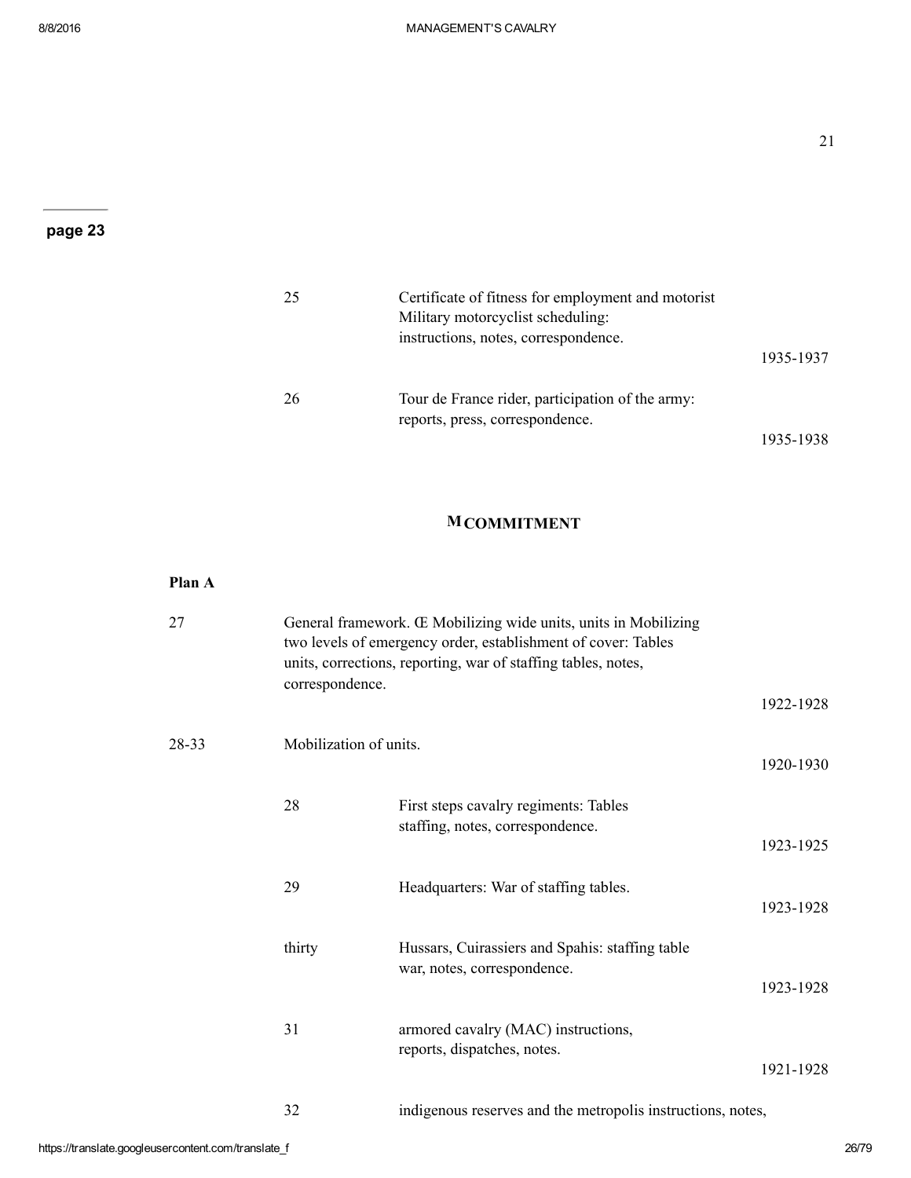| 25 | Certificate of fitness for employment and motorist<br>Military motorcyclist scheduling:<br>instructions, notes, correspondence. | 1935-1937 |
|----|---------------------------------------------------------------------------------------------------------------------------------|-----------|
| 26 | Tour de France rider, participation of the army:<br>reports, press, correspondence.                                             |           |
|    |                                                                                                                                 | 1935-1938 |

# **MCOMMITMENT**

| 27    | correspondence.        | General framework. Œ Mobilizing wide units, units in Mobilizing<br>two levels of emergency order, establishment of cover: Tables<br>units, corrections, reporting, war of staffing tables, notes, |           |
|-------|------------------------|---------------------------------------------------------------------------------------------------------------------------------------------------------------------------------------------------|-----------|
|       |                        |                                                                                                                                                                                                   | 1922-1928 |
| 28-33 | Mobilization of units. |                                                                                                                                                                                                   | 1920-1930 |
|       | 28                     | First steps cavalry regiments: Tables<br>staffing, notes, correspondence.                                                                                                                         | 1923-1925 |
|       | 29                     | Headquarters: War of staffing tables.                                                                                                                                                             | 1923-1928 |
|       | thirty                 | Hussars, Cuirassiers and Spahis: staffing table<br>war, notes, correspondence.                                                                                                                    | 1923-1928 |
|       | 31                     | armored cavalry (MAC) instructions,<br>reports, dispatches, notes.                                                                                                                                | 1921-1928 |
|       | 32                     | indigenous reserves and the metropolis instructions, notes,                                                                                                                                       |           |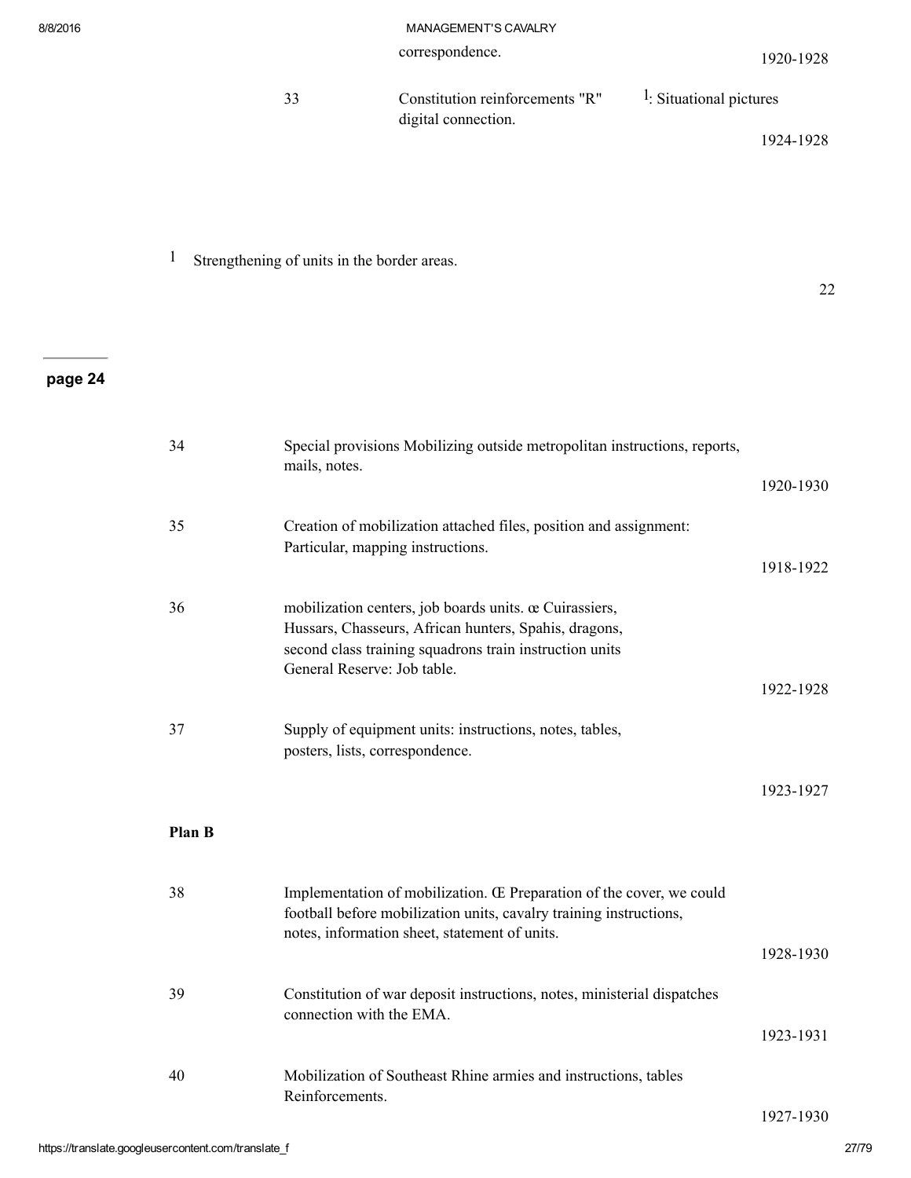22

| -33 | Constitution reinforcements "R" | <sup>1</sup> : Situational pictures |
|-----|---------------------------------|-------------------------------------|
|     | digital connection.             |                                     |
|     |                                 | 1924-1928                           |

# 1 Strengthening of units in the border areas.

# page 24

| 34     | Special provisions Mobilizing outside metropolitan instructions, reports,<br>mails, notes.                                                                                                                |           |
|--------|-----------------------------------------------------------------------------------------------------------------------------------------------------------------------------------------------------------|-----------|
|        |                                                                                                                                                                                                           | 1920-1930 |
| 35     | Creation of mobilization attached files, position and assignment:<br>Particular, mapping instructions.                                                                                                    |           |
|        |                                                                                                                                                                                                           | 1918-1922 |
| 36     | mobilization centers, job boards units. œ Cuirassiers,<br>Hussars, Chasseurs, African hunters, Spahis, dragons,<br>second class training squadrons train instruction units<br>General Reserve: Job table. |           |
|        |                                                                                                                                                                                                           | 1922-1928 |
| 37     | Supply of equipment units: instructions, notes, tables,<br>posters, lists, correspondence.                                                                                                                |           |
|        |                                                                                                                                                                                                           | 1923-1927 |
| Plan B |                                                                                                                                                                                                           |           |
| 38     | Implementation of mobilization. Œ Preparation of the cover, we could<br>football before mobilization units, cavalry training instructions,                                                                |           |
|        | notes, information sheet, statement of units.                                                                                                                                                             | 1928-1930 |
| 39     | Constitution of war deposit instructions, notes, ministerial dispatches<br>connection with the EMA.                                                                                                       |           |
|        |                                                                                                                                                                                                           | 1923-1931 |
| 40     | Mobilization of Southeast Rhine armies and instructions, tables<br>Reinforcements.                                                                                                                        |           |
|        |                                                                                                                                                                                                           | 1927-1930 |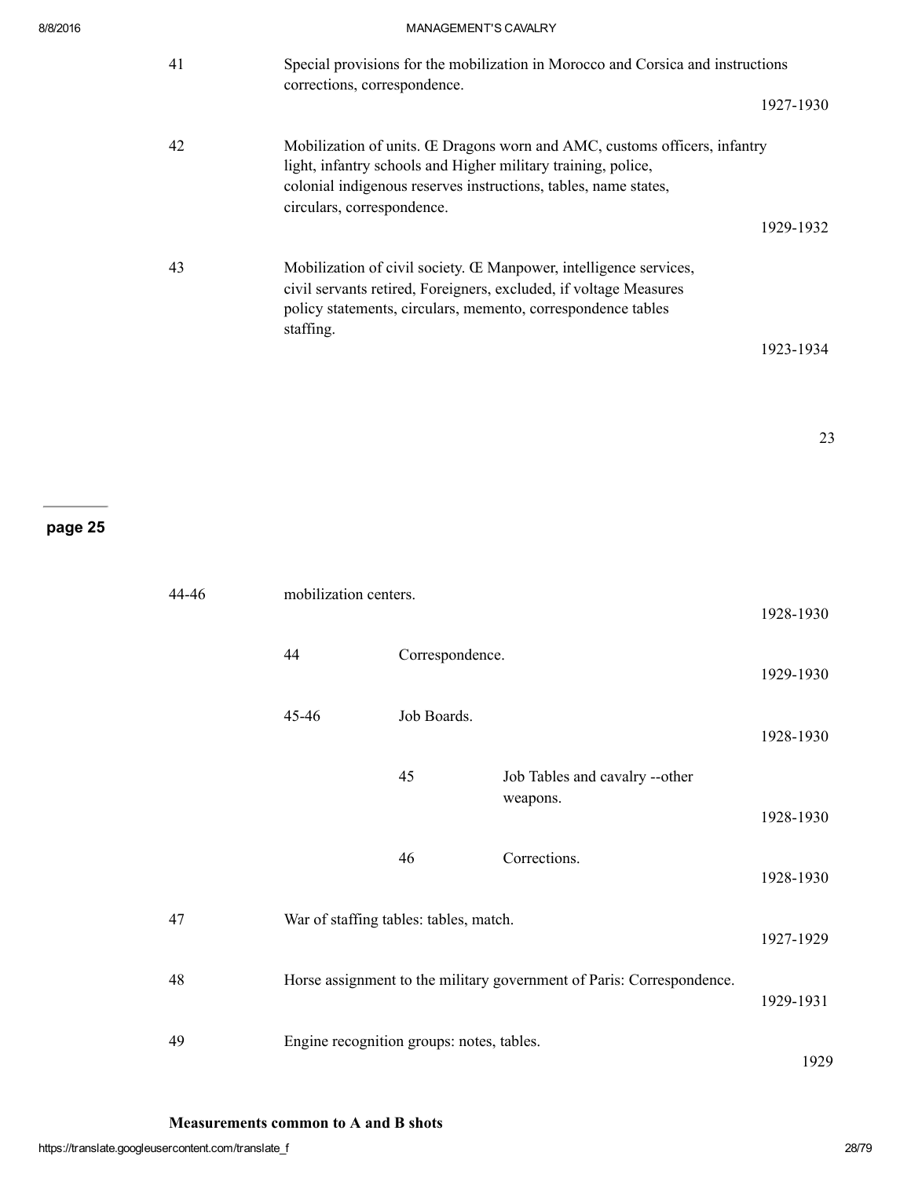| 41 | Special provisions for the mobilization in Morocco and Corsica and instructions<br>corrections, correspondence.                                                                                                                             | 1927-1930 |
|----|---------------------------------------------------------------------------------------------------------------------------------------------------------------------------------------------------------------------------------------------|-----------|
| 42 | Mobilization of units. Œ Dragons worn and AMC, customs officers, infantry<br>light, infantry schools and Higher military training, police,<br>colonial indigenous reserves instructions, tables, name states,<br>circulars, correspondence. |           |
|    |                                                                                                                                                                                                                                             | 1929-1932 |
| 43 | Mobilization of civil society. <b>E</b> Manpower, intelligence services,<br>civil servants retired, Foreigners, excluded, if voltage Measures<br>policy statements, circulars, memento, correspondence tables<br>staffing.                  |           |
|    |                                                                                                                                                                                                                                             | 1923-1934 |

# page 25

| 44-46 | mobilization centers.                     |                 |                                                                       | 1928-1930 |
|-------|-------------------------------------------|-----------------|-----------------------------------------------------------------------|-----------|
|       | 44                                        | Correspondence. |                                                                       | 1929-1930 |
|       | 45-46                                     | Job Boards.     |                                                                       | 1928-1930 |
|       |                                           | 45              | Job Tables and cavalry --other<br>weapons.                            | 1928-1930 |
|       |                                           | 46              | Corrections.                                                          | 1928-1930 |
| 47    | War of staffing tables: tables, match.    |                 |                                                                       | 1927-1929 |
| 48    |                                           |                 | Horse assignment to the military government of Paris: Correspondence. | 1929-1931 |
| 49    | Engine recognition groups: notes, tables. |                 |                                                                       | 1929      |

Measurements common to A and B shots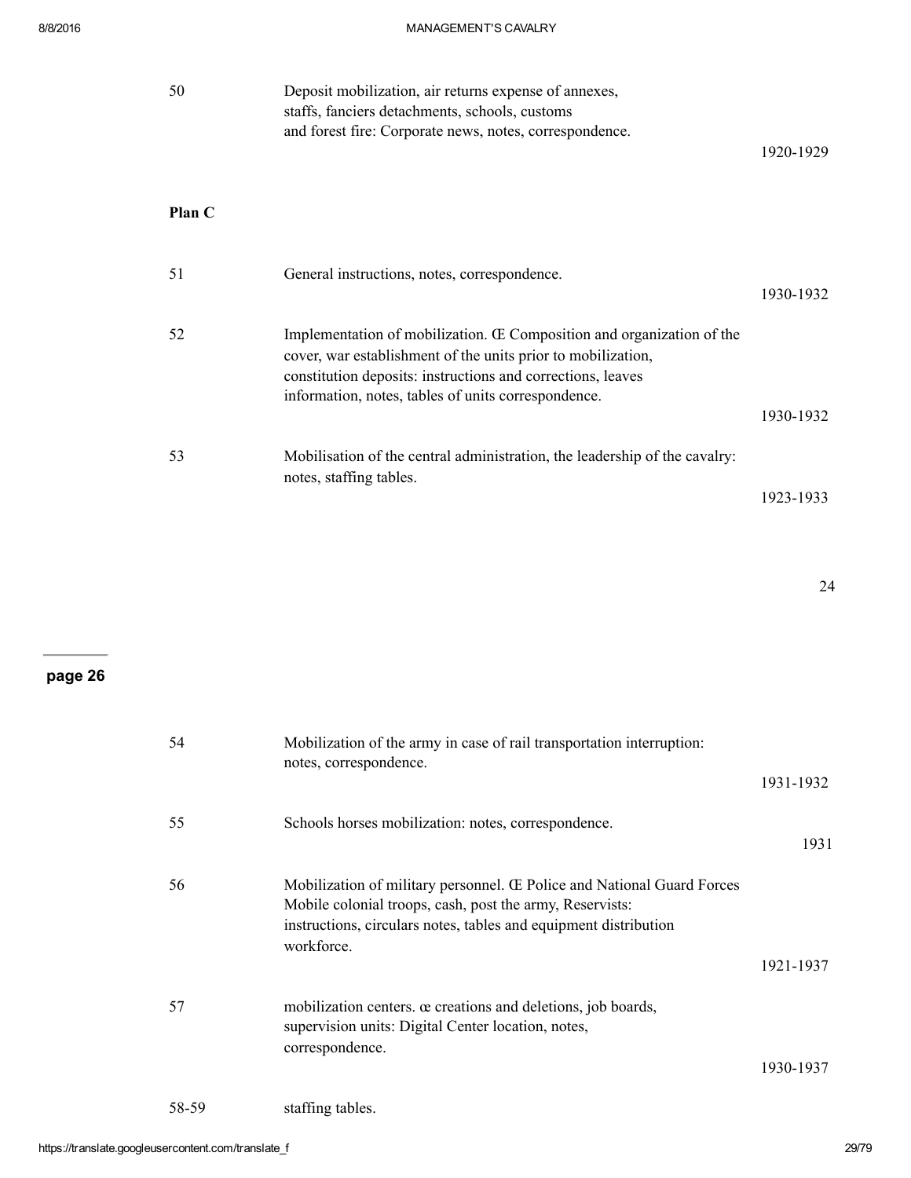| 50     | Deposit mobilization, air returns expense of annexes,<br>staffs, fanciers detachments, schools, customs<br>and forest fire: Corporate news, notes, correspondence.                                                                                          | 1920-1929 |
|--------|-------------------------------------------------------------------------------------------------------------------------------------------------------------------------------------------------------------------------------------------------------------|-----------|
| Plan C |                                                                                                                                                                                                                                                             |           |
| 51     | General instructions, notes, correspondence.                                                                                                                                                                                                                | 1930-1932 |
| 52     | Implementation of mobilization. Œ Composition and organization of the<br>cover, war establishment of the units prior to mobilization,<br>constitution deposits: instructions and corrections, leaves<br>information, notes, tables of units correspondence. |           |
|        |                                                                                                                                                                                                                                                             | 1930-1932 |
| 53     | Mobilisation of the central administration, the leadership of the cavalry:<br>notes, staffing tables.                                                                                                                                                       |           |
|        |                                                                                                                                                                                                                                                             | 1923-1933 |

24

# page 26

| 54    | Mobilization of the army in case of rail transportation interruption:<br>notes, correspondence.                                                                                                                      |           |
|-------|----------------------------------------------------------------------------------------------------------------------------------------------------------------------------------------------------------------------|-----------|
|       |                                                                                                                                                                                                                      | 1931-1932 |
| 55    | Schools horses mobilization: notes, correspondence.                                                                                                                                                                  | 1931      |
| 56    | Mobilization of military personnel. Œ Police and National Guard Forces<br>Mobile colonial troops, cash, post the army, Reservists:<br>instructions, circulars notes, tables and equipment distribution<br>workforce. |           |
|       |                                                                                                                                                                                                                      | 1921-1937 |
| 57    | mobilization centers. $\alpha$ creations and deletions, job boards,<br>supervision units: Digital Center location, notes,<br>correspondence.                                                                         |           |
|       |                                                                                                                                                                                                                      | 1930-1937 |
| 58-59 | staffing tables.                                                                                                                                                                                                     |           |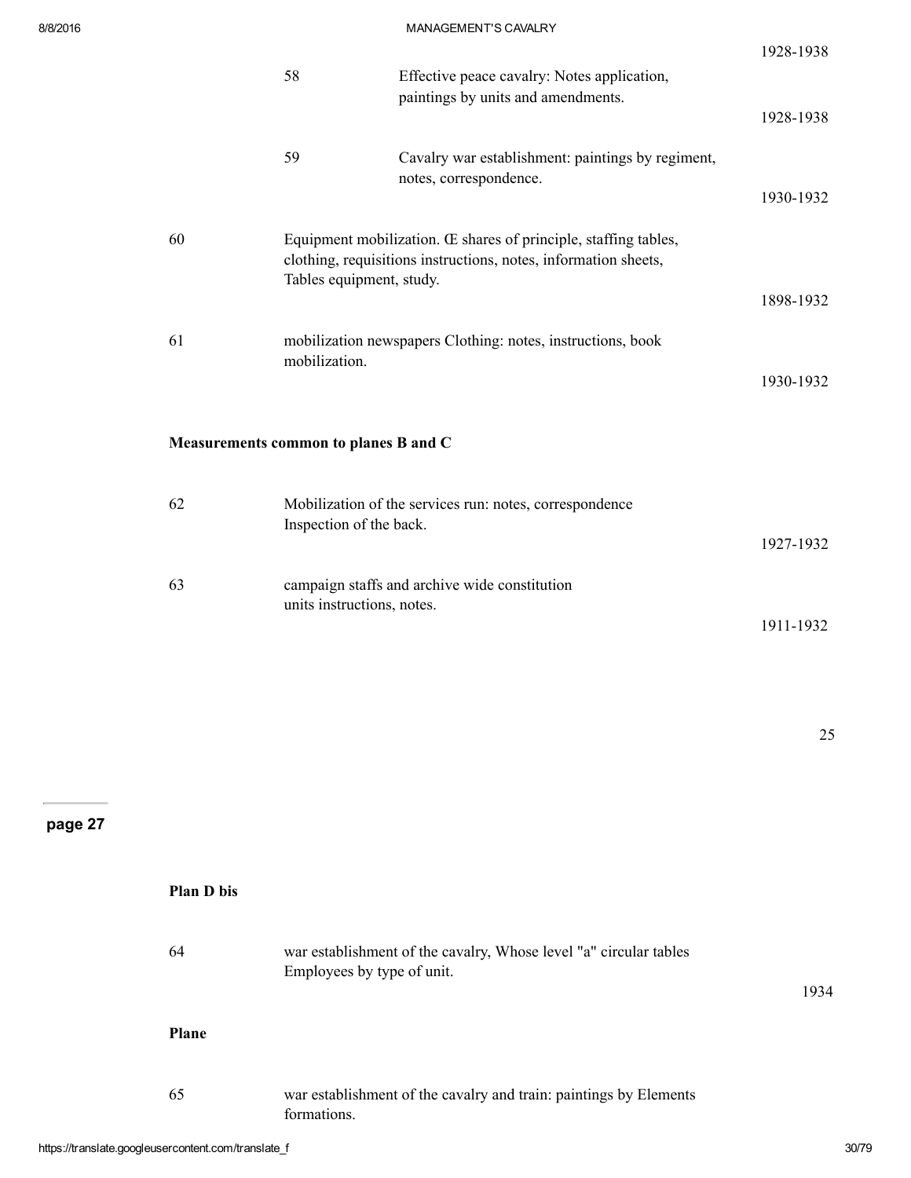|    | 58                                    | Effective peace cavalry: Notes application,                                                                                        | 1928-1938 |
|----|---------------------------------------|------------------------------------------------------------------------------------------------------------------------------------|-----------|
|    |                                       | paintings by units and amendments.                                                                                                 | 1928-1938 |
|    | 59                                    | Cavalry war establishment: paintings by regiment,<br>notes, correspondence.                                                        |           |
|    |                                       |                                                                                                                                    | 1930-1932 |
| 60 |                                       | Equipment mobilization. Œ shares of principle, staffing tables,<br>clothing, requisitions instructions, notes, information sheets, |           |
|    | Tables equipment, study.              |                                                                                                                                    | 1898-1932 |
| 61 | mobilization.                         | mobilization newspapers Clothing: notes, instructions, book                                                                        |           |
|    |                                       |                                                                                                                                    | 1930-1932 |
|    | Measurements common to planes B and C |                                                                                                                                    |           |
| 62 | Inspection of the back.               | Mobilization of the services run: notes, correspondence                                                                            |           |
|    |                                       |                                                                                                                                    | 1927-1932 |
| 63 | units instructions, notes.            | campaign staffs and archive wide constitution                                                                                      |           |
|    |                                       |                                                                                                                                    | 1911-1932 |

Plan D bis 64 war establishment of the cavalry, Whose level "a" circular tables Employees by type of unit. 1934 Plane 65 war establishment of the cavalry and train: paintings by Elements formations.

25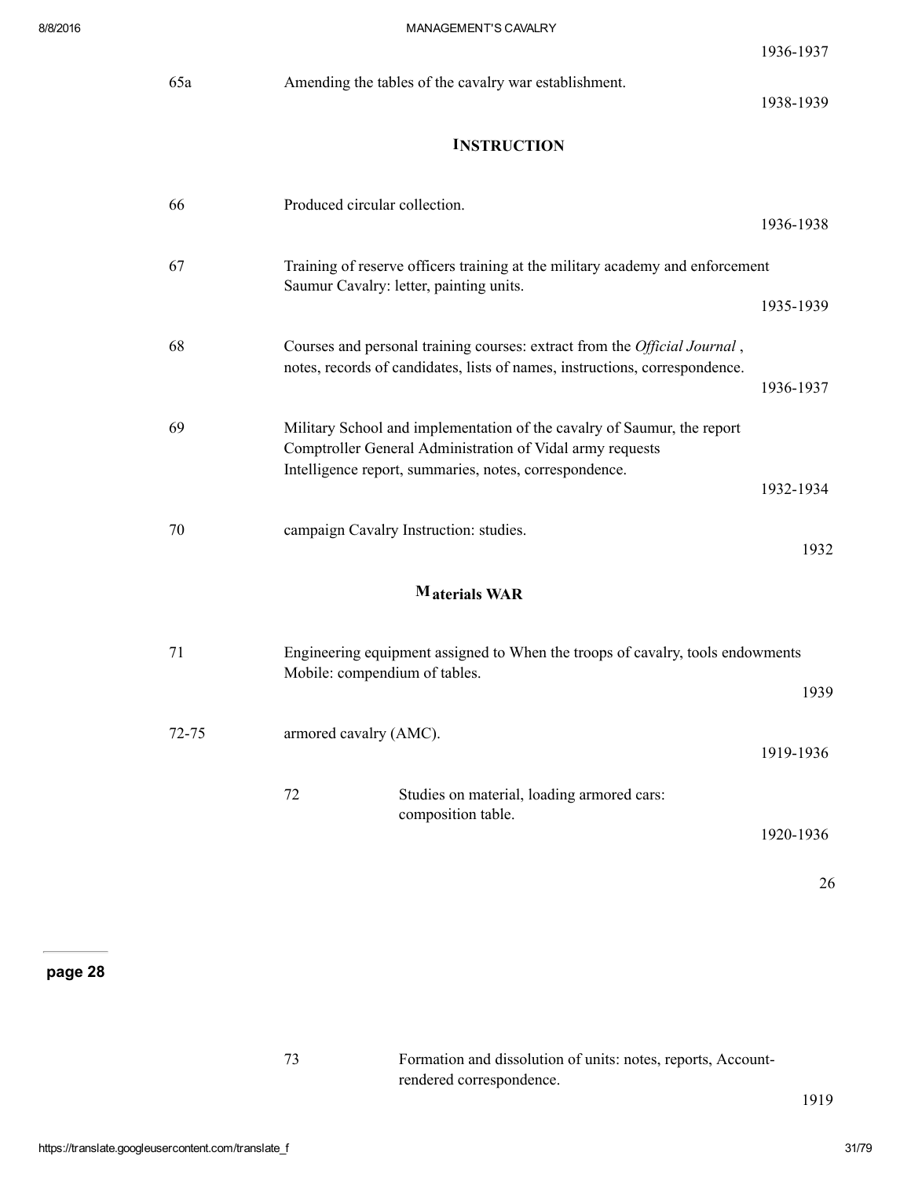| 8/8/2016 |           | MANAGEMENT'S CAVALRY                                                                                                                                                                           |           |
|----------|-----------|------------------------------------------------------------------------------------------------------------------------------------------------------------------------------------------------|-----------|
|          |           |                                                                                                                                                                                                | 1936-1937 |
|          | 65a       | Amending the tables of the cavalry war establishment.                                                                                                                                          | 1938-1939 |
|          |           | <b>INSTRUCTION</b>                                                                                                                                                                             |           |
|          | 66        | Produced circular collection.                                                                                                                                                                  | 1936-1938 |
|          | 67        | Training of reserve officers training at the military academy and enforcement<br>Saumur Cavalry: letter, painting units.                                                                       | 1935-1939 |
|          | 68        | Courses and personal training courses: extract from the Official Journal,<br>notes, records of candidates, lists of names, instructions, correspondence.                                       | 1936-1937 |
|          | 69        | Military School and implementation of the cavalry of Saumur, the report<br>Comptroller General Administration of Vidal army requests<br>Intelligence report, summaries, notes, correspondence. | 1932-1934 |
|          | 70        | campaign Cavalry Instruction: studies.                                                                                                                                                         | 1932      |
|          |           | M <sub>aterials</sub> WAR                                                                                                                                                                      |           |
|          | 71        | Engineering equipment assigned to When the troops of cavalry, tools endowments<br>Mobile: compendium of tables.                                                                                | 1939      |
|          | $72 - 75$ | armored cavalry (AMC).                                                                                                                                                                         | 1919-1936 |
|          |           | 72<br>Studies on material, loading armored cars:<br>composition table.                                                                                                                         |           |

1920-1936

26

page 28

| 73 | Formation and dissolution of units: notes, reports, Account- |
|----|--------------------------------------------------------------|
|    | rendered correspondence.                                     |

1919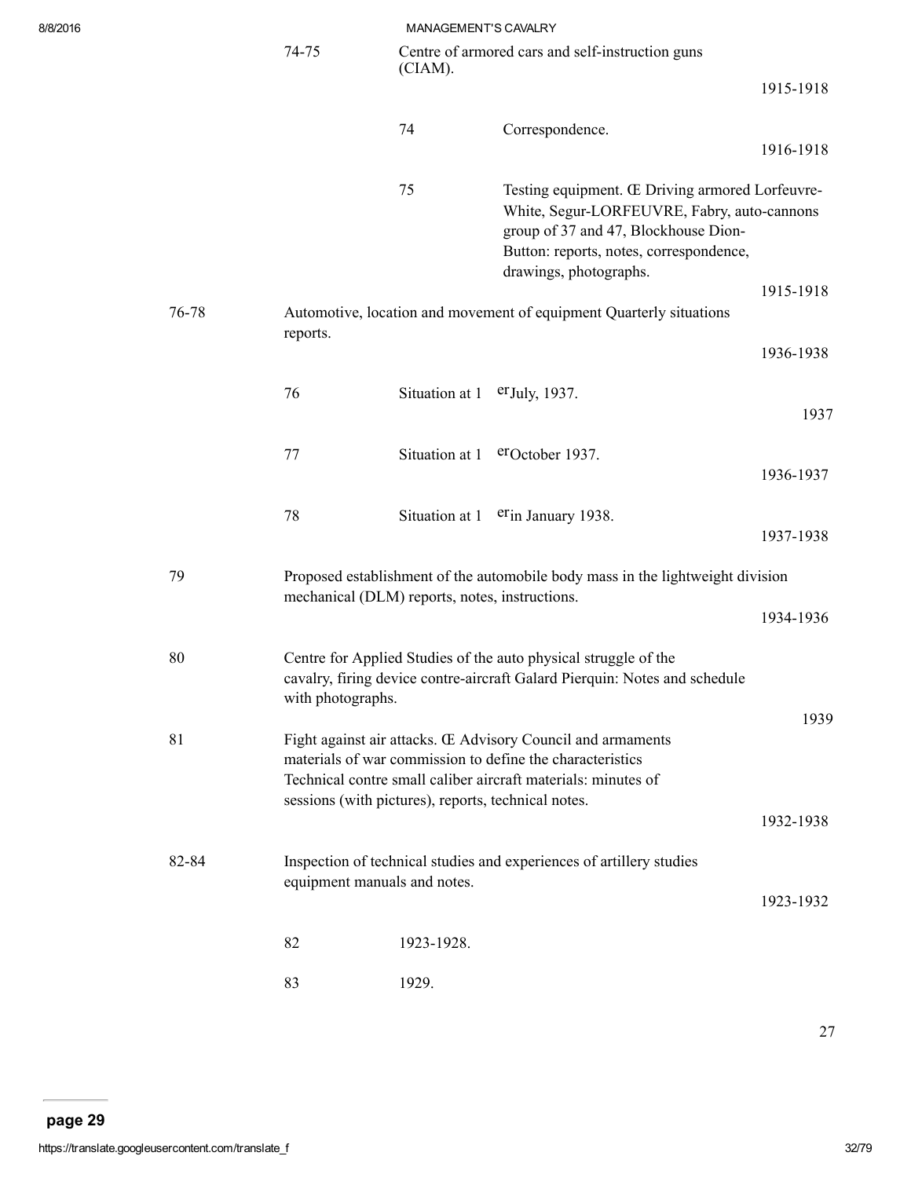| 8/8/2016 |  |
|----------|--|
|          |  |

| 8/8/2016 |       |                   | MANAGEMENT'S CAVALRY                                |                                                                                                                                                                                                             |           |
|----------|-------|-------------------|-----------------------------------------------------|-------------------------------------------------------------------------------------------------------------------------------------------------------------------------------------------------------------|-----------|
|          |       | 74-75             | (CIAM).                                             | Centre of armored cars and self-instruction guns                                                                                                                                                            |           |
|          |       |                   |                                                     |                                                                                                                                                                                                             | 1915-1918 |
|          |       |                   | 74                                                  | Correspondence.                                                                                                                                                                                             |           |
|          |       |                   |                                                     |                                                                                                                                                                                                             | 1916-1918 |
|          |       |                   | 75                                                  | Testing equipment. Œ Driving armored Lorfeuvre-<br>White, Segur-LORFEUVRE, Fabry, auto-cannons<br>group of 37 and 47, Blockhouse Dion-<br>Button: reports, notes, correspondence,<br>drawings, photographs. |           |
|          | 76-78 |                   |                                                     | Automotive, location and movement of equipment Quarterly situations                                                                                                                                         | 1915-1918 |
|          |       | reports.          |                                                     |                                                                                                                                                                                                             | 1936-1938 |
|          |       | 76                | Situation at $1$ er July, 1937.                     |                                                                                                                                                                                                             |           |
|          |       |                   |                                                     |                                                                                                                                                                                                             | 1937      |
|          |       | 77                |                                                     | Situation at 1 eroctober 1937.                                                                                                                                                                              | 1936-1937 |
|          |       |                   |                                                     |                                                                                                                                                                                                             |           |
|          |       | 78                |                                                     | Situation at 1 erin January 1938.                                                                                                                                                                           | 1937-1938 |
|          | 79    |                   | mechanical (DLM) reports, notes, instructions.      | Proposed establishment of the automobile body mass in the lightweight division                                                                                                                              |           |
|          |       |                   |                                                     |                                                                                                                                                                                                             | 1934-1936 |
|          | 80    | with photographs. |                                                     | Centre for Applied Studies of the auto physical struggle of the<br>cavalry, firing device contre-aircraft Galard Pierquin: Notes and schedule                                                               |           |
|          |       |                   |                                                     |                                                                                                                                                                                                             | 1939      |
|          | 81    |                   | sessions (with pictures), reports, technical notes. | Fight against air attacks. Œ Advisory Council and armaments<br>materials of war commission to define the characteristics<br>Technical contre small caliber aircraft materials: minutes of                   |           |
|          |       |                   |                                                     |                                                                                                                                                                                                             | 1932-1938 |
|          | 82-84 |                   | equipment manuals and notes.                        | Inspection of technical studies and experiences of artillery studies                                                                                                                                        |           |
|          |       |                   |                                                     |                                                                                                                                                                                                             | 1923-1932 |
|          |       | 82                | 1923-1928.                                          |                                                                                                                                                                                                             |           |
|          |       | 83                | 1929.                                               |                                                                                                                                                                                                             |           |

27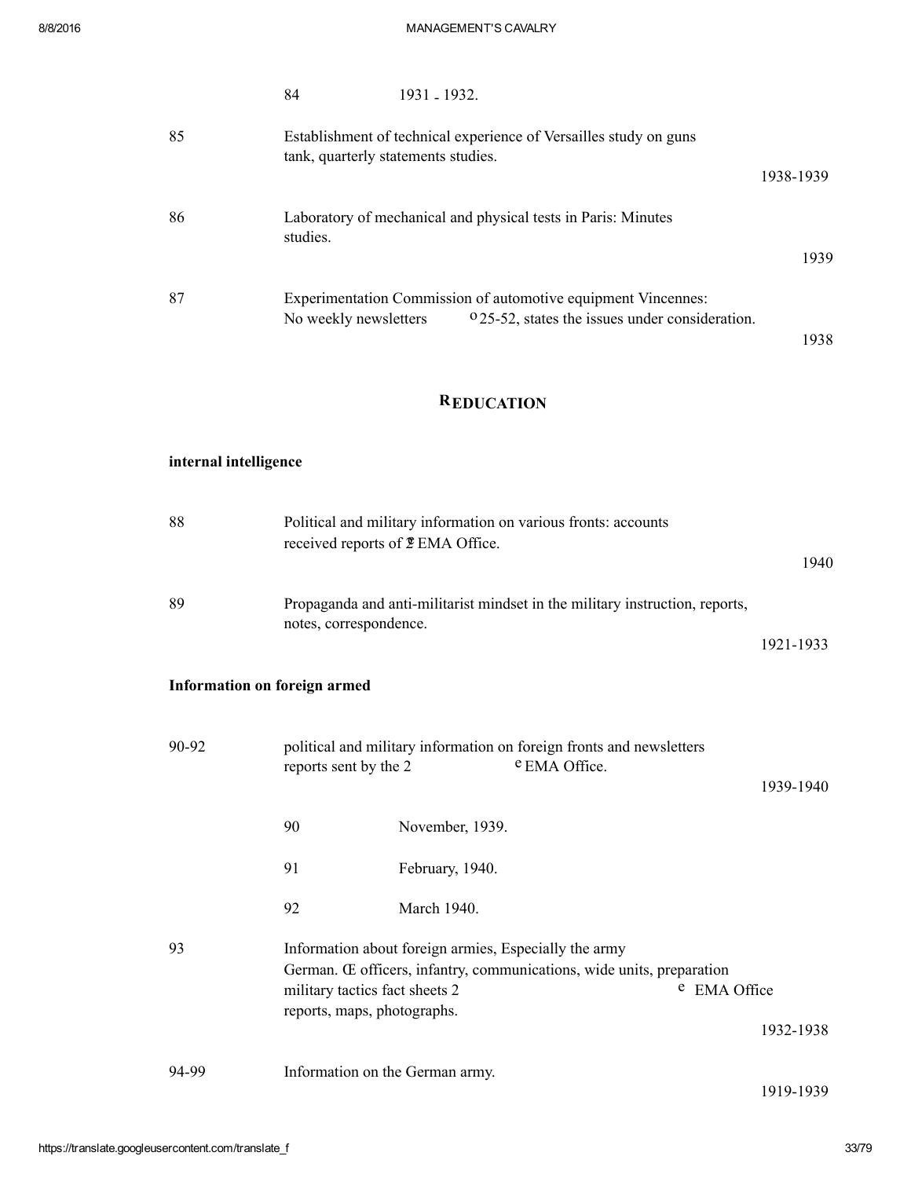|    | 84                                                                                                       | 1931 - 1932.                                                                                                    |           |  |
|----|----------------------------------------------------------------------------------------------------------|-----------------------------------------------------------------------------------------------------------------|-----------|--|
| 85 | Establishment of technical experience of Versailles study on guns<br>tank, quarterly statements studies. |                                                                                                                 |           |  |
|    |                                                                                                          |                                                                                                                 | 1938-1939 |  |
| 86 | studies.                                                                                                 | Laboratory of mechanical and physical tests in Paris: Minutes                                                   |           |  |
|    |                                                                                                          |                                                                                                                 | 1939      |  |
| 87 | No weekly newsletters                                                                                    | Experimentation Commission of automotive equipment Vincennes:<br>025-52, states the issues under consideration. |           |  |
|    |                                                                                                          |                                                                                                                 | 1938      |  |

# **REDUCATION**

# internal intelligence

| 88                                  |                                                               | Political and military information on various fronts: accounts<br>received reports of $\Sigma$ EMA Office.                                     | 1940      |
|-------------------------------------|---------------------------------------------------------------|------------------------------------------------------------------------------------------------------------------------------------------------|-----------|
| 89                                  | notes, correspondence.                                        | Propaganda and anti-militarist mindset in the military instruction, reports,                                                                   | 1921-1933 |
| <b>Information on foreign armed</b> |                                                               |                                                                                                                                                |           |
| 90-92                               | reports sent by the 2                                         | political and military information on foreign fronts and newsletters<br>e EMA Office.                                                          | 1939-1940 |
|                                     | 90                                                            | November, 1939.                                                                                                                                |           |
|                                     | 91                                                            | February, 1940.                                                                                                                                |           |
|                                     | 92                                                            | March 1940.                                                                                                                                    |           |
| 93                                  | military tactics fact sheets 2<br>reports, maps, photographs. | Information about foreign armies, Especially the army<br>German. Œ officers, infantry, communications, wide units, preparation<br>e EMA Office |           |
|                                     |                                                               |                                                                                                                                                | 1932-1938 |

94-99 Information on the German army.

19191939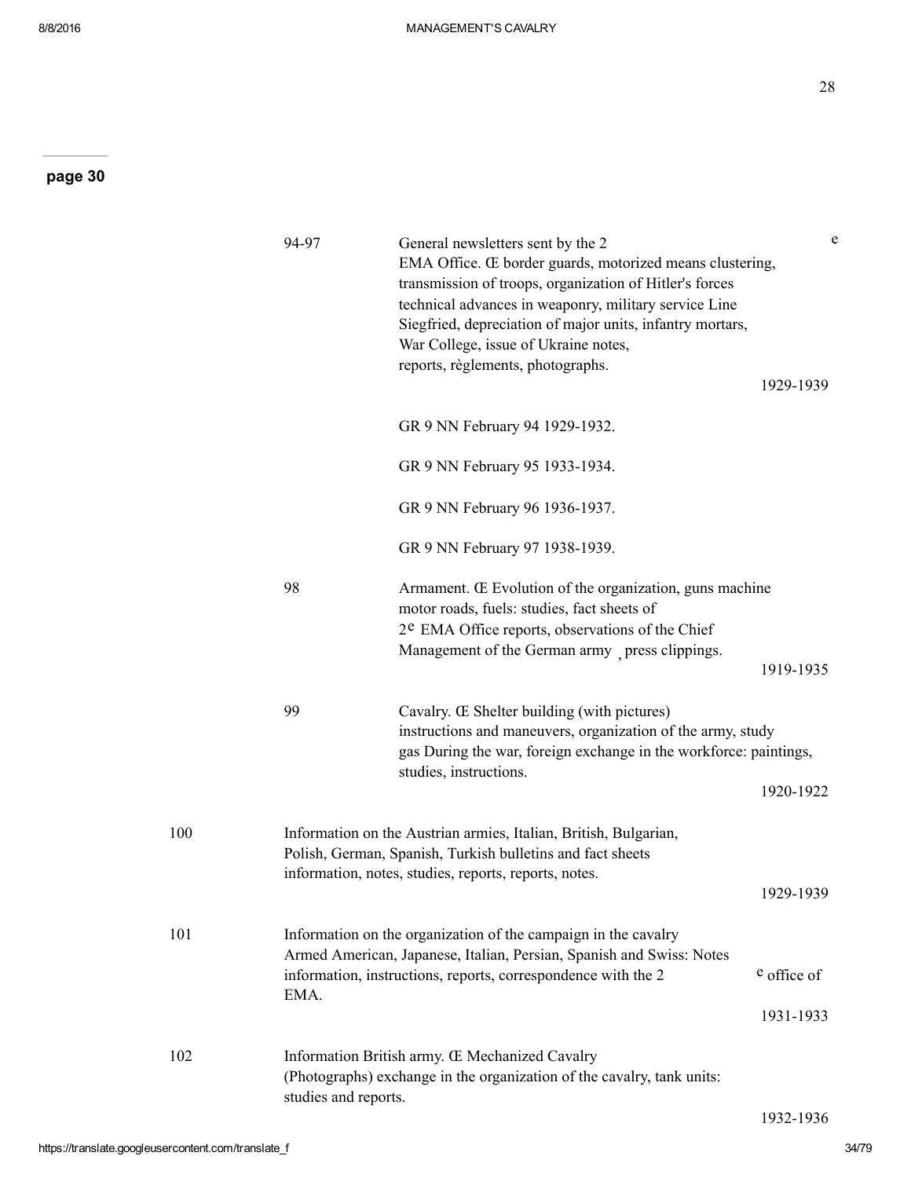|     | 94-97                | General newsletters sent by the 2<br>EMA Office. Œ border guards, motorized means clustering,<br>transmission of troops, organization of Hitler's forces<br>technical advances in weaponry, military service Line<br>Siegfried, depreciation of major units, infantry mortars,<br>War College, issue of Ukraine notes,<br>reports, règlements, photographs. | e<br>1929-1939           |
|-----|----------------------|-------------------------------------------------------------------------------------------------------------------------------------------------------------------------------------------------------------------------------------------------------------------------------------------------------------------------------------------------------------|--------------------------|
|     |                      | GR 9 NN February 94 1929-1932.                                                                                                                                                                                                                                                                                                                              |                          |
|     |                      | GR 9 NN February 95 1933-1934.                                                                                                                                                                                                                                                                                                                              |                          |
|     |                      | GR 9 NN February 96 1936-1937.                                                                                                                                                                                                                                                                                                                              |                          |
|     |                      | GR 9 NN February 97 1938-1939.                                                                                                                                                                                                                                                                                                                              |                          |
|     | 98                   | Armament. Œ Evolution of the organization, guns machine<br>motor roads, fuels: studies, fact sheets of<br>2 <sup>e</sup> EMA Office reports, observations of the Chief<br>Management of the German army press clippings.                                                                                                                                    | 1919-1935                |
|     | 99                   | Cavalry. Œ Shelter building (with pictures)<br>instructions and maneuvers, organization of the army, study<br>gas During the war, foreign exchange in the workforce: paintings,<br>studies, instructions.                                                                                                                                                   | 1920-1922                |
|     |                      |                                                                                                                                                                                                                                                                                                                                                             |                          |
| 100 |                      | Information on the Austrian armies, Italian, British, Bulgarian,<br>Polish, German, Spanish, Turkish bulletins and fact sheets<br>information, notes, studies, reports, reports, notes.                                                                                                                                                                     | 1929-1939                |
| 101 | EMA.                 | Information on the organization of the campaign in the cavalry<br>Armed American, Japanese, Italian, Persian, Spanish and Swiss: Notes<br>information, instructions, reports, correspondence with the 2                                                                                                                                                     | e office of<br>1931-1933 |
| 102 | studies and reports. | Information British army. Œ Mechanized Cavalry<br>(Photographs) exchange in the organization of the cavalry, tank units:                                                                                                                                                                                                                                    |                          |
|     |                      |                                                                                                                                                                                                                                                                                                                                                             | 1932-1936                |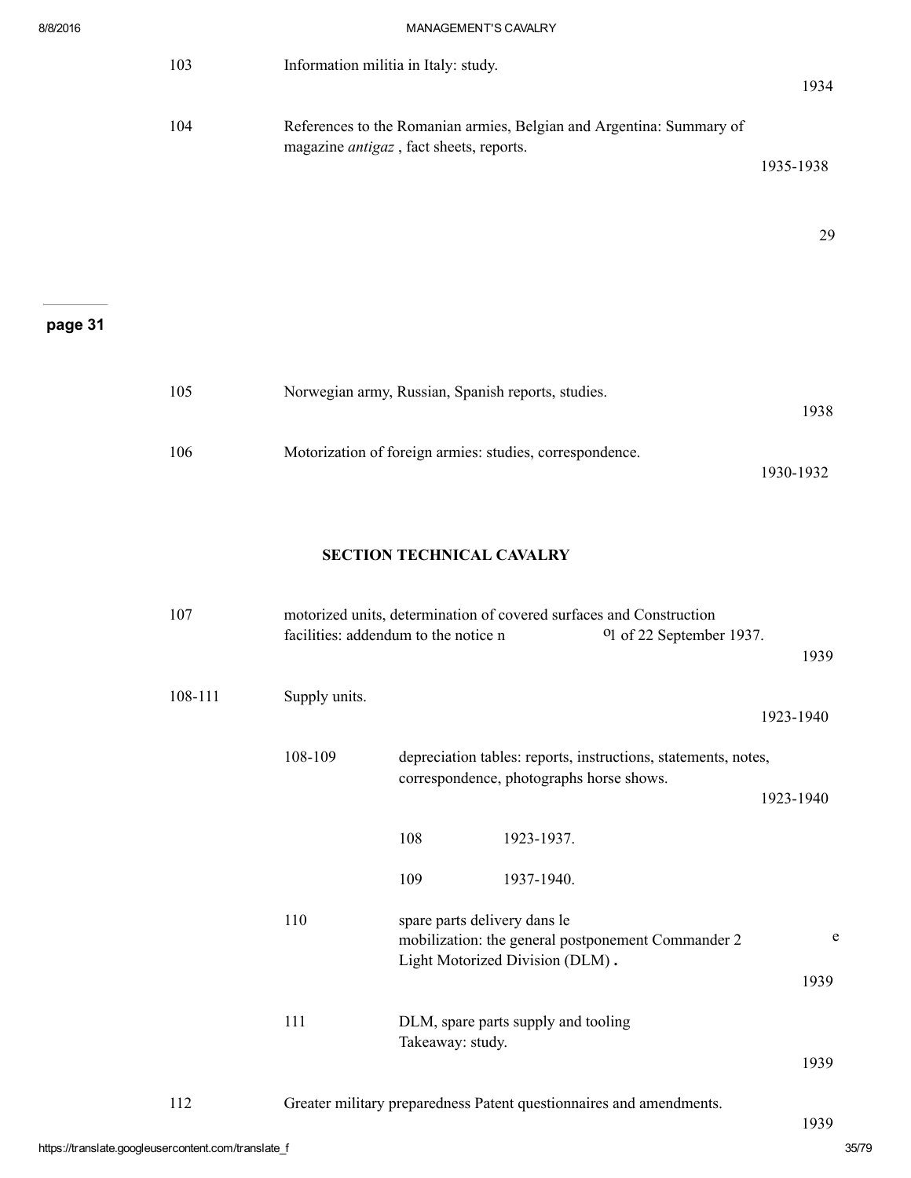|         | 103                                                                                                                            | Information militia in Italy: study.                     | 1934      |
|---------|--------------------------------------------------------------------------------------------------------------------------------|----------------------------------------------------------|-----------|
|         | 104<br>References to the Romanian armies, Belgian and Argentina: Summary of<br>magazine <i>antigaz</i> , fact sheets, reports. |                                                          | 1935-1938 |
|         |                                                                                                                                |                                                          | 29        |
| page 31 |                                                                                                                                |                                                          |           |
|         | 105                                                                                                                            | Norwegian army, Russian, Spanish reports, studies.       | 1938      |
|         | 106                                                                                                                            | Motorization of foreign armies: studies, correspondence. | 1930-1932 |

# SECTION TECHNICAL CAVALRY

| 107     |               | facilities: addendum to the notice n |                                          | motorized units, determination of covered surfaces and Construction<br><sup>o</sup> l of 22 September 1937. | 1939      |
|---------|---------------|--------------------------------------|------------------------------------------|-------------------------------------------------------------------------------------------------------------|-----------|
| 108-111 | Supply units. |                                      |                                          |                                                                                                             | 1923-1940 |
|         | 108-109       |                                      | correspondence, photographs horse shows. | depreciation tables: reports, instructions, statements, notes,                                              | 1923-1940 |
|         |               | 108                                  | 1923-1937.                               |                                                                                                             |           |
|         |               | 109                                  | 1937-1940.                               |                                                                                                             |           |
|         | 110           | spare parts delivery dans le         | Light Motorized Division (DLM).          | mobilization: the general postponement Commander 2                                                          | e         |
|         |               |                                      |                                          |                                                                                                             | 1939      |
|         | 111           | Takeaway: study.                     | DLM, spare parts supply and tooling      |                                                                                                             |           |
|         |               |                                      |                                          |                                                                                                             | 1939      |
| 112     |               |                                      |                                          | Greater military preparedness Patent questionnaires and amendments.                                         | 1939      |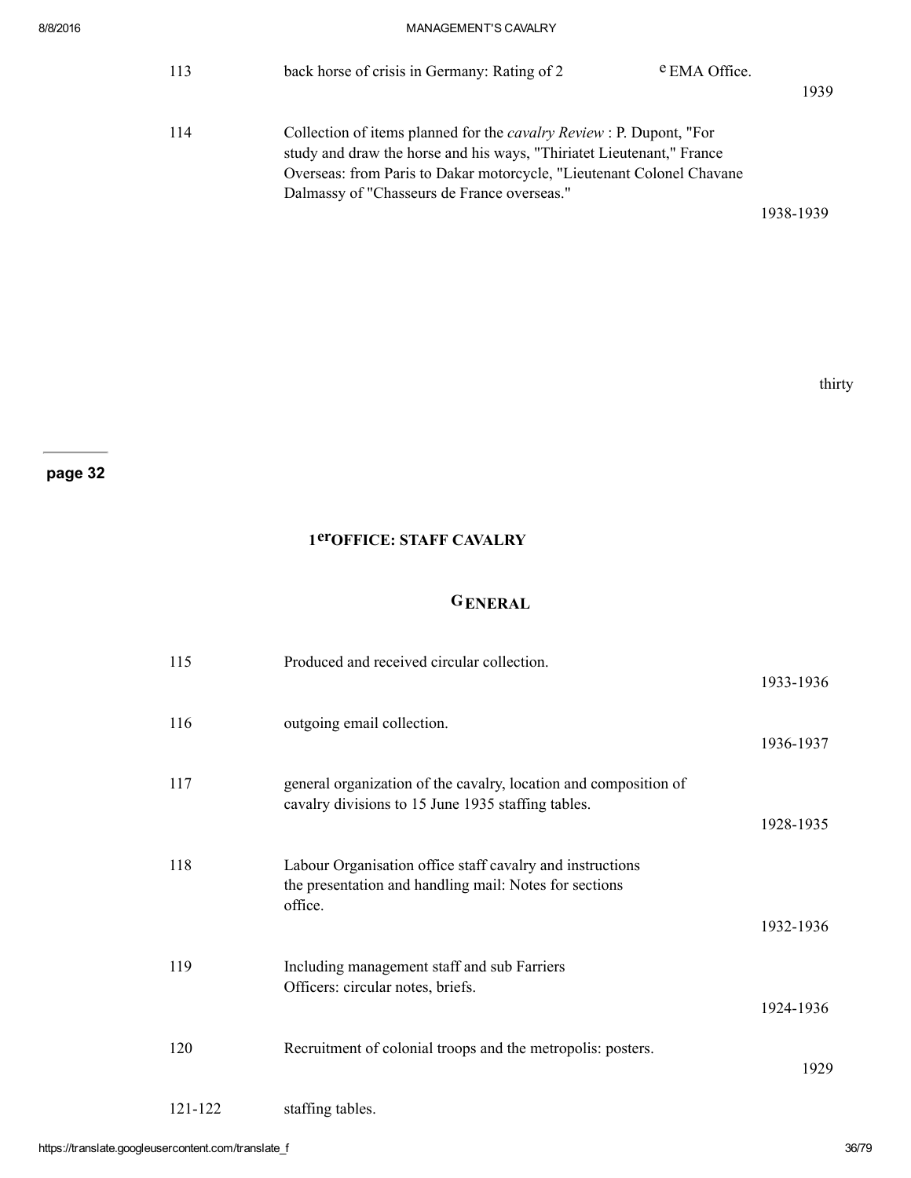| 113 | back horse of crisis in Germany: Rating of 2                                                                                                                                                                                                                                 | <sup>e</sup> EMA Office. | 1939      |
|-----|------------------------------------------------------------------------------------------------------------------------------------------------------------------------------------------------------------------------------------------------------------------------------|--------------------------|-----------|
| 114 | Collection of items planned for the <i>cavalry Review</i> : P. Dupont, "For<br>study and draw the horse and his ways, "Thiriatet Lieutenant," France<br>Overseas: from Paris to Dakar motorcycle, "Lieutenant Colonel Chavane<br>Dalmassy of "Chasseurs de France overseas." |                          |           |
|     |                                                                                                                                                                                                                                                                              |                          | 1938-1939 |
|     |                                                                                                                                                                                                                                                                              |                          |           |

# 1erOFFICE: STAFF CAVALRY

# GENERAL

| 115     | Produced and received circular collection.                                                                                     | 1933-1936 |
|---------|--------------------------------------------------------------------------------------------------------------------------------|-----------|
| 116     | outgoing email collection.                                                                                                     | 1936-1937 |
| 117     | general organization of the cavalry, location and composition of<br>cavalry divisions to 15 June 1935 staffing tables.         | 1928-1935 |
| 118     | Labour Organisation office staff cavalry and instructions<br>the presentation and handling mail: Notes for sections<br>office. | 1932-1936 |
| 119     | Including management staff and sub Farriers<br>Officers: circular notes, briefs.                                               | 1924-1936 |
| 120     | Recruitment of colonial troops and the metropolis: posters.                                                                    | 1929      |
| 121-122 | staffing tables.                                                                                                               |           |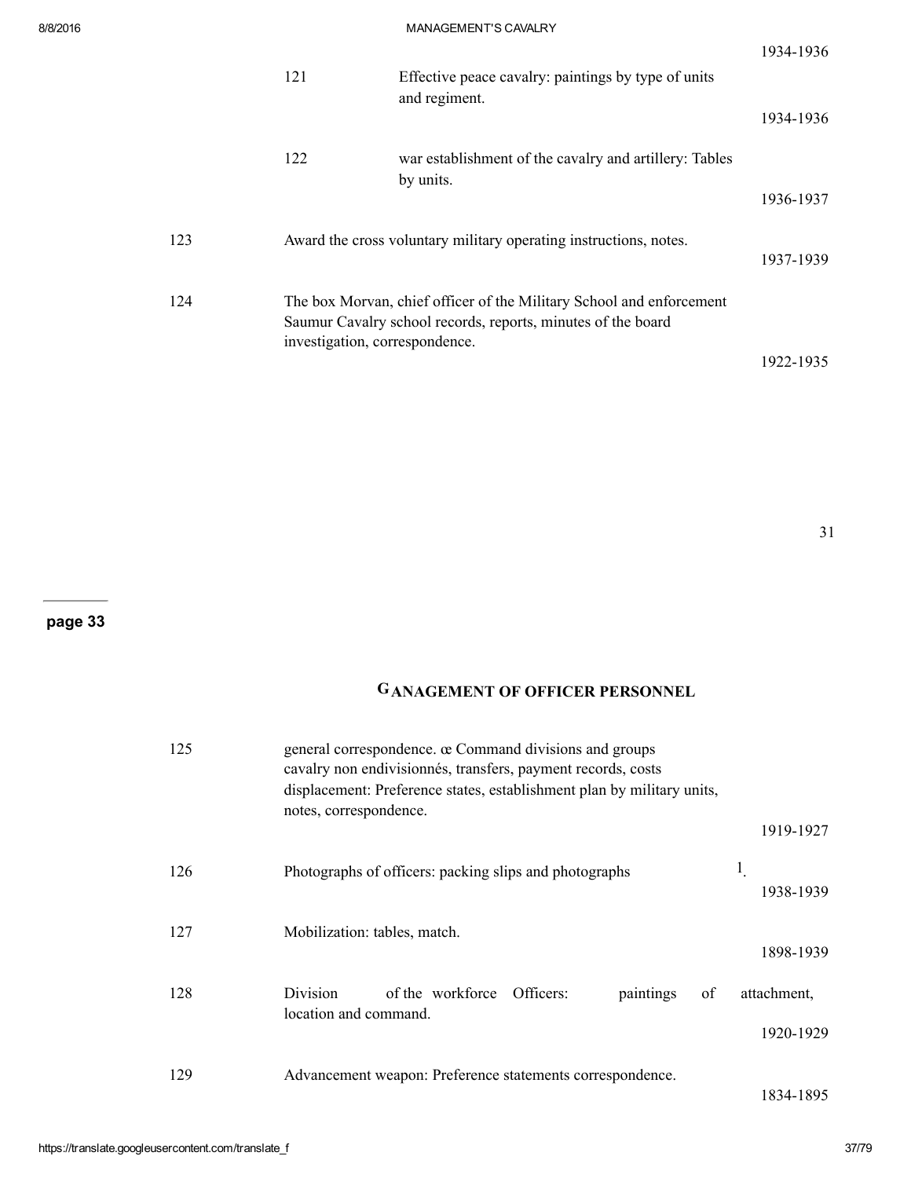|     |                                |                                                                                                                                      | 1934-1936 |
|-----|--------------------------------|--------------------------------------------------------------------------------------------------------------------------------------|-----------|
|     | 121                            | Effective peace cavalry: paintings by type of units<br>and regiment.                                                                 | 1934-1936 |
|     | 122                            | war establishment of the cavalry and artillery: Tables                                                                               |           |
|     |                                | by units.                                                                                                                            | 1936-1937 |
| 123 |                                | Award the cross voluntary military operating instructions, notes.                                                                    | 1937-1939 |
| 124 | investigation, correspondence. | The box Morvan, chief officer of the Military School and enforcement<br>Saumur Cavalry school records, reports, minutes of the board |           |
|     |                                |                                                                                                                                      | 1922-1935 |

# GANAGEMENT OF OFFICER PERSONNEL

| 125 | general correspondence. œ Command divisions and groups<br>cavalry non endivisionnés, transfers, payment records, costs<br>displacement: Preference states, establishment plan by military units,<br>notes, correspondence. |                                   |
|-----|----------------------------------------------------------------------------------------------------------------------------------------------------------------------------------------------------------------------------|-----------------------------------|
|     |                                                                                                                                                                                                                            | 1919-1927                         |
| 126 | Photographs of officers: packing slips and photographs                                                                                                                                                                     | $\mathbf{1}_{\cdot}$<br>1938-1939 |
| 127 | Mobilization: tables, match.                                                                                                                                                                                               | 1898-1939                         |
| 128 | <b>Division</b><br>of the workforce Officers:<br>paintings<br>of<br>location and command.                                                                                                                                  | attachment,                       |
|     |                                                                                                                                                                                                                            | 1920-1929                         |
| 129 | Advancement weapon: Preference statements correspondence.                                                                                                                                                                  | .                                 |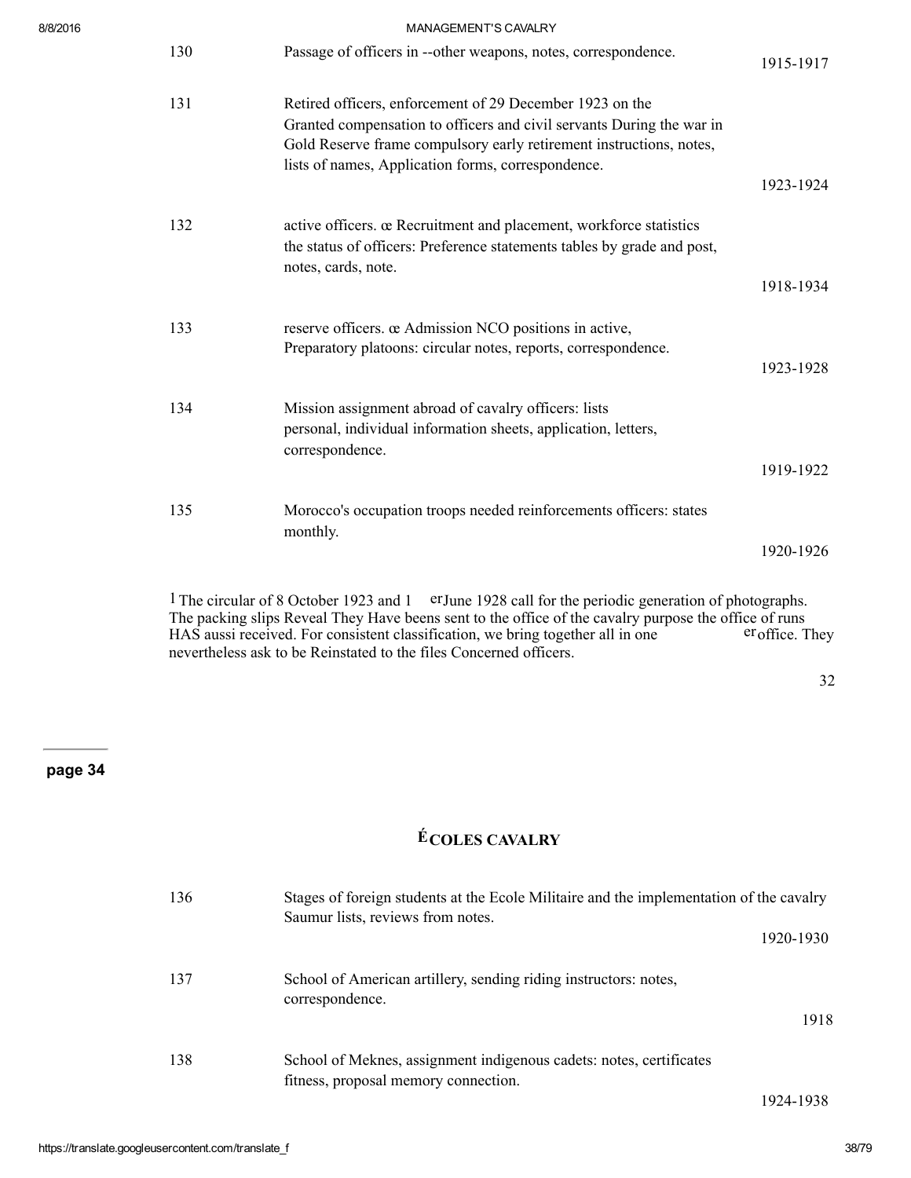| 8/8/2016 |     | MANAGEMENT'S CAVALRY                                                                                                                                                                                                                                           |           |
|----------|-----|----------------------------------------------------------------------------------------------------------------------------------------------------------------------------------------------------------------------------------------------------------------|-----------|
|          | 130 | Passage of officers in --other weapons, notes, correspondence.                                                                                                                                                                                                 | 1915-1917 |
|          | 131 | Retired officers, enforcement of 29 December 1923 on the<br>Granted compensation to officers and civil servants During the war in<br>Gold Reserve frame compulsory early retirement instructions, notes,<br>lists of names, Application forms, correspondence. | 1923-1924 |
|          | 132 | active officers. œ Recruitment and placement, workforce statistics<br>the status of officers: Preference statements tables by grade and post,<br>notes, cards, note.                                                                                           |           |
|          |     |                                                                                                                                                                                                                                                                | 1918-1934 |
|          | 133 | reserve officers. œ Admission NCO positions in active,<br>Preparatory platoons: circular notes, reports, correspondence.                                                                                                                                       | 1923-1928 |
|          | 134 | Mission assignment abroad of cavalry officers: lists<br>personal, individual information sheets, application, letters,<br>correspondence.                                                                                                                      | 1919-1922 |
|          | 135 | Morocco's occupation troops needed reinforcements officers: states<br>monthly.                                                                                                                                                                                 | 1920-1926 |
|          |     | <sup>1</sup> The circular of 8 October 1923 and 1<br>er June 1928 call for the periodic generation of photographs.<br>The packing slips Reveal They Have beens sent to the office of the cavalry purpose the office of runs                                    |           |

 $HAS$  aussi received. For consistent classification, we bring together all in one  $\cdot$  eroffice. They nevertheless ask to be Reinstated to the files Concerned officers.

#### 32

## page 34

# ÉCOLES CAVALRY

| 136 | Stages of foreign students at the Ecole Militaire and the implementation of the cavalry<br>Saumur lists, reviews from notes. |
|-----|------------------------------------------------------------------------------------------------------------------------------|
|     | 1920-1930                                                                                                                    |
| 137 | School of American artillery, sending riding instructors: notes,<br>correspondence.                                          |
|     | 1918                                                                                                                         |
| 138 | School of Meknes, assignment indigenous cadets: notes, certificates<br>fitness, proposal memory connection.                  |

1924-1938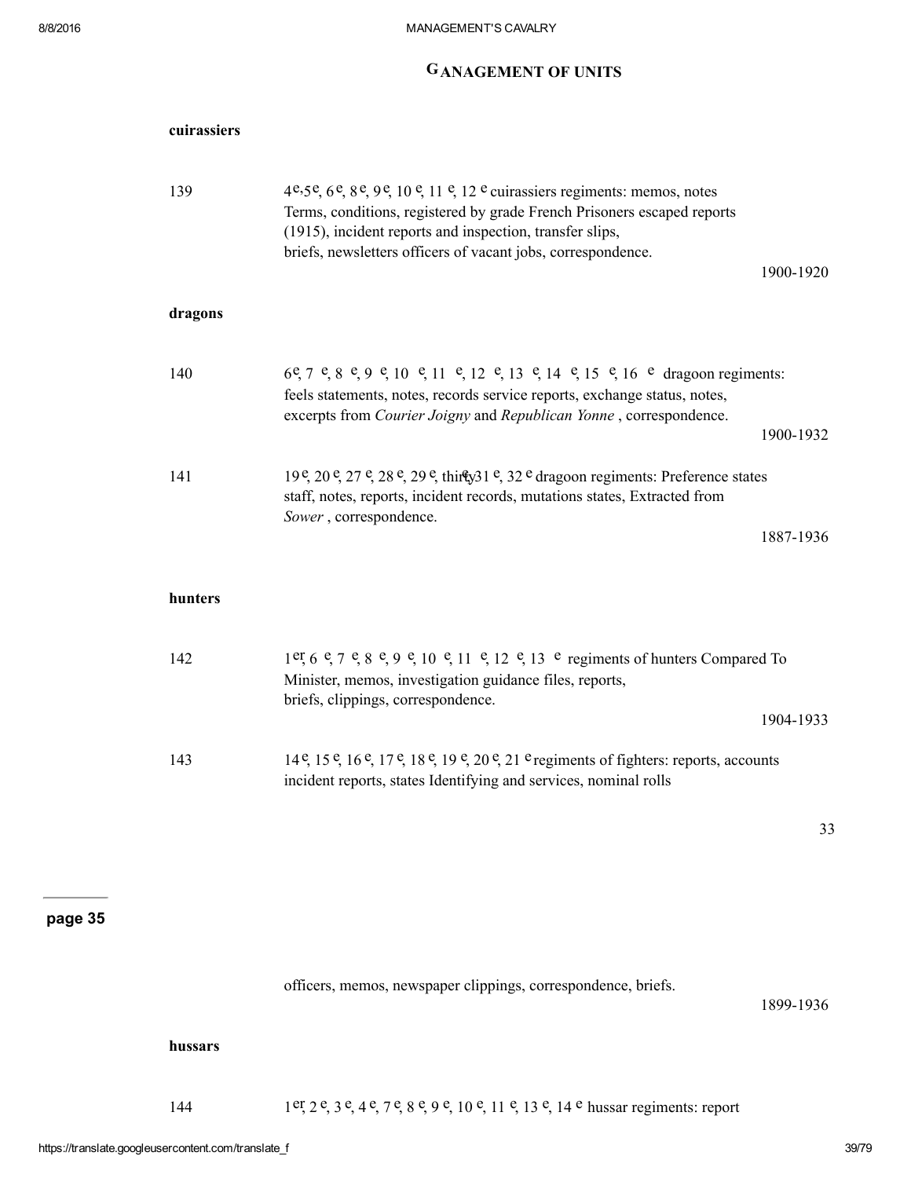# GANAGEMENT OF UNITS

| cuirassiers |                                                                                                                                                                                                                                                                                                  |           |
|-------------|--------------------------------------------------------------------------------------------------------------------------------------------------------------------------------------------------------------------------------------------------------------------------------------------------|-----------|
| 139         | 4e, $5e$ , $6e$ , $8e$ , $9e$ , $10e$ , $11e$ , $12e$ cuirassiers regiments: memos, notes<br>Terms, conditions, registered by grade French Prisoners escaped reports<br>(1915), incident reports and inspection, transfer slips,<br>briefs, newsletters officers of vacant jobs, correspondence. | 1900-1920 |
| dragons     |                                                                                                                                                                                                                                                                                                  |           |
| 140         | $6e$ , $7e$ , $8e$ , $9e$ , $10e$ , $11e$ , $12e$ , $13e$ , $14e$ , $15e$ , $16e$ dragoon regiments:<br>feels statements, notes, records service reports, exchange status, notes,                                                                                                                |           |
|             | excerpts from Courier Joigny and Republican Yonne, correspondence.                                                                                                                                                                                                                               | 1900-1932 |
| 141         | $19^{\circ}$ , $20^{\circ}$ , $27^{\circ}$ , $28^{\circ}$ , $29^{\circ}$ , thirty $31^{\circ}$ , $32^{\circ}$ dragoon regiments: Preference states<br>staff, notes, reports, incident records, mutations states, Extracted from<br>Sower, correspondence.                                        |           |
|             |                                                                                                                                                                                                                                                                                                  | 1887-1936 |
| hunters     |                                                                                                                                                                                                                                                                                                  |           |
| 142         | 1er, 6 e, 7 e, 8 e, 9 e, 10 e, 11 e, 12 e, 13 e regiments of hunters Compared To<br>Minister, memos, investigation guidance files, reports,                                                                                                                                                      |           |
|             | briefs, clippings, correspondence.                                                                                                                                                                                                                                                               | 1904-1933 |
| 143         | 14 <sup>e</sup> , 15 <sup>e</sup> , 16 <sup>e</sup> , 17 <sup>e</sup> , 18 <sup>e</sup> , 19 <sup>e</sup> , 20 <sup>e</sup> , 21 <sup>e</sup> regiments of fighters: reports, accounts<br>incident reports, states Identifying and services, nominal rolls                                       |           |
|             |                                                                                                                                                                                                                                                                                                  | 33        |
|             |                                                                                                                                                                                                                                                                                                  |           |
|             |                                                                                                                                                                                                                                                                                                  |           |
|             | officers, memos, newspaper clippings, correspondence, briefs.                                                                                                                                                                                                                                    | 1899-1936 |
| hussars     |                                                                                                                                                                                                                                                                                                  |           |
| 144         | 1er, 2e, 3e, 4e, 7e, 8e, 9e, 10e, 11e, 13e, 14e hussar regiments: report                                                                                                                                                                                                                         |           |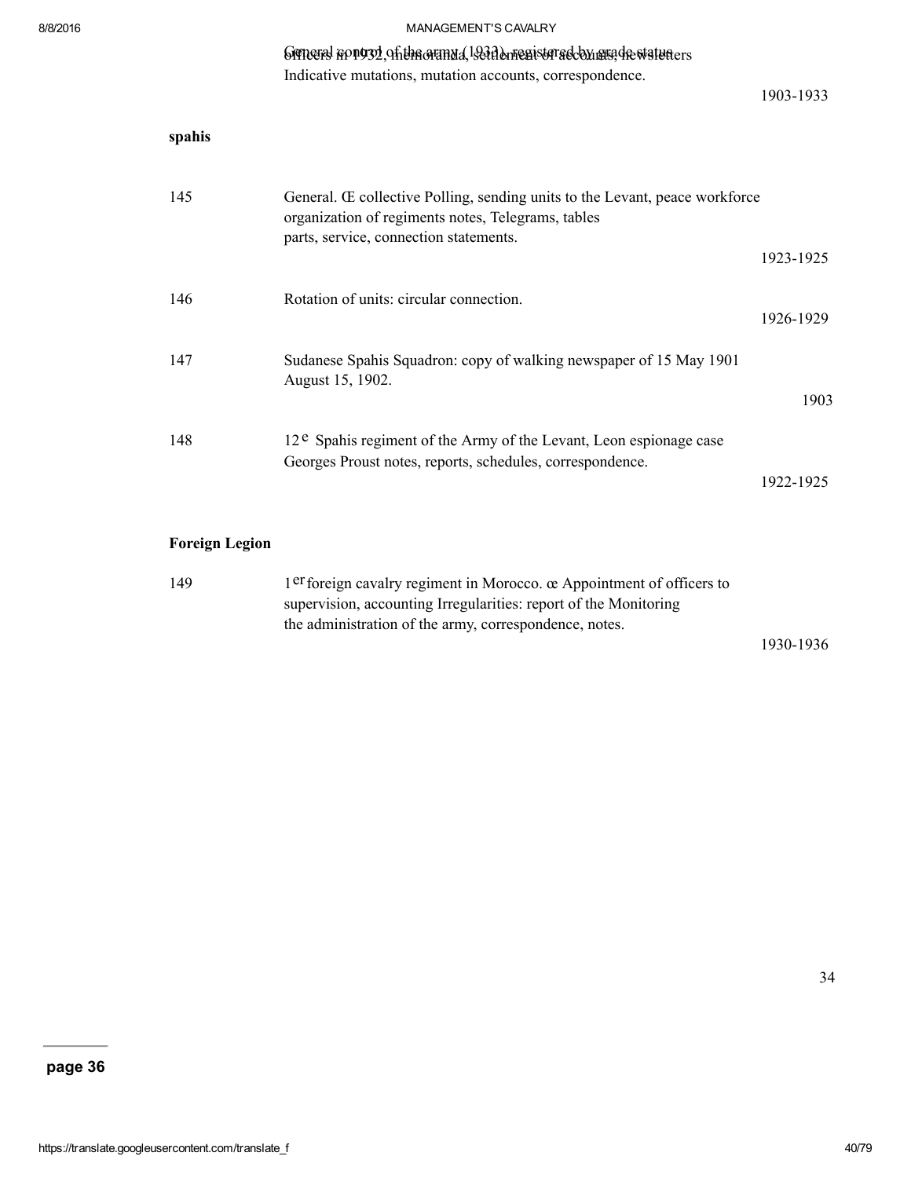#### Grineral hongsy of the oranda, 1931 done gister adoby ung de waturers

Indicative mutations, mutation accounts, correspondence.

1903-1933

| spahis |                                                                                                                                                                             |           |
|--------|-----------------------------------------------------------------------------------------------------------------------------------------------------------------------------|-----------|
| 145    | General. Œ collective Polling, sending units to the Levant, peace workforce<br>organization of regiments notes, Telegrams, tables<br>parts, service, connection statements. |           |
|        |                                                                                                                                                                             | 1923-1925 |
| 146    | Rotation of units: circular connection.                                                                                                                                     | 1926-1929 |
| 147    | Sudanese Spahis Squadron: copy of walking newspaper of 15 May 1901<br>August 15, 1902.                                                                                      |           |
|        |                                                                                                                                                                             | 1903      |
| 148    | $12^e$ Spahis regiment of the Army of the Levant, Leon espionage case<br>Georges Proust notes, reports, schedules, correspondence.                                          |           |
|        |                                                                                                                                                                             | 1922-1925 |

### Foreign Legion

| 149 | $1er$ foreign cavalry regiment in Morocco. $\alpha$ Appointment of officers to |           |
|-----|--------------------------------------------------------------------------------|-----------|
|     | supervision, accounting Irregularities: report of the Monitoring               |           |
|     | the administration of the army, correspondence, notes.                         |           |
|     |                                                                                | 1930-1936 |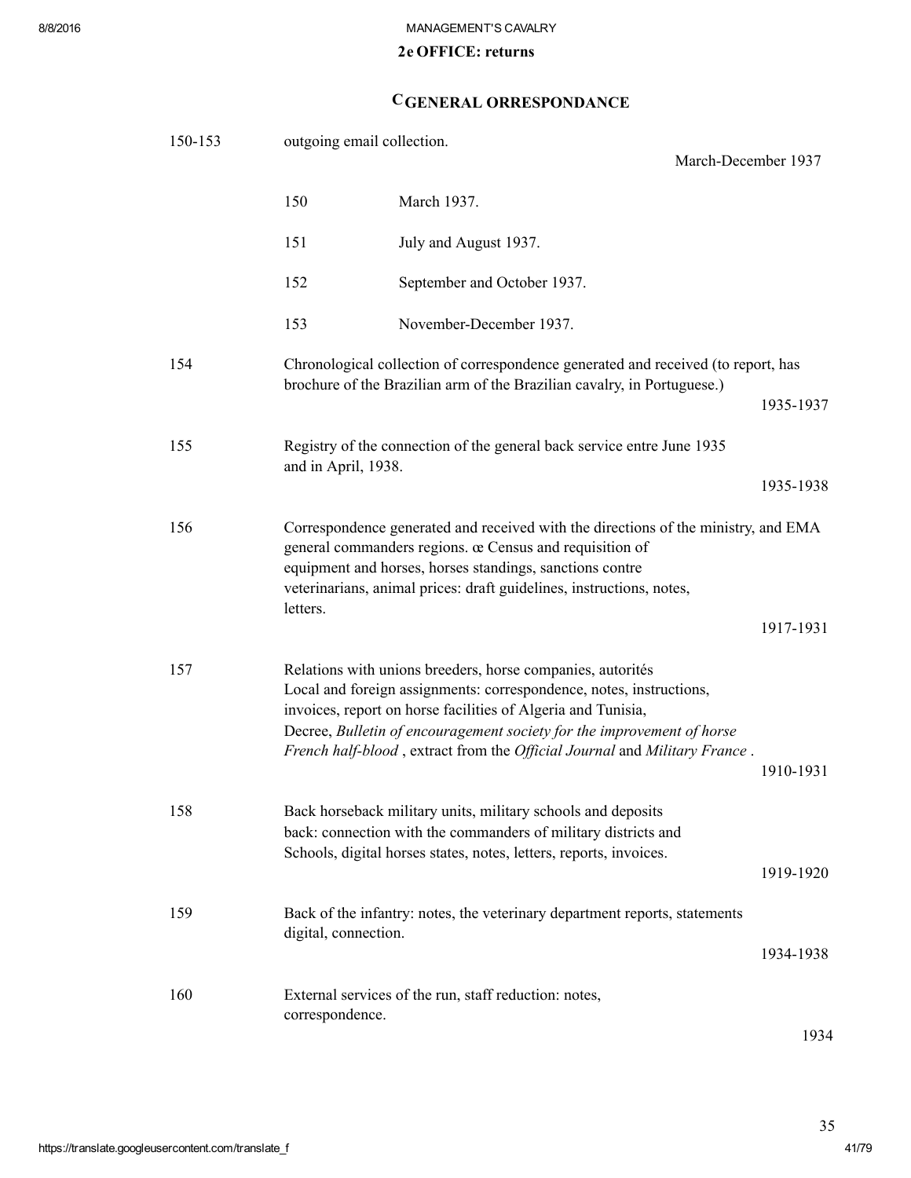### 2e OFFICE: returns

# CGENERAL ORRESPONDANCE

| 150-153 | outgoing email collection.<br>March-December 1937 |                                                                                                                                                                                                                                                                                                                                                          |           |  |
|---------|---------------------------------------------------|----------------------------------------------------------------------------------------------------------------------------------------------------------------------------------------------------------------------------------------------------------------------------------------------------------------------------------------------------------|-----------|--|
|         | 150                                               | March 1937.                                                                                                                                                                                                                                                                                                                                              |           |  |
|         |                                                   |                                                                                                                                                                                                                                                                                                                                                          |           |  |
|         | 151                                               | July and August 1937.                                                                                                                                                                                                                                                                                                                                    |           |  |
|         | 152                                               | September and October 1937.                                                                                                                                                                                                                                                                                                                              |           |  |
|         | 153                                               | November-December 1937.                                                                                                                                                                                                                                                                                                                                  |           |  |
| 154     |                                                   | Chronological collection of correspondence generated and received (to report, has<br>brochure of the Brazilian arm of the Brazilian cavalry, in Portuguese.)                                                                                                                                                                                             |           |  |
|         |                                                   |                                                                                                                                                                                                                                                                                                                                                          | 1935-1937 |  |
| 155     | and in April, 1938.                               | Registry of the connection of the general back service entre June 1935                                                                                                                                                                                                                                                                                   |           |  |
|         |                                                   |                                                                                                                                                                                                                                                                                                                                                          | 1935-1938 |  |
| 156     | letters.                                          | Correspondence generated and received with the directions of the ministry, and EMA<br>general commanders regions. œ Census and requisition of<br>equipment and horses, horses standings, sanctions contre<br>veterinarians, animal prices: draft guidelines, instructions, notes,                                                                        |           |  |
|         |                                                   |                                                                                                                                                                                                                                                                                                                                                          | 1917-1931 |  |
| 157     |                                                   | Relations with unions breeders, horse companies, autorités<br>Local and foreign assignments: correspondence, notes, instructions,<br>invoices, report on horse facilities of Algeria and Tunisia,<br>Decree, Bulletin of encouragement society for the improvement of horse<br>French half-blood, extract from the Official Journal and Military France. | 1910-1931 |  |
| 158     |                                                   | Back horseback military units, military schools and deposits<br>back: connection with the commanders of military districts and<br>Schools, digital horses states, notes, letters, reports, invoices.                                                                                                                                                     | 1919-1920 |  |
| 159     | digital, connection.                              | Back of the infantry: notes, the veterinary department reports, statements                                                                                                                                                                                                                                                                               | 1934-1938 |  |
| 160     | correspondence.                                   | External services of the run, staff reduction: notes,                                                                                                                                                                                                                                                                                                    | 1934      |  |

https://translate.googleusercontent.com/translate\_f 41/79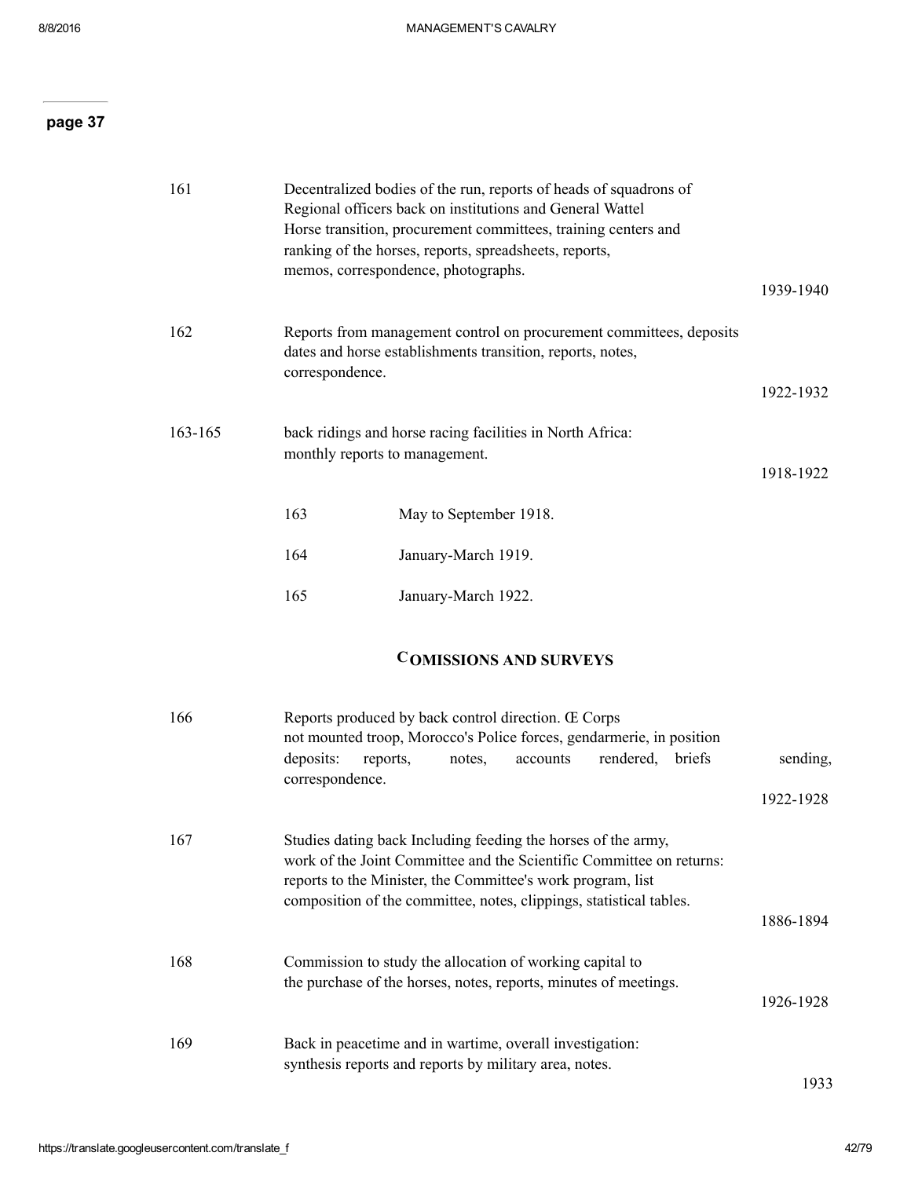| 161     |                                                                                             | Decentralized bodies of the run, reports of heads of squadrons of<br>Regional officers back on institutions and General Wattel<br>Horse transition, procurement committees, training centers and<br>ranking of the horses, reports, spreadsheets, reports,<br>memos, correspondence, photographs. | 1939-1940 |
|---------|---------------------------------------------------------------------------------------------|---------------------------------------------------------------------------------------------------------------------------------------------------------------------------------------------------------------------------------------------------------------------------------------------------|-----------|
| 162     | correspondence.                                                                             | Reports from management control on procurement committees, deposits<br>dates and horse establishments transition, reports, notes,                                                                                                                                                                 | 1922-1932 |
| 163-165 | back ridings and horse racing facilities in North Africa:<br>monthly reports to management. |                                                                                                                                                                                                                                                                                                   |           |
|         | 163                                                                                         | May to September 1918.                                                                                                                                                                                                                                                                            |           |
|         | 164                                                                                         | January-March 1919.                                                                                                                                                                                                                                                                               |           |
|         | 165                                                                                         | January-March 1922.                                                                                                                                                                                                                                                                               |           |
|         |                                                                                             |                                                                                                                                                                                                                                                                                                   |           |

# COMISSIONS AND SURVEYS

| 166 | Reports produced by back control direction. Œ Corps<br>not mounted troop, Morocco's Police forces, gendarmerie, in position                                                                                                                                                 |           |  |  |
|-----|-----------------------------------------------------------------------------------------------------------------------------------------------------------------------------------------------------------------------------------------------------------------------------|-----------|--|--|
|     | deposits:<br>rendered, briefs<br>reports,<br>notes,<br>accounts<br>correspondence.                                                                                                                                                                                          | sending,  |  |  |
|     |                                                                                                                                                                                                                                                                             | 1922-1928 |  |  |
| 167 | Studies dating back Including feeding the horses of the army,<br>work of the Joint Committee and the Scientific Committee on returns:<br>reports to the Minister, the Committee's work program, list<br>composition of the committee, notes, clippings, statistical tables. | 1886-1894 |  |  |
| 168 | Commission to study the allocation of working capital to<br>the purchase of the horses, notes, reports, minutes of meetings.                                                                                                                                                | 1926-1928 |  |  |
| 169 | Back in peacetime and in wartime, overall investigation:<br>synthesis reports and reports by military area, notes.                                                                                                                                                          | 1933      |  |  |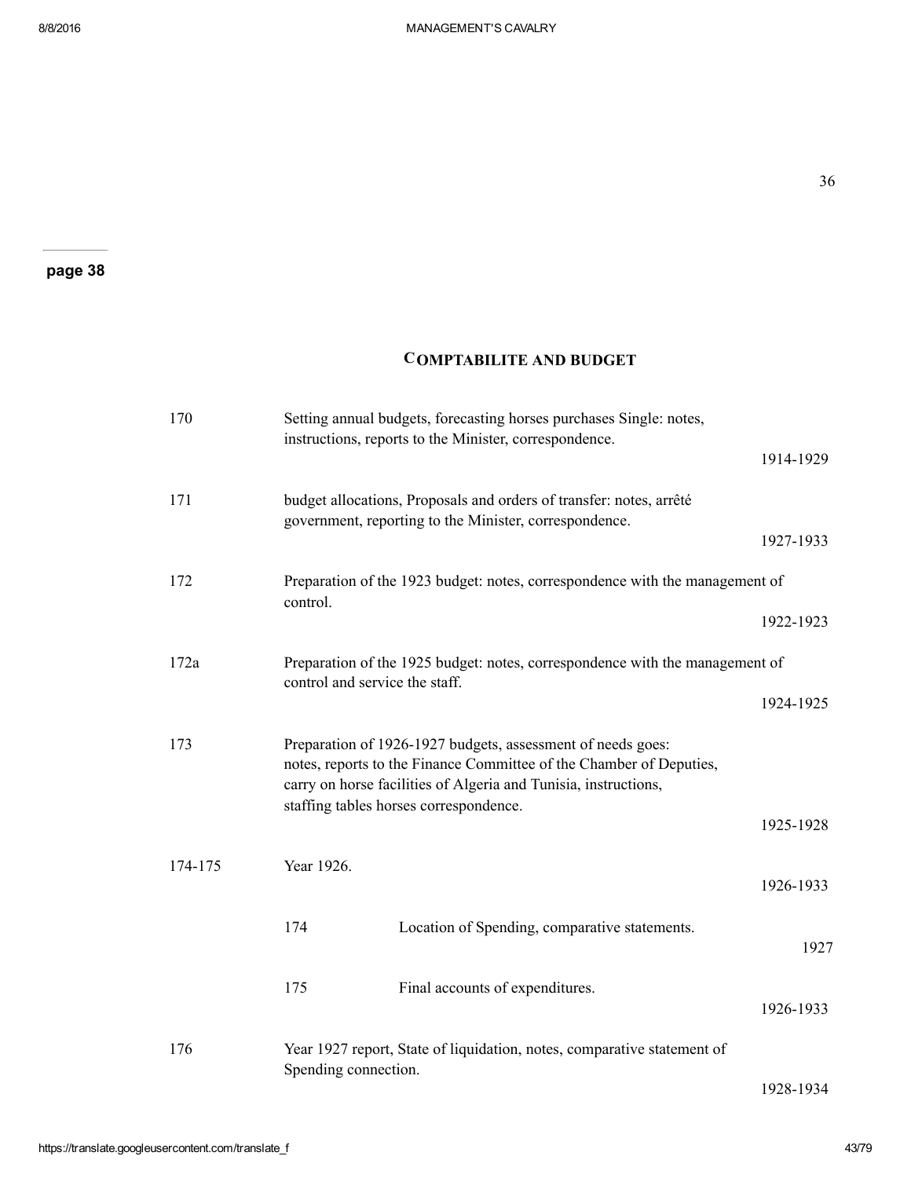### COMPTABILITE AND BUDGET

| 170     |                                | Setting annual budgets, forecasting horses purchases Single: notes,<br>instructions, reports to the Minister, correspondence.                                                                         |           |  |  |
|---------|--------------------------------|-------------------------------------------------------------------------------------------------------------------------------------------------------------------------------------------------------|-----------|--|--|
|         |                                |                                                                                                                                                                                                       | 1914-1929 |  |  |
| 171     |                                | budget allocations, Proposals and orders of transfer: notes, arrêté<br>government, reporting to the Minister, correspondence.                                                                         |           |  |  |
|         |                                |                                                                                                                                                                                                       | 1927-1933 |  |  |
| 172     | control.                       | Preparation of the 1923 budget: notes, correspondence with the management of                                                                                                                          |           |  |  |
|         |                                |                                                                                                                                                                                                       | 1922-1923 |  |  |
| 172a    | control and service the staff. | Preparation of the 1925 budget: notes, correspondence with the management of                                                                                                                          |           |  |  |
|         |                                |                                                                                                                                                                                                       |           |  |  |
| 173     |                                | Preparation of 1926-1927 budgets, assessment of needs goes:<br>notes, reports to the Finance Committee of the Chamber of Deputies,<br>carry on horse facilities of Algeria and Tunisia, instructions, |           |  |  |
|         |                                | staffing tables horses correspondence.                                                                                                                                                                | 1925-1928 |  |  |
| 174-175 | Year 1926.                     |                                                                                                                                                                                                       | 1926-1933 |  |  |
|         | 174                            | Location of Spending, comparative statements.                                                                                                                                                         | 1927      |  |  |
|         | 175                            | Final accounts of expenditures.                                                                                                                                                                       | 1926-1933 |  |  |
| 176     | Spending connection.           | Year 1927 report, State of liquidation, notes, comparative statement of                                                                                                                               |           |  |  |
|         |                                |                                                                                                                                                                                                       | 1928-1934 |  |  |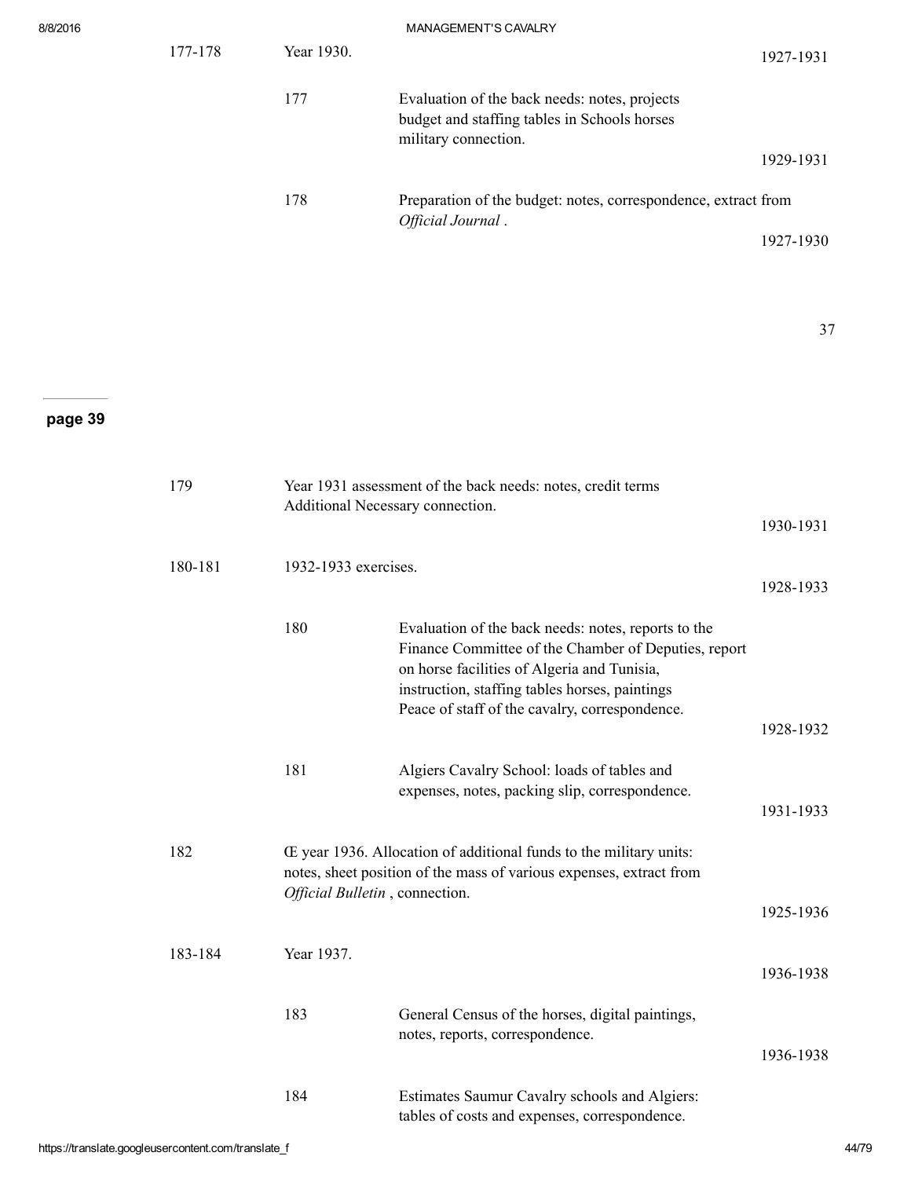| 8/8/2016 |         |                                | MANAGEMENT'S CAVALRY                                                                                                                                                                                                                                           |           |
|----------|---------|--------------------------------|----------------------------------------------------------------------------------------------------------------------------------------------------------------------------------------------------------------------------------------------------------------|-----------|
|          | 177-178 | Year 1930.                     |                                                                                                                                                                                                                                                                | 1927-1931 |
|          |         | 177                            | Evaluation of the back needs: notes, projects<br>budget and staffing tables in Schools horses<br>military connection.                                                                                                                                          |           |
|          |         |                                |                                                                                                                                                                                                                                                                | 1929-1931 |
|          |         | 178                            | Preparation of the budget: notes, correspondence, extract from<br>Official Journal.                                                                                                                                                                            |           |
|          |         |                                |                                                                                                                                                                                                                                                                | 1927-1930 |
|          |         |                                |                                                                                                                                                                                                                                                                |           |
|          |         |                                |                                                                                                                                                                                                                                                                | 37        |
|          |         |                                |                                                                                                                                                                                                                                                                |           |
| page 39  |         |                                |                                                                                                                                                                                                                                                                |           |
|          | 179     |                                | Year 1931 assessment of the back needs: notes, credit terms<br>Additional Necessary connection.                                                                                                                                                                | 1930-1931 |
|          | 180-181 | 1932-1933 exercises.           |                                                                                                                                                                                                                                                                | 1928-1933 |
|          |         | 180                            | Evaluation of the back needs: notes, reports to the<br>Finance Committee of the Chamber of Deputies, report<br>on horse facilities of Algeria and Tunisia,<br>instruction, staffing tables horses, paintings<br>Peace of staff of the cavalry, correspondence. |           |
|          |         |                                |                                                                                                                                                                                                                                                                | 1928-1932 |
|          |         | 181                            | Algiers Cavalry School: loads of tables and<br>expenses, notes, packing slip, correspondence.                                                                                                                                                                  | 1931-1933 |
|          | 182     |                                | Œ year 1936. Allocation of additional funds to the military units:<br>notes, sheet position of the mass of various expenses, extract from                                                                                                                      |           |
|          |         | Official Bulletin, connection. |                                                                                                                                                                                                                                                                | 1925-1936 |

183-184 Year 1937. 1936-1938 183 General Census of the horses, digital paintings, notes, reports, correspondence. 1936-1938 184 Estimates Saumur Cavalry schools and Algiers: tables of costs and expenses, correspondence.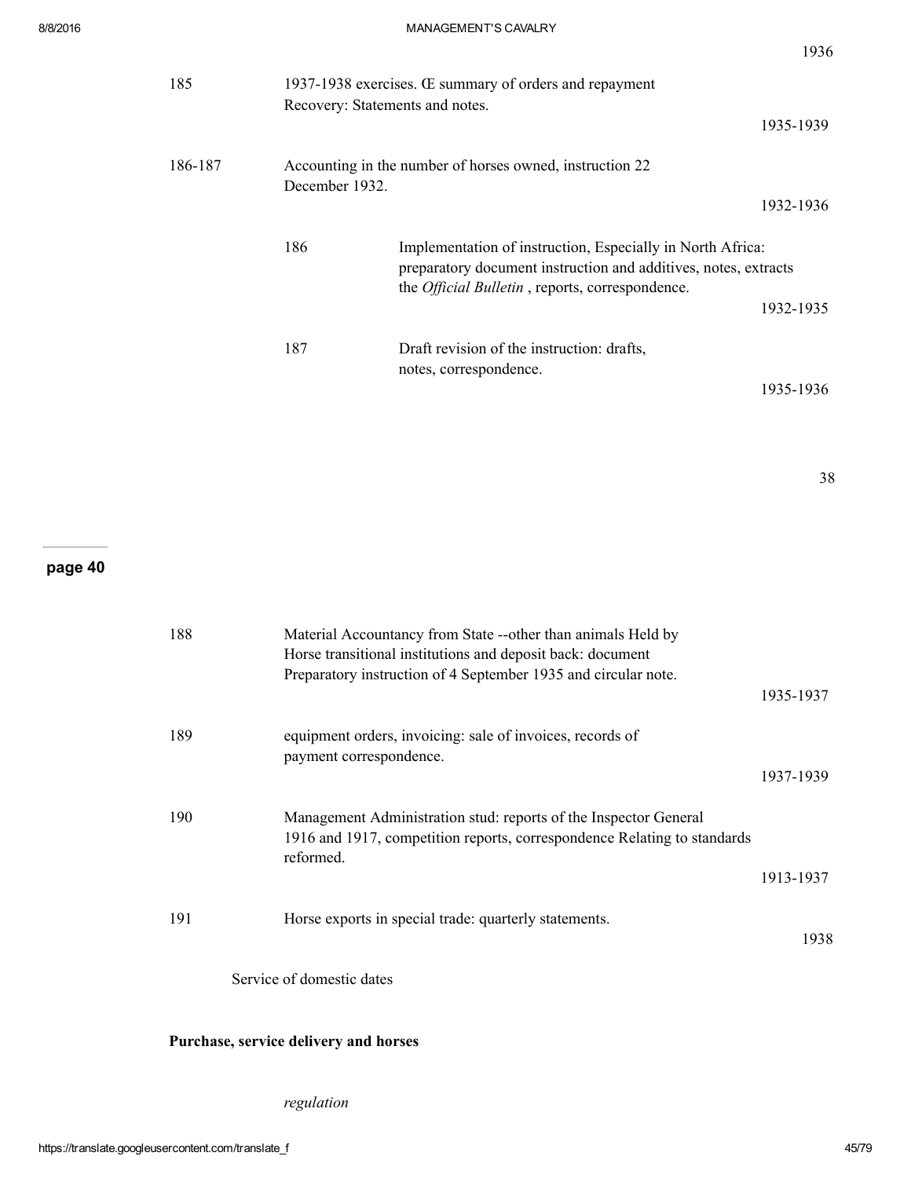| 185     | 1937-1938 exercises. Œ summary of orders and repayment |                                                                                                                                                                                          |  |  |  |
|---------|--------------------------------------------------------|------------------------------------------------------------------------------------------------------------------------------------------------------------------------------------------|--|--|--|
|         |                                                        | Recovery: Statements and notes.<br>1935-1939                                                                                                                                             |  |  |  |
| 186-187 | December 1932.                                         | Accounting in the number of horses owned, instruction 22                                                                                                                                 |  |  |  |
|         |                                                        | 1932-1936                                                                                                                                                                                |  |  |  |
|         | 186                                                    | Implementation of instruction, Especially in North Africa:<br>preparatory document instruction and additives, notes, extracts<br>the <i>Official Bulletin</i> , reports, correspondence. |  |  |  |
|         |                                                        | 1932-1935                                                                                                                                                                                |  |  |  |
|         | 187                                                    | Draft revision of the instruction: drafts,<br>notes, correspondence.                                                                                                                     |  |  |  |
|         |                                                        | 1935-1936                                                                                                                                                                                |  |  |  |

38

## page 40

| 188 | Material Accountancy from State --other than animals Held by<br>Horse transitional institutions and deposit back: document<br>Preparatory instruction of 4 September 1935 and circular note. |           |
|-----|----------------------------------------------------------------------------------------------------------------------------------------------------------------------------------------------|-----------|
|     |                                                                                                                                                                                              | 1935-1937 |
| 189 | equipment orders, invoicing: sale of invoices, records of<br>payment correspondence.                                                                                                         |           |
|     |                                                                                                                                                                                              | 1937-1939 |
| 190 | Management Administration stud: reports of the Inspector General<br>1916 and 1917, competition reports, correspondence Relating to standards<br>reformed.                                    |           |
|     |                                                                                                                                                                                              | 1913-1937 |
| 191 | Horse exports in special trade: quarterly statements.                                                                                                                                        | 1938      |

Service of domestic dates

### Purchase, service delivery and horses

regulation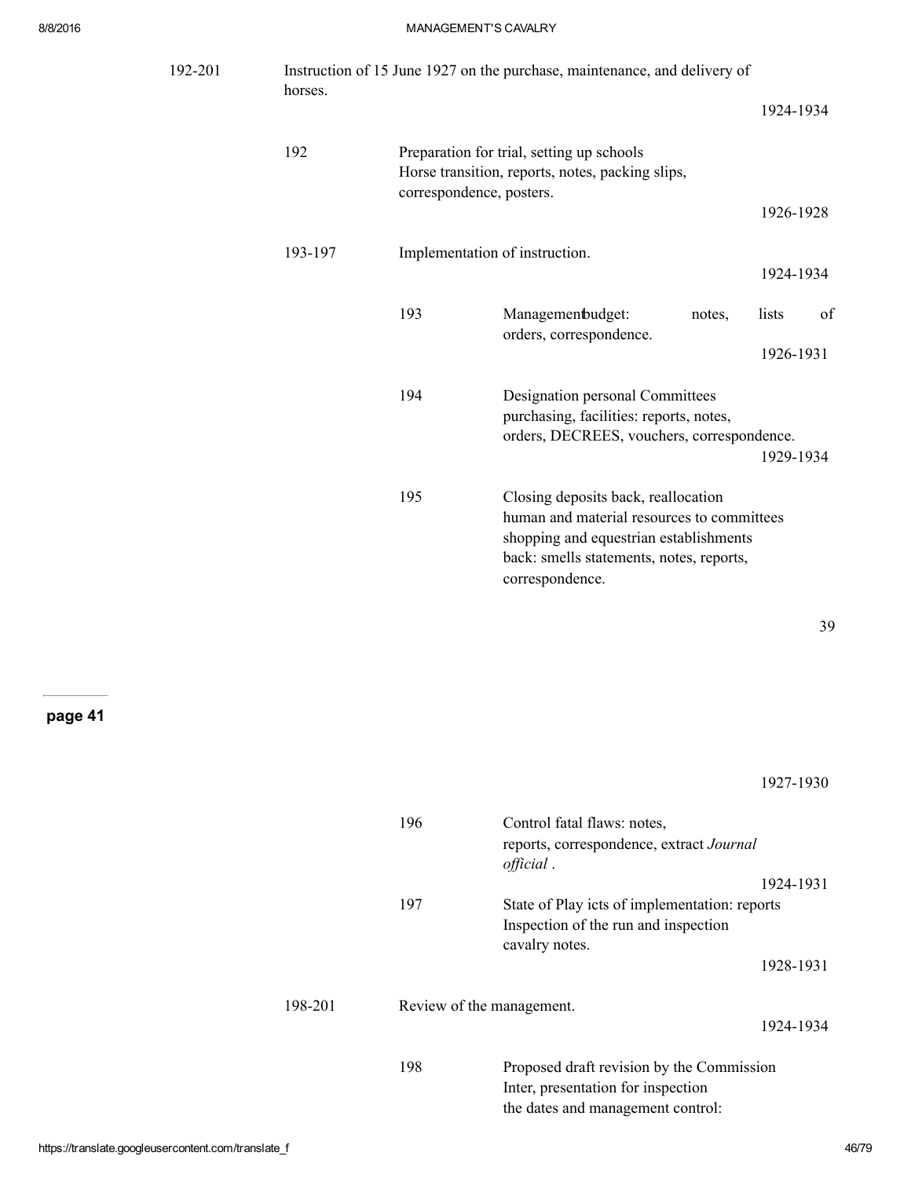| 192-201 | horses. |                          | Instruction of 15 June 1927 on the purchase, maintenance, and delivery of                                                                                                                  |        |           |    |
|---------|---------|--------------------------|--------------------------------------------------------------------------------------------------------------------------------------------------------------------------------------------|--------|-----------|----|
|         |         |                          |                                                                                                                                                                                            |        | 1924-1934 |    |
|         | 192     | correspondence, posters. | Preparation for trial, setting up schools<br>Horse transition, reports, notes, packing slips,                                                                                              |        | 1926-1928 |    |
|         |         |                          |                                                                                                                                                                                            |        |           |    |
|         | 193-197 |                          | Implementation of instruction.                                                                                                                                                             |        | 1924-1934 |    |
|         |         | 193                      | Managemenbudget:<br>orders, correspondence.                                                                                                                                                | notes, | lists     | of |
|         |         |                          |                                                                                                                                                                                            |        | 1926-1931 |    |
|         |         | 194                      | Designation personal Committees<br>purchasing, facilities: reports, notes,<br>orders, DECREES, vouchers, correspondence.                                                                   |        | 1929-1934 |    |
|         |         | 195                      | Closing deposits back, reallocation<br>human and material resources to committees<br>shopping and equestrian establishments<br>back: smells statements, notes, reports,<br>correspondence. |        |           |    |
|         |         |                          |                                                                                                                                                                                            |        |           | 39 |
|         |         |                          |                                                                                                                                                                                            |        |           |    |
|         |         |                          |                                                                                                                                                                                            |        | 1927-1930 |    |
|         |         | 196                      | Control fatal flaws: notes,<br>reports, correspondence, extract Journal<br>official.                                                                                                       |        |           |    |
|         |         | 197                      | State of Play icts of implementation: reports<br>Inspection of the run and inspection<br>cavalry notes.                                                                                    |        | 1924-1931 |    |
|         |         |                          |                                                                                                                                                                                            |        | 1928-1931 |    |
|         | 198-201 |                          | Review of the management.                                                                                                                                                                  |        | 1924-1934 |    |
|         |         | 198                      | Proposed draft revision by the Commission<br>Inter, presentation for inspection<br>the dates and management control:                                                                       |        |           |    |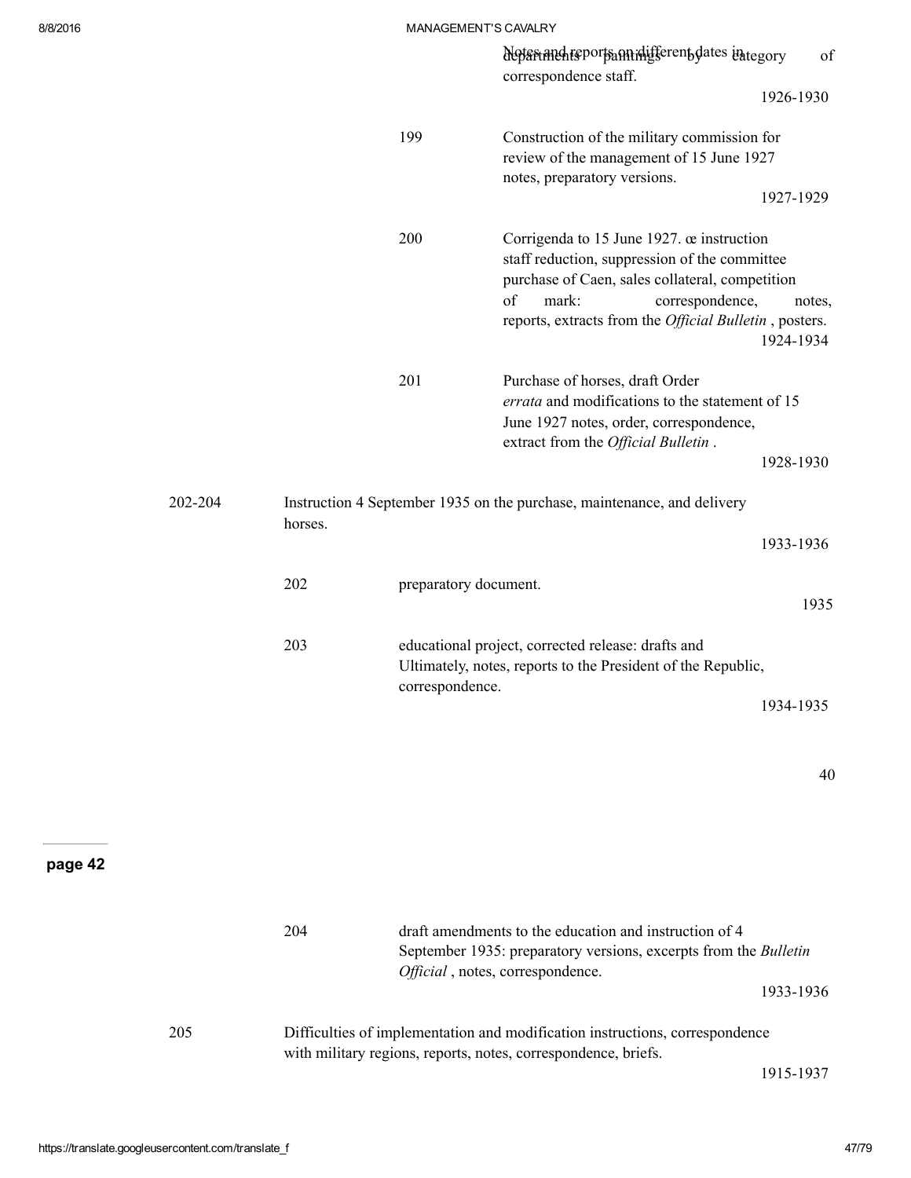|         |         |                       | Notariand reports annihifferent dates integory<br>correspondence staff.                                                                                                                                                                           | of                  |
|---------|---------|-----------------------|---------------------------------------------------------------------------------------------------------------------------------------------------------------------------------------------------------------------------------------------------|---------------------|
|         |         |                       |                                                                                                                                                                                                                                                   | 1926-1930           |
|         |         | 199                   | Construction of the military commission for<br>review of the management of 15 June 1927<br>notes, preparatory versions.                                                                                                                           | 1927-1929           |
|         |         | 200                   | Corrigenda to 15 June 1927. œ instruction<br>staff reduction, suppression of the committee<br>purchase of Caen, sales collateral, competition<br>of<br>mark:<br>correspondence,<br>reports, extracts from the <i>Official Bulletin</i> , posters. | notes,<br>1924-1934 |
|         |         | 201                   | Purchase of horses, draft Order<br>errata and modifications to the statement of 15<br>June 1927 notes, order, correspondence,<br>extract from the Official Bulletin.                                                                              | 1928-1930           |
| 202-204 | horses. |                       | Instruction 4 September 1935 on the purchase, maintenance, and delivery                                                                                                                                                                           |                     |
|         |         |                       |                                                                                                                                                                                                                                                   | 1933-1936           |
|         | 202     | preparatory document. |                                                                                                                                                                                                                                                   | 1935                |
|         | 203     | correspondence.       | educational project, corrected release: drafts and<br>Ultimately, notes, reports to the President of the Republic,                                                                                                                                | 1934-1935           |

40

|     | 204 | draft amendments to the education and instruction of 4<br>September 1935: preparatory versions, excerpts from the Bulletin<br>Official, notes, correspondence.<br>1933-1936 |  |
|-----|-----|-----------------------------------------------------------------------------------------------------------------------------------------------------------------------------|--|
| 205 |     | Difficulties of implementation and modification instructions, correspondence<br>with military regions, reports, notes, correspondence, briefs.<br>1915-1937                 |  |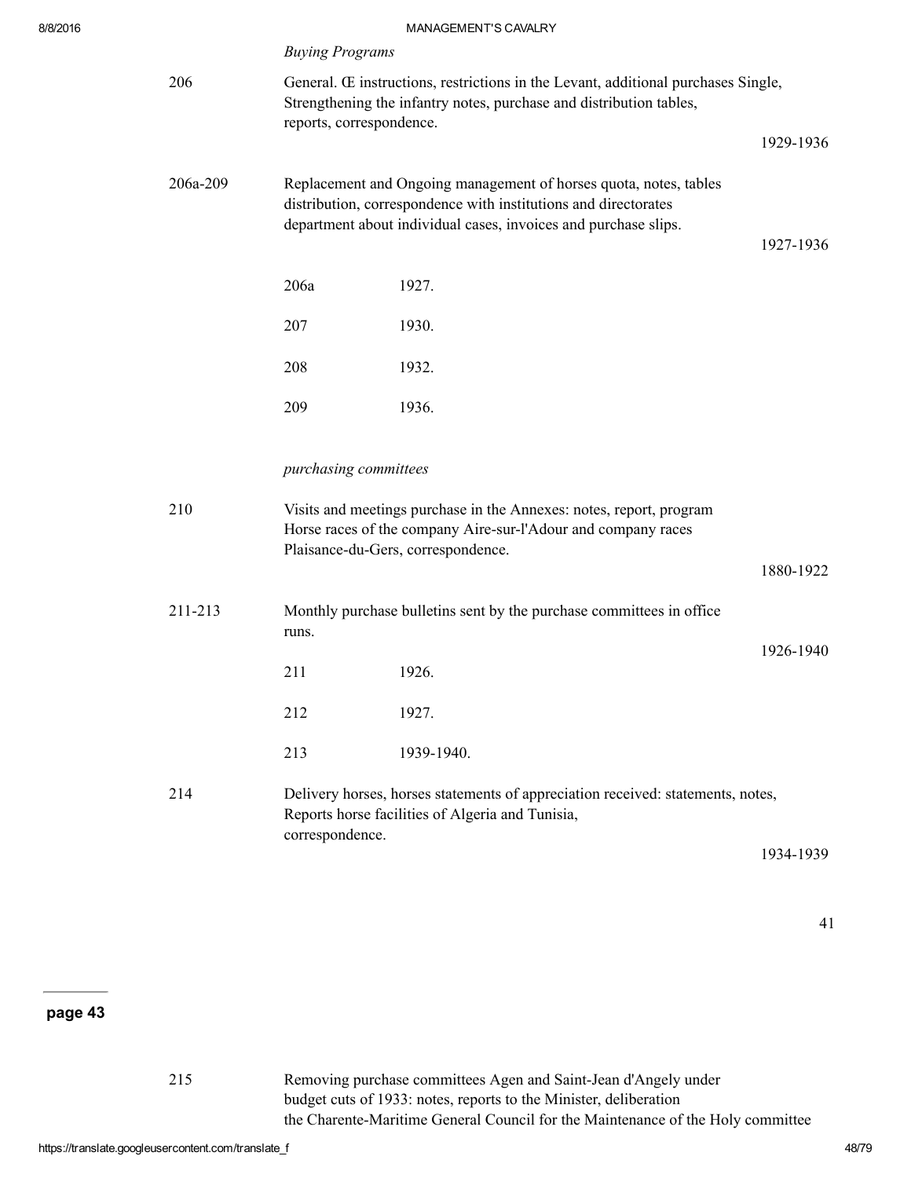|          | <b>Buying Programs</b>                                                                                                                                                               |                                                                                                                                                                                                         |           |  |  |
|----------|--------------------------------------------------------------------------------------------------------------------------------------------------------------------------------------|---------------------------------------------------------------------------------------------------------------------------------------------------------------------------------------------------------|-----------|--|--|
| 206      | General. Œ instructions, restrictions in the Levant, additional purchases Single,<br>Strengthening the infantry notes, purchase and distribution tables,<br>reports, correspondence. |                                                                                                                                                                                                         |           |  |  |
|          |                                                                                                                                                                                      |                                                                                                                                                                                                         | 1929-1936 |  |  |
| 206a-209 |                                                                                                                                                                                      | Replacement and Ongoing management of horses quota, notes, tables<br>distribution, correspondence with institutions and directorates<br>department about individual cases, invoices and purchase slips. | 1927-1936 |  |  |
|          | 206a                                                                                                                                                                                 | 1927.                                                                                                                                                                                                   |           |  |  |
|          | 207                                                                                                                                                                                  | 1930.                                                                                                                                                                                                   |           |  |  |
|          | 208                                                                                                                                                                                  | 1932.                                                                                                                                                                                                   |           |  |  |
|          | 209                                                                                                                                                                                  | 1936.                                                                                                                                                                                                   |           |  |  |
|          | purchasing committees                                                                                                                                                                |                                                                                                                                                                                                         |           |  |  |
| 210      |                                                                                                                                                                                      | Visits and meetings purchase in the Annexes: notes, report, program<br>Horse races of the company Aire-sur-l'Adour and company races<br>Plaisance-du-Gers, correspondence.                              |           |  |  |
|          |                                                                                                                                                                                      |                                                                                                                                                                                                         | 1880-1922 |  |  |
| 211-213  | runs.                                                                                                                                                                                | Monthly purchase bulletins sent by the purchase committees in office                                                                                                                                    |           |  |  |
|          | 211                                                                                                                                                                                  | 1926.                                                                                                                                                                                                   | 1926-1940 |  |  |
|          | 212                                                                                                                                                                                  | 1927.                                                                                                                                                                                                   |           |  |  |
|          | 213                                                                                                                                                                                  | 1939-1940.                                                                                                                                                                                              |           |  |  |
| 214      |                                                                                                                                                                                      | Delivery horses, horses statements of appreciation received: statements, notes,<br>Reports horse facilities of Algeria and Tunisia,                                                                     |           |  |  |
|          | correspondence.                                                                                                                                                                      |                                                                                                                                                                                                         | 1934-1939 |  |  |

215 Removing purchase committees Agen and Saint-Jean d'Angely under budget cuts of 1933: notes, reports to the Minister, deliberation the Charente-Maritime General Council for the Maintenance of the Holy committee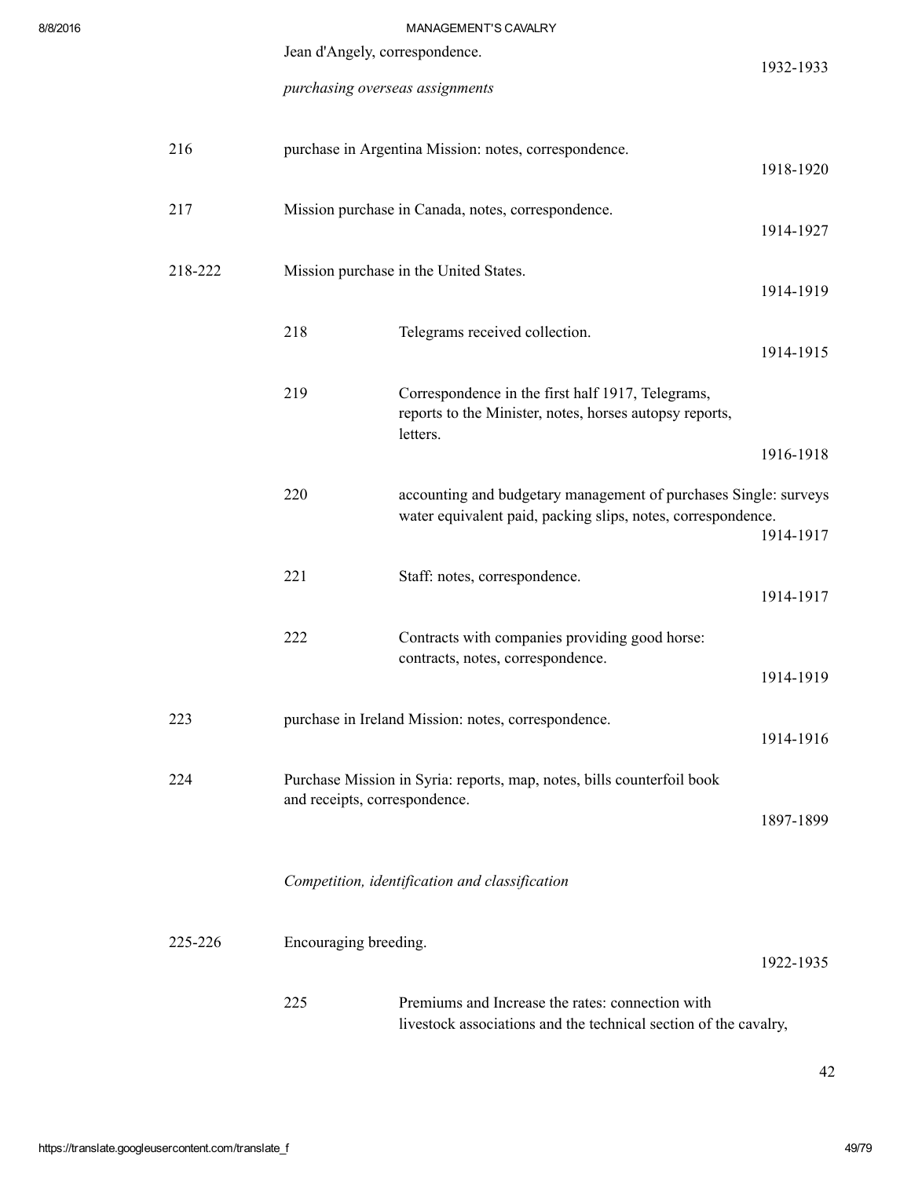| 8/8/2016 |                                |                                 | MANAGEMENT'S CAVALRY                                                                                                             |           |
|----------|--------------------------------|---------------------------------|----------------------------------------------------------------------------------------------------------------------------------|-----------|
|          | Jean d'Angely, correspondence. |                                 |                                                                                                                                  | 1932-1933 |
|          |                                | purchasing overseas assignments |                                                                                                                                  |           |
|          | 216                            |                                 | purchase in Argentina Mission: notes, correspondence.                                                                            | 1918-1920 |
|          | 217                            |                                 | Mission purchase in Canada, notes, correspondence.                                                                               | 1914-1927 |
|          | 218-222                        |                                 | Mission purchase in the United States.                                                                                           | 1914-1919 |
|          |                                | 218                             | Telegrams received collection.                                                                                                   | 1914-1915 |
|          |                                | 219                             | Correspondence in the first half 1917, Telegrams,<br>reports to the Minister, notes, horses autopsy reports,<br>letters.         |           |
|          |                                |                                 |                                                                                                                                  | 1916-1918 |
|          |                                | 220                             | accounting and budgetary management of purchases Single: surveys<br>water equivalent paid, packing slips, notes, correspondence. | 1914-1917 |
|          |                                | 221                             | Staff: notes, correspondence.                                                                                                    | 1914-1917 |
|          |                                | 222                             | Contracts with companies providing good horse:<br>contracts, notes, correspondence.                                              | 1914-1919 |
|          |                                |                                 |                                                                                                                                  |           |
|          | 223                            |                                 | purchase in Ireland Mission: notes, correspondence.                                                                              | 1914-1916 |
|          | 224                            | and receipts, correspondence.   | Purchase Mission in Syria: reports, map, notes, bills counterfoil book                                                           | 1897-1899 |
|          |                                |                                 | Competition, identification and classification                                                                                   |           |
|          | 225-226                        | Encouraging breeding.           |                                                                                                                                  | 1922-1935 |
|          |                                | 225                             | Premiums and Increase the rates: connection with<br>livestock associations and the technical section of the cavalry,             |           |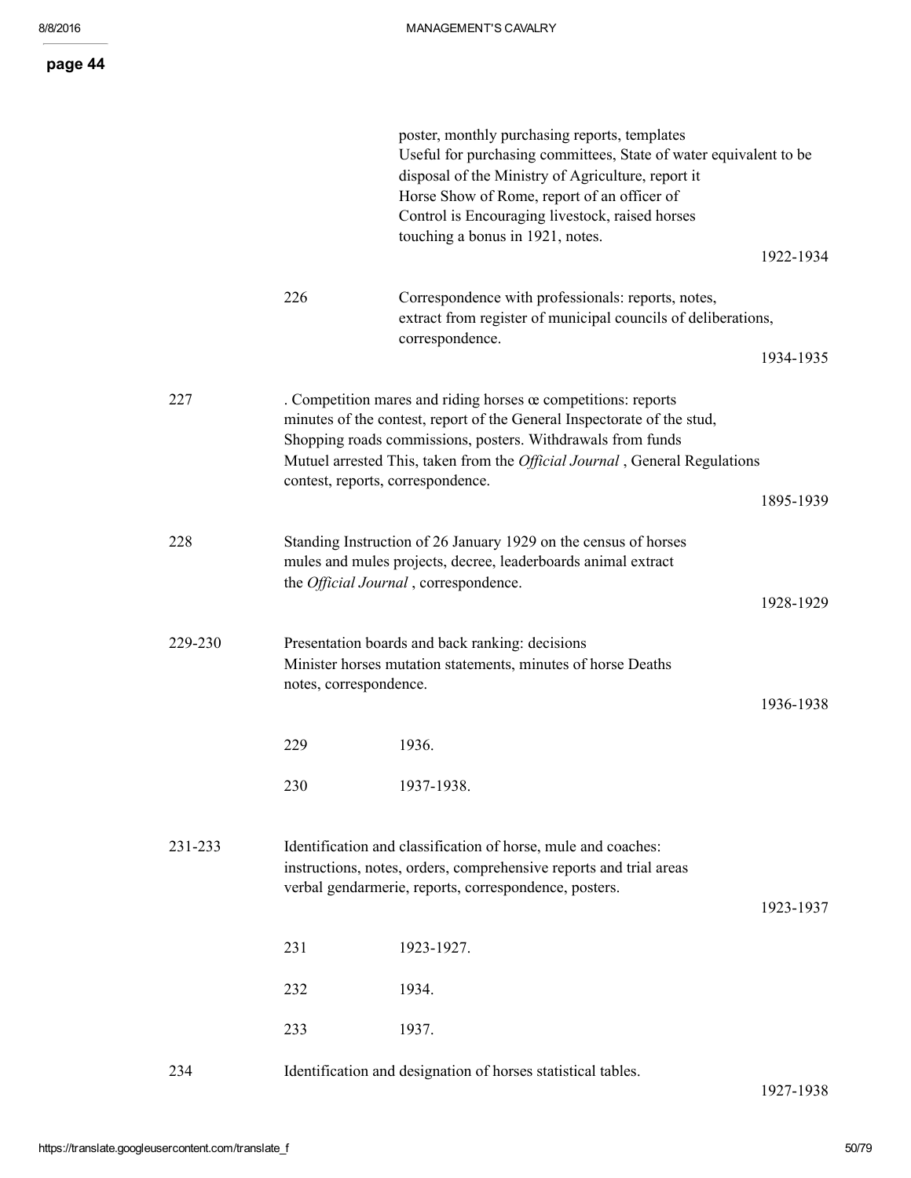|         |                        | poster, monthly purchasing reports, templates<br>Useful for purchasing committees, State of water equivalent to be<br>disposal of the Ministry of Agriculture, report it<br>Horse Show of Rome, report of an officer of<br>Control is Encouraging livestock, raised horses<br>touching a bonus in 1921, notes.             |           |
|---------|------------------------|----------------------------------------------------------------------------------------------------------------------------------------------------------------------------------------------------------------------------------------------------------------------------------------------------------------------------|-----------|
|         |                        |                                                                                                                                                                                                                                                                                                                            | 1922-1934 |
|         | 226                    | Correspondence with professionals: reports, notes,<br>extract from register of municipal councils of deliberations,<br>correspondence.                                                                                                                                                                                     |           |
|         |                        |                                                                                                                                                                                                                                                                                                                            | 1934-1935 |
| 227     |                        | . Competition mares and riding horses œ competitions: reports<br>minutes of the contest, report of the General Inspectorate of the stud,<br>Shopping roads commissions, posters. Withdrawals from funds<br>Mutuel arrested This, taken from the Official Journal, General Regulations<br>contest, reports, correspondence. |           |
|         |                        |                                                                                                                                                                                                                                                                                                                            | 1895-1939 |
| 228     |                        | Standing Instruction of 26 January 1929 on the census of horses<br>mules and mules projects, decree, leaderboards animal extract<br>the <i>Official Journal</i> , correspondence.                                                                                                                                          |           |
|         |                        |                                                                                                                                                                                                                                                                                                                            | 1928-1929 |
| 229-230 | notes, correspondence. | Presentation boards and back ranking: decisions<br>Minister horses mutation statements, minutes of horse Deaths                                                                                                                                                                                                            |           |
|         |                        |                                                                                                                                                                                                                                                                                                                            | 1936-1938 |
|         | 229                    | 1936.                                                                                                                                                                                                                                                                                                                      |           |
|         | 230                    | 1937-1938.                                                                                                                                                                                                                                                                                                                 |           |
| 231-233 |                        | Identification and classification of horse, mule and coaches:<br>instructions, notes, orders, comprehensive reports and trial areas<br>verbal gendarmerie, reports, correspondence, posters.                                                                                                                               | 1923-1937 |
|         | 231                    | 1923-1927.                                                                                                                                                                                                                                                                                                                 |           |
|         | 232                    | 1934.                                                                                                                                                                                                                                                                                                                      |           |
|         | 233                    | 1937.                                                                                                                                                                                                                                                                                                                      |           |
| 234     |                        | Identification and designation of horses statistical tables.                                                                                                                                                                                                                                                               |           |

1927-1938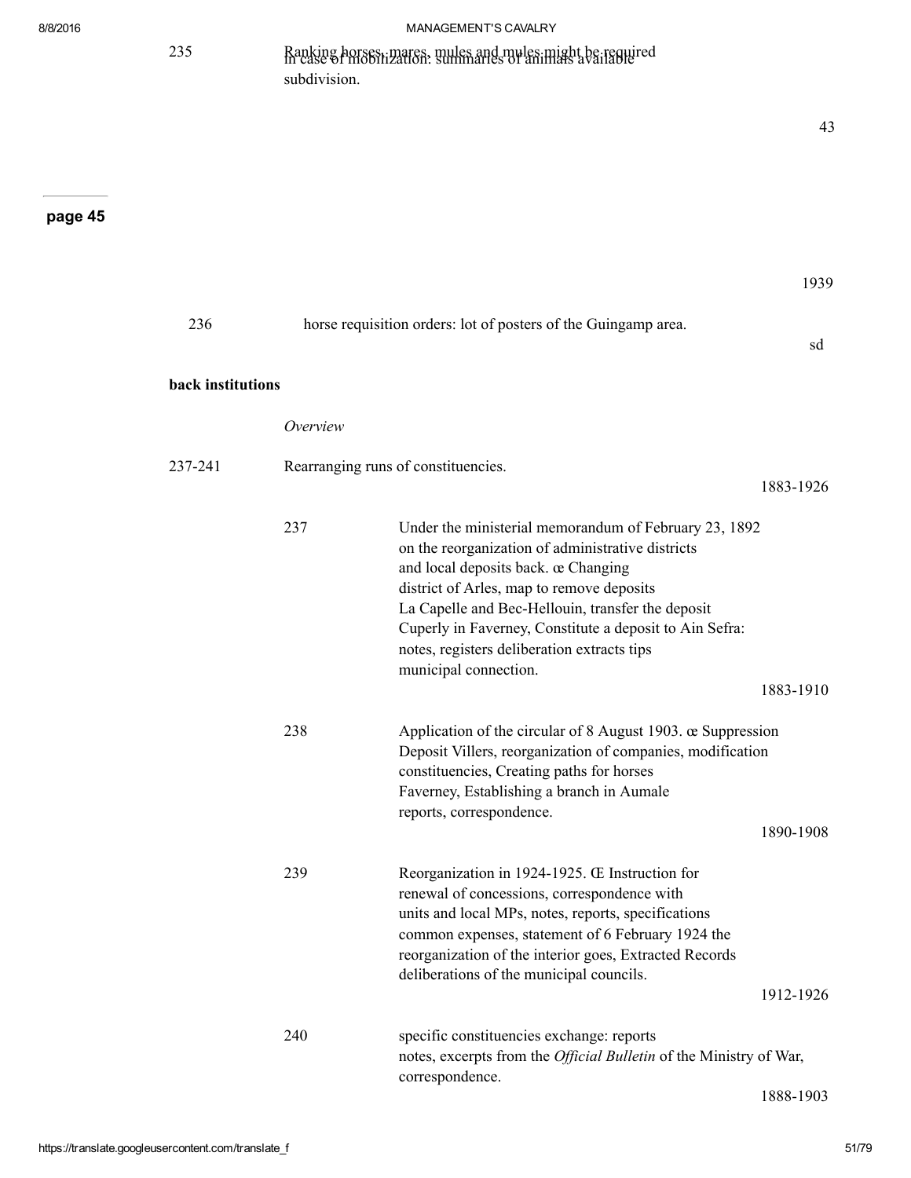235 Ranking horses, mares, mules and mules might be required in case of mobilization: summaries of animals available subdivision.

## page 45

1939

43

| 236               |          | horse requisition orders: lot of posters of the Guingamp area.                                                                                                                                                                                                                                                                                                                         | sd        |
|-------------------|----------|----------------------------------------------------------------------------------------------------------------------------------------------------------------------------------------------------------------------------------------------------------------------------------------------------------------------------------------------------------------------------------------|-----------|
| back institutions |          |                                                                                                                                                                                                                                                                                                                                                                                        |           |
|                   | Overview |                                                                                                                                                                                                                                                                                                                                                                                        |           |
| 237-241           |          | Rearranging runs of constituencies.                                                                                                                                                                                                                                                                                                                                                    | 1883-1926 |
|                   | 237      | Under the ministerial memorandum of February 23, 1892<br>on the reorganization of administrative districts<br>and local deposits back. œ Changing<br>district of Arles, map to remove deposits<br>La Capelle and Bec-Hellouin, transfer the deposit<br>Cuperly in Faverney, Constitute a deposit to Ain Sefra:<br>notes, registers deliberation extracts tips<br>municipal connection. |           |
|                   |          |                                                                                                                                                                                                                                                                                                                                                                                        | 1883-1910 |
|                   | 238      | Application of the circular of 8 August 1903. œ Suppression<br>Deposit Villers, reorganization of companies, modification<br>constituencies, Creating paths for horses<br>Faverney, Establishing a branch in Aumale<br>reports, correspondence.                                                                                                                                        | 1890-1908 |
|                   | 239      | Reorganization in 1924-1925. Œ Instruction for<br>renewal of concessions, correspondence with<br>units and local MPs, notes, reports, specifications<br>common expenses, statement of 6 February 1924 the<br>reorganization of the interior goes, Extracted Records<br>deliberations of the municipal councils.                                                                        | 1912-1926 |
|                   | 240      | specific constituencies exchange: reports<br>notes, excerpts from the Official Bulletin of the Ministry of War,<br>correspondence.                                                                                                                                                                                                                                                     |           |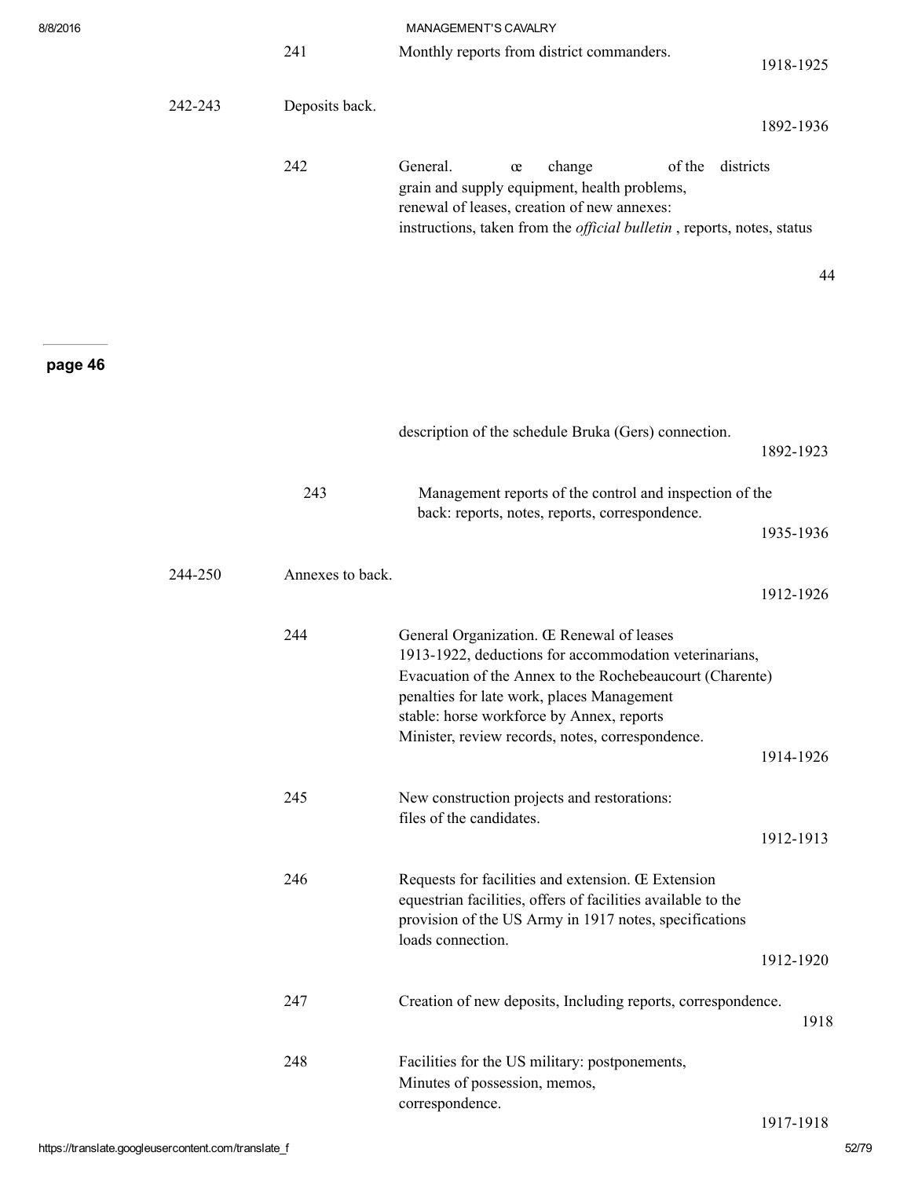| 8/8/2016 |         |                  | MANAGEMENT'S CAVALRY                                                                                                                                                                                                                                                                                           |           |
|----------|---------|------------------|----------------------------------------------------------------------------------------------------------------------------------------------------------------------------------------------------------------------------------------------------------------------------------------------------------------|-----------|
|          |         | 241              | Monthly reports from district commanders.                                                                                                                                                                                                                                                                      | 1918-1925 |
|          | 242-243 | Deposits back.   |                                                                                                                                                                                                                                                                                                                | 1892-1936 |
|          |         | 242              | General.<br>of the districts<br>change<br>œ<br>grain and supply equipment, health problems,<br>renewal of leases, creation of new annexes:<br>instructions, taken from the <i>official bulletin</i> , reports, notes, status                                                                                   |           |
|          |         |                  |                                                                                                                                                                                                                                                                                                                | 44        |
| page 46  |         |                  |                                                                                                                                                                                                                                                                                                                |           |
|          |         |                  | description of the schedule Bruka (Gers) connection.                                                                                                                                                                                                                                                           | 1892-1923 |
|          |         | 243              | Management reports of the control and inspection of the<br>back: reports, notes, reports, correspondence.                                                                                                                                                                                                      |           |
|          |         |                  |                                                                                                                                                                                                                                                                                                                | 1935-1936 |
|          | 244-250 | Annexes to back. |                                                                                                                                                                                                                                                                                                                | 1912-1926 |
|          |         | 244              | General Organization. Œ Renewal of leases<br>1913-1922, deductions for accommodation veterinarians,<br>Evacuation of the Annex to the Rochebeaucourt (Charente)<br>penalties for late work, places Management<br>stable: horse workforce by Annex, reports<br>Minister, review records, notes, correspondence. |           |
|          |         | 245              | New construction projects and restorations:                                                                                                                                                                                                                                                                    | 1914-1926 |
|          |         |                  | files of the candidates.                                                                                                                                                                                                                                                                                       | 1912-1913 |
|          |         | 246              | Requests for facilities and extension. Œ Extension<br>equestrian facilities, offers of facilities available to the<br>provision of the US Army in 1917 notes, specifications<br>loads connection.                                                                                                              | 1912-1920 |
|          |         |                  |                                                                                                                                                                                                                                                                                                                |           |
|          |         | 247              | Creation of new deposits, Including reports, correspondence.                                                                                                                                                                                                                                                   | 1918      |
|          |         | 248              | Facilities for the US military: postponements,<br>Minutes of possession, memos,<br>correspondence.                                                                                                                                                                                                             |           |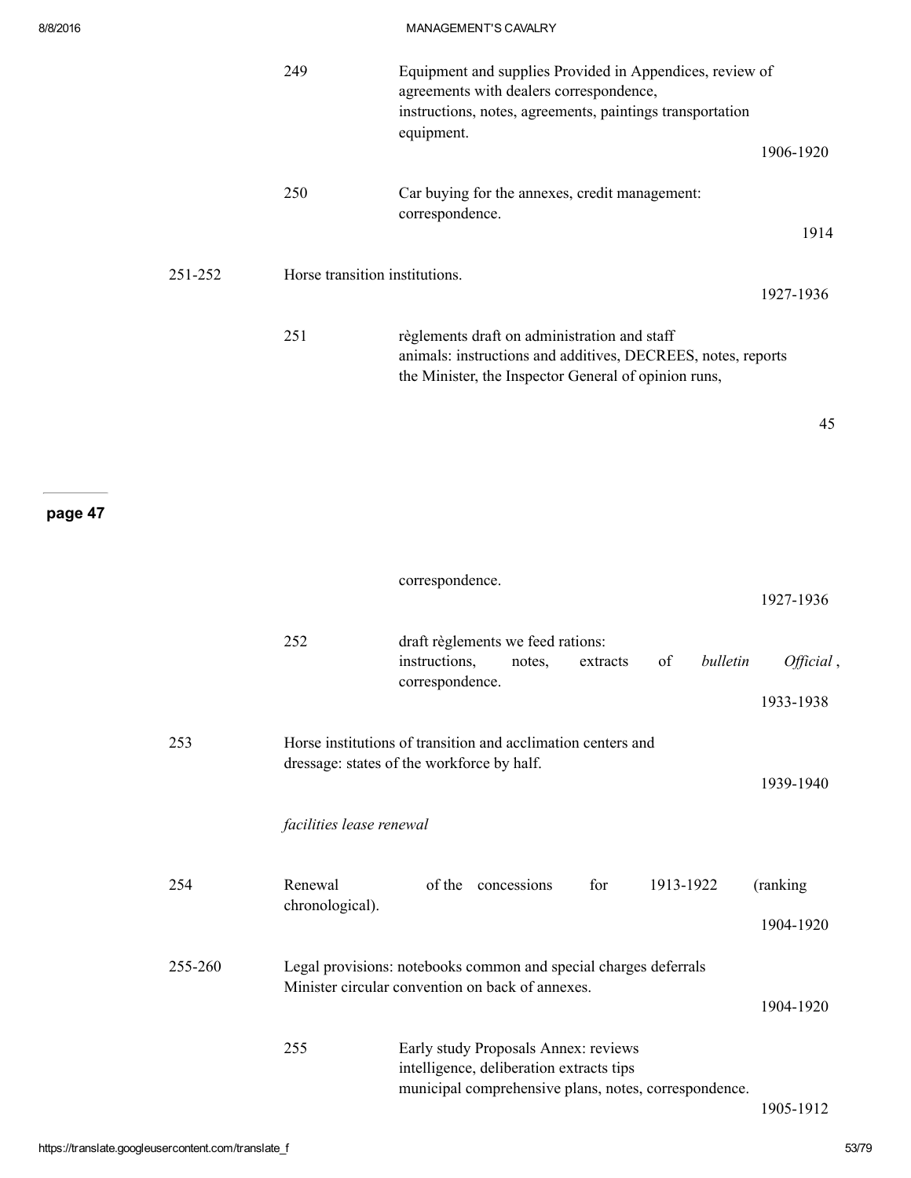|         | 249                            | Equipment and supplies Provided in Appendices, review of<br>agreements with dealers correspondence,<br>instructions, notes, agreements, paintings transportation<br>equipment. | 1906-1920              |
|---------|--------------------------------|--------------------------------------------------------------------------------------------------------------------------------------------------------------------------------|------------------------|
|         | 250                            | Car buying for the annexes, credit management:<br>correspondence.                                                                                                              | 1914                   |
| 251-252 | Horse transition institutions. |                                                                                                                                                                                | 1927-1936              |
|         | 251                            | règlements draft on administration and staff<br>animals: instructions and additives, DECREES, notes, reports<br>the Minister, the Inspector General of opinion runs,           |                        |
|         |                                |                                                                                                                                                                                | 45                     |
|         |                                |                                                                                                                                                                                |                        |
|         |                                | correspondence.                                                                                                                                                                |                        |
|         |                                |                                                                                                                                                                                | 1927-1936              |
|         | 252                            | draft règlements we feed rations:<br>instructions,<br>of<br>bulletin<br>notes,<br>extracts<br>correspondence.                                                                  | Official,<br>1933-1938 |
| 253     |                                | Horse institutions of transition and acclimation centers and<br>dressage: states of the workforce by half.                                                                     |                        |
|         | facilities lease renewal       |                                                                                                                                                                                | 1939-1940              |
|         |                                |                                                                                                                                                                                |                        |
| 254     | Renewal<br>chronological).     | of the concessions<br>for<br>1913-1922                                                                                                                                         | (ranking               |
|         |                                |                                                                                                                                                                                | 1904-1920              |
| 255-260 |                                | Legal provisions: notebooks common and special charges deferrals<br>Minister circular convention on back of annexes.                                                           | 1904-1920              |
|         | 255                            | Early study Proposals Annex: reviews<br>intelligence, deliberation extracts tips<br>municipal comprehensive plans, notes, correspondence.                                      |                        |
|         |                                |                                                                                                                                                                                |                        |

1905-1912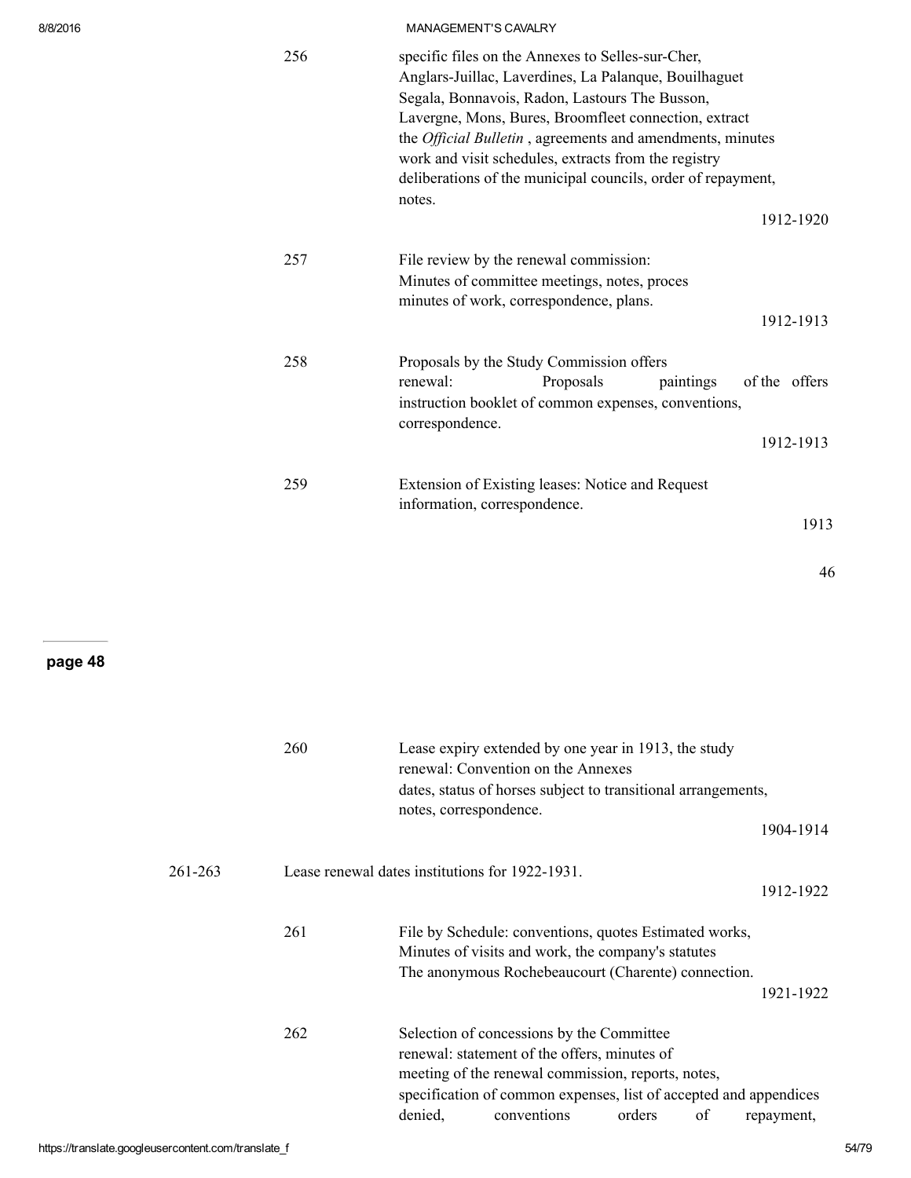| 256 | specific files on the Annexes to Selles-sur-Cher,<br>Anglars-Juillac, Laverdines, La Palanque, Bouilhaguet<br>Segala, Bonnavois, Radon, Lastours The Busson,<br>Lavergne, Mons, Bures, Broomfleet connection, extract<br>the <i>Official Bulletin</i> , agreements and amendments, minutes<br>work and visit schedules, extracts from the registry<br>deliberations of the municipal councils, order of repayment,<br>notes.<br>1912-1920 |
|-----|-------------------------------------------------------------------------------------------------------------------------------------------------------------------------------------------------------------------------------------------------------------------------------------------------------------------------------------------------------------------------------------------------------------------------------------------|
| 257 | File review by the renewal commission:<br>Minutes of committee meetings, notes, proces<br>minutes of work, correspondence, plans.<br>1912-1913                                                                                                                                                                                                                                                                                            |
| 258 | Proposals by the Study Commission offers<br>renewal:<br>of the offers<br>Proposals<br>paintings<br>instruction booklet of common expenses, conventions,<br>correspondence.<br>1912-1913                                                                                                                                                                                                                                                   |
| 259 | Extension of Existing leases: Notice and Request<br>information, correspondence.<br>1913                                                                                                                                                                                                                                                                                                                                                  |

46

|         | 260                                             | notes, correspondence. | Lease expiry extended by one year in 1913, the study<br>renewal: Convention on the Annexes<br>dates, status of horses subject to transitional arrangements,                                                                         |        |    |            |
|---------|-------------------------------------------------|------------------------|-------------------------------------------------------------------------------------------------------------------------------------------------------------------------------------------------------------------------------------|--------|----|------------|
|         |                                                 |                        |                                                                                                                                                                                                                                     |        |    | 1904-1914  |
| 261-263 | Lease renewal dates institutions for 1922-1931. |                        |                                                                                                                                                                                                                                     |        |    | 1912-1922  |
|         | 261                                             |                        | File by Schedule: conventions, quotes Estimated works,<br>Minutes of visits and work, the company's statutes<br>The anonymous Rochebeaucourt (Charente) connection.                                                                 |        |    | 1921-1922  |
|         | 262                                             | denied,                | Selection of concessions by the Committee<br>renewal: statement of the offers, minutes of<br>meeting of the renewal commission, reports, notes,<br>specification of common expenses, list of accepted and appendices<br>conventions | orders | οf | repayment, |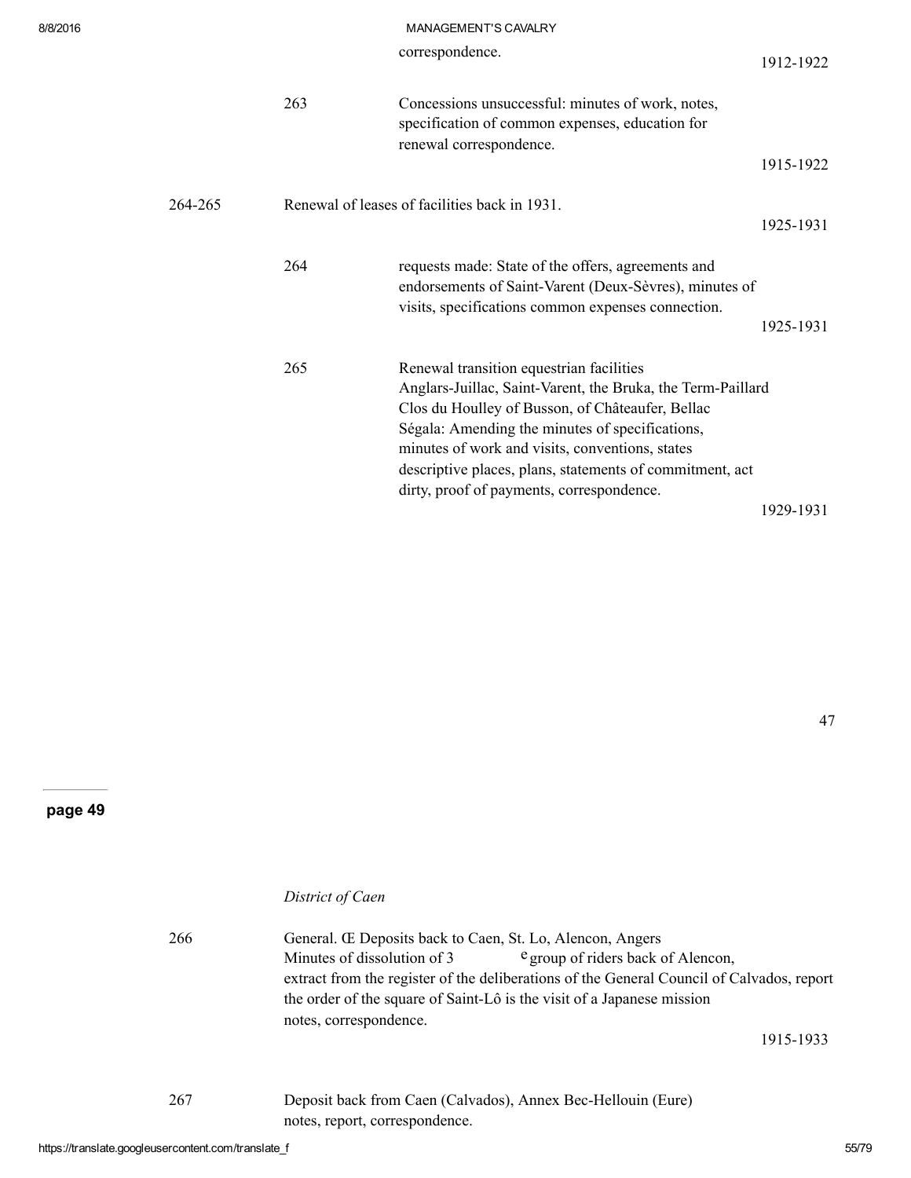|         |     | <b>MANAGEMENT 3 CAVALINI</b>                                                                                                                                                                                                                                                                                                                                               |           |
|---------|-----|----------------------------------------------------------------------------------------------------------------------------------------------------------------------------------------------------------------------------------------------------------------------------------------------------------------------------------------------------------------------------|-----------|
|         |     | correspondence.                                                                                                                                                                                                                                                                                                                                                            | 1912-1922 |
|         | 263 | Concessions unsuccessful: minutes of work, notes,<br>specification of common expenses, education for<br>renewal correspondence.                                                                                                                                                                                                                                            | 1915-1922 |
| 264-265 |     | Renewal of leases of facilities back in 1931.                                                                                                                                                                                                                                                                                                                              | 1925-1931 |
|         | 264 | requests made: State of the offers, agreements and<br>endorsements of Saint-Varent (Deux-Sèvres), minutes of<br>visits, specifications common expenses connection.                                                                                                                                                                                                         | 1925-1931 |
|         | 265 | Renewal transition equestrian facilities<br>Anglars-Juillac, Saint-Varent, the Bruka, the Term-Paillard<br>Clos du Houlley of Busson, of Châteaufer, Bellac<br>Ségala: Amending the minutes of specifications,<br>minutes of work and visits, conventions, states<br>descriptive places, plans, statements of commitment, act<br>dirty, proof of payments, correspondence. |           |
|         |     |                                                                                                                                                                                                                                                                                                                                                                            | 1929-1931 |

page 49

## District of Caen

| 266 | General. Œ Deposits back to Caen, St. Lo, Alencon, Angers                                                                                                      |
|-----|----------------------------------------------------------------------------------------------------------------------------------------------------------------|
|     | Minutes of dissolution of 3<br>e group of riders back of Alencon,<br>extract from the register of the deliberations of the General Council of Calvados, report |
|     | the order of the square of Saint-Lô is the visit of a Japanese mission                                                                                         |
|     | notes, correspondence.<br>1915-1933                                                                                                                            |
| 267 | Deposit back from Caen (Calvados), Annex Bec-Hellouin (Eure)<br>notes, report, correspondence.                                                                 |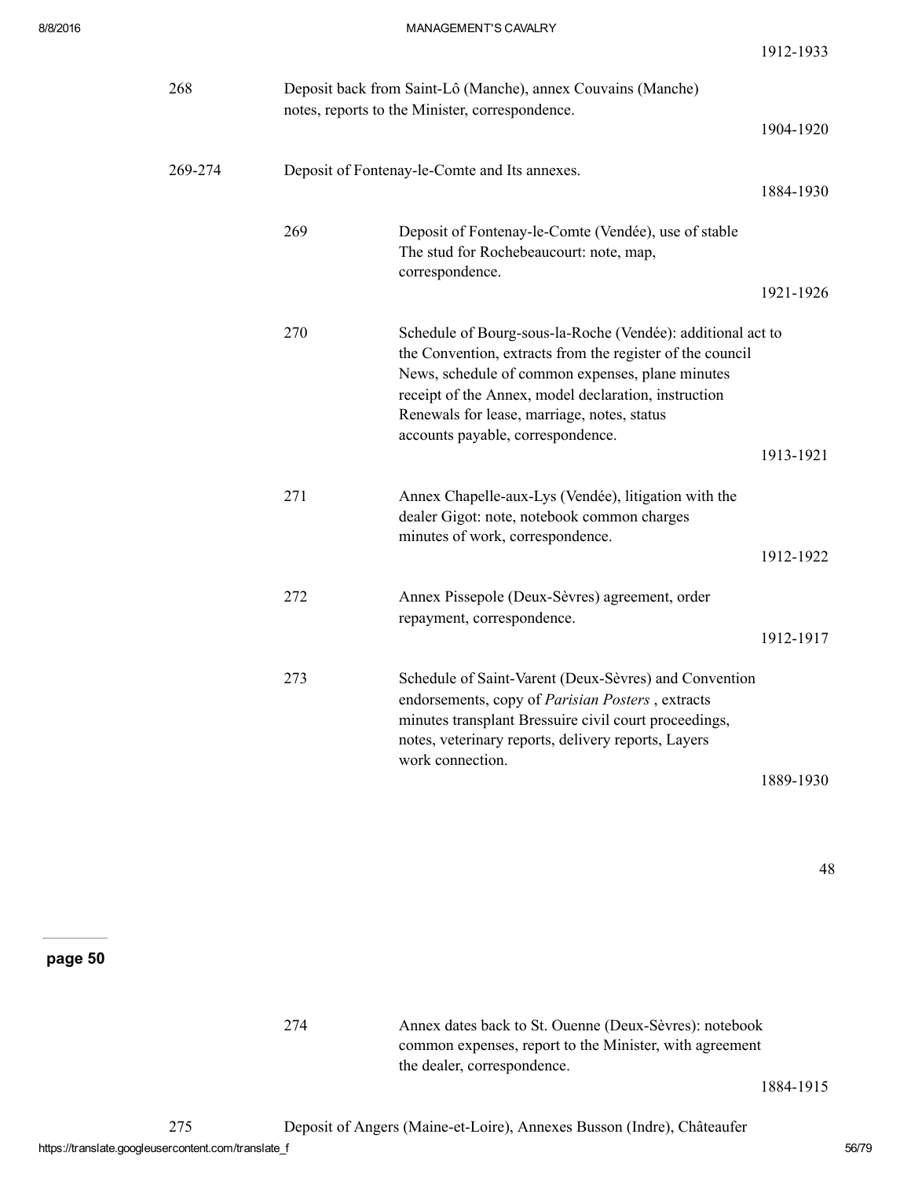1912-1933

| 268     | Deposit back from Saint-Lô (Manche), annex Couvains (Manche)<br>notes, reports to the Minister, correspondence. |                                                                                                                                                                                                                                                                                                                          |           |  |
|---------|-----------------------------------------------------------------------------------------------------------------|--------------------------------------------------------------------------------------------------------------------------------------------------------------------------------------------------------------------------------------------------------------------------------------------------------------------------|-----------|--|
|         |                                                                                                                 |                                                                                                                                                                                                                                                                                                                          | 1904-1920 |  |
| 269-274 |                                                                                                                 | Deposit of Fontenay-le-Comte and Its annexes.                                                                                                                                                                                                                                                                            | 1884-1930 |  |
|         | 269                                                                                                             | Deposit of Fontenay-le-Comte (Vendée), use of stable<br>The stud for Rochebeaucourt: note, map,<br>correspondence.                                                                                                                                                                                                       | 1921-1926 |  |
|         | 270                                                                                                             | Schedule of Bourg-sous-la-Roche (Vendée): additional act to<br>the Convention, extracts from the register of the council<br>News, schedule of common expenses, plane minutes<br>receipt of the Annex, model declaration, instruction<br>Renewals for lease, marriage, notes, status<br>accounts payable, correspondence. | 1913-1921 |  |
|         | 271                                                                                                             | Annex Chapelle-aux-Lys (Vendée), litigation with the<br>dealer Gigot: note, notebook common charges<br>minutes of work, correspondence.                                                                                                                                                                                  | 1912-1922 |  |
|         | 272                                                                                                             | Annex Pissepole (Deux-Sèvres) agreement, order<br>repayment, correspondence.                                                                                                                                                                                                                                             | 1912-1917 |  |
|         | 273                                                                                                             | Schedule of Saint-Varent (Deux-Sèvres) and Convention<br>endorsements, copy of Parisian Posters, extracts<br>minutes transplant Bressuire civil court proceedings,<br>notes, veterinary reports, delivery reports, Layers<br>work connection.                                                                            | 1889-1930 |  |

48

page 50

274 Annex dates back to St. Ouenne (Deux-Sèvres): notebook common expenses, report to the Minister, with agreement the dealer, correspondence.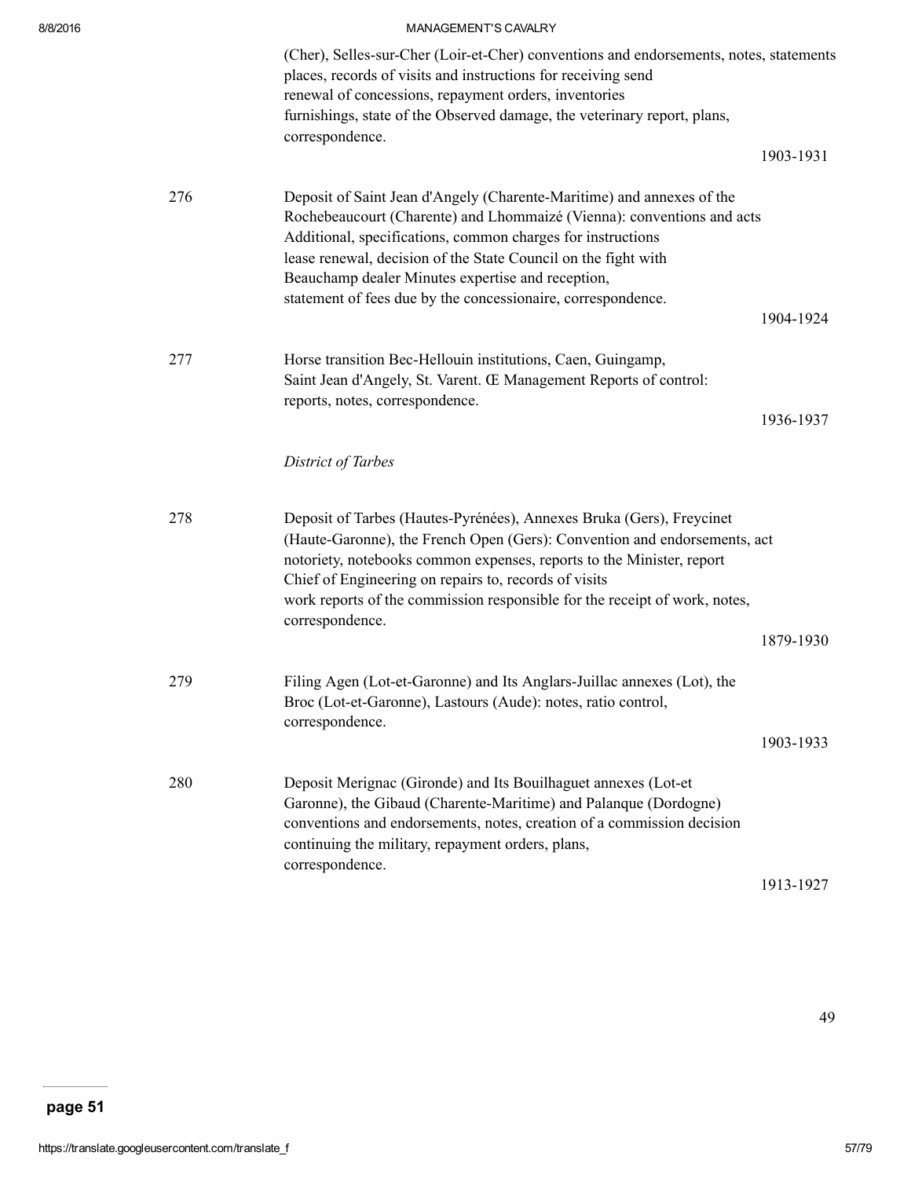| 8/8/2016 |     | <b>MANAGEMENT'S CAVALRY</b>                                                                                                                                                                                                                                                                                                                                                                           |           |
|----------|-----|-------------------------------------------------------------------------------------------------------------------------------------------------------------------------------------------------------------------------------------------------------------------------------------------------------------------------------------------------------------------------------------------------------|-----------|
|          |     | (Cher), Selles-sur-Cher (Loir-et-Cher) conventions and endorsements, notes, statements<br>places, records of visits and instructions for receiving send<br>renewal of concessions, repayment orders, inventories<br>furnishings, state of the Observed damage, the veterinary report, plans,<br>correspondence.                                                                                       |           |
|          |     |                                                                                                                                                                                                                                                                                                                                                                                                       | 1903-1931 |
|          | 276 | Deposit of Saint Jean d'Angely (Charente-Maritime) and annexes of the<br>Rochebeaucourt (Charente) and Lhommaizé (Vienna): conventions and acts<br>Additional, specifications, common charges for instructions<br>lease renewal, decision of the State Council on the fight with<br>Beauchamp dealer Minutes expertise and reception,<br>statement of fees due by the concessionaire, correspondence. |           |
|          |     |                                                                                                                                                                                                                                                                                                                                                                                                       | 1904-1924 |
|          | 277 | Horse transition Bec-Hellouin institutions, Caen, Guingamp,<br>Saint Jean d'Angely, St. Varent. Œ Management Reports of control:<br>reports, notes, correspondence.                                                                                                                                                                                                                                   | 1936-1937 |
|          |     | District of Tarbes                                                                                                                                                                                                                                                                                                                                                                                    |           |
|          | 278 | Deposit of Tarbes (Hautes-Pyrénées), Annexes Bruka (Gers), Freycinet<br>(Haute-Garonne), the French Open (Gers): Convention and endorsements, act<br>notoriety, notebooks common expenses, reports to the Minister, report<br>Chief of Engineering on repairs to, records of visits<br>work reports of the commission responsible for the receipt of work, notes,<br>correspondence.                  |           |
|          |     |                                                                                                                                                                                                                                                                                                                                                                                                       | 1879-1930 |
|          | 279 | Filing Agen (Lot-et-Garonne) and Its Anglars-Juillac annexes (Lot), the<br>Broc (Lot-et-Garonne), Lastours (Aude): notes, ratio control,<br>correspondence.                                                                                                                                                                                                                                           |           |
|          |     |                                                                                                                                                                                                                                                                                                                                                                                                       | 1903-1933 |
|          | 280 | Deposit Merignac (Gironde) and Its Bouilhaguet annexes (Lot-et<br>Garonne), the Gibaud (Charente-Maritime) and Palanque (Dordogne)<br>conventions and endorsements, notes, creation of a commission decision<br>continuing the military, repayment orders, plans,<br>correspondence.                                                                                                                  |           |
|          |     |                                                                                                                                                                                                                                                                                                                                                                                                       | 1913-1927 |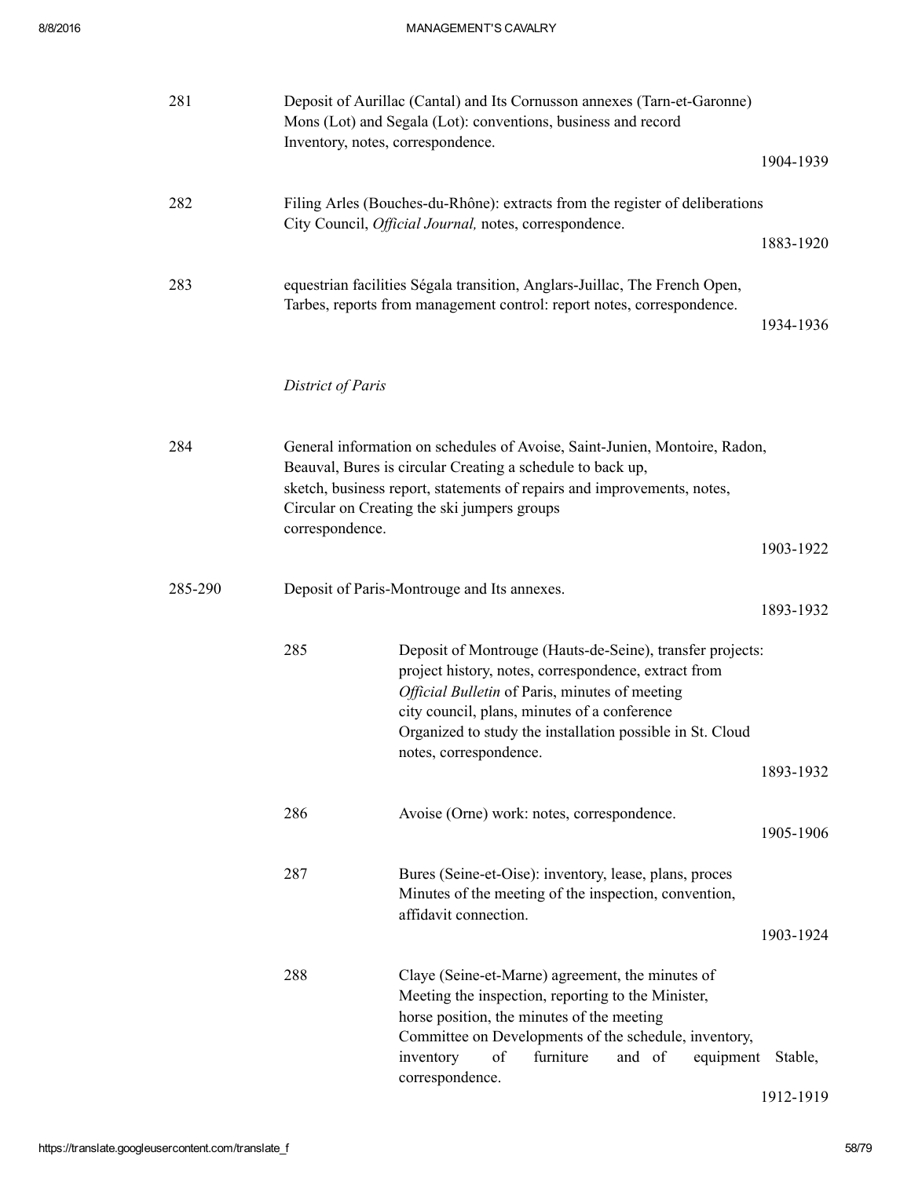| 281     |                   | Deposit of Aurillac (Cantal) and Its Cornusson annexes (Tarn-et-Garonne)<br>Mons (Lot) and Segala (Lot): conventions, business and record<br>Inventory, notes, correspondence.                                                                                                                             |           |
|---------|-------------------|------------------------------------------------------------------------------------------------------------------------------------------------------------------------------------------------------------------------------------------------------------------------------------------------------------|-----------|
|         |                   |                                                                                                                                                                                                                                                                                                            | 1904-1939 |
| 282     |                   | Filing Arles (Bouches-du-Rhône): extracts from the register of deliberations<br>City Council, Official Journal, notes, correspondence.                                                                                                                                                                     |           |
|         |                   |                                                                                                                                                                                                                                                                                                            | 1883-1920 |
| 283     |                   | equestrian facilities Ségala transition, Anglars-Juillac, The French Open,<br>Tarbes, reports from management control: report notes, correspondence.                                                                                                                                                       | 1934-1936 |
|         |                   |                                                                                                                                                                                                                                                                                                            |           |
|         | District of Paris |                                                                                                                                                                                                                                                                                                            |           |
| 284     |                   | General information on schedules of Avoise, Saint-Junien, Montoire, Radon,<br>Beauval, Bures is circular Creating a schedule to back up,<br>sketch, business report, statements of repairs and improvements, notes,<br>Circular on Creating the ski jumpers groups                                         |           |
|         | correspondence.   |                                                                                                                                                                                                                                                                                                            | 1903-1922 |
| 285-290 |                   | Deposit of Paris-Montrouge and Its annexes.                                                                                                                                                                                                                                                                | 1893-1932 |
|         | 285               | Deposit of Montrouge (Hauts-de-Seine), transfer projects:<br>project history, notes, correspondence, extract from<br>Official Bulletin of Paris, minutes of meeting<br>city council, plans, minutes of a conference<br>Organized to study the installation possible in St. Cloud<br>notes, correspondence. |           |
|         |                   |                                                                                                                                                                                                                                                                                                            | 1893-1932 |
|         | 286               | Avoise (Orne) work: notes, correspondence.                                                                                                                                                                                                                                                                 | 1905-1906 |
|         | 287               | Bures (Seine-et-Oise): inventory, lease, plans, proces<br>Minutes of the meeting of the inspection, convention,<br>affidavit connection.                                                                                                                                                                   | 1903-1924 |
|         | 288               | Claye (Seine-et-Marne) agreement, the minutes of<br>Meeting the inspection, reporting to the Minister,<br>horse position, the minutes of the meeting<br>Committee on Developments of the schedule, inventory,<br>inventory<br>of<br>furniture<br>and of<br>equipment<br>correspondence.                    | Stable,   |

1912-1919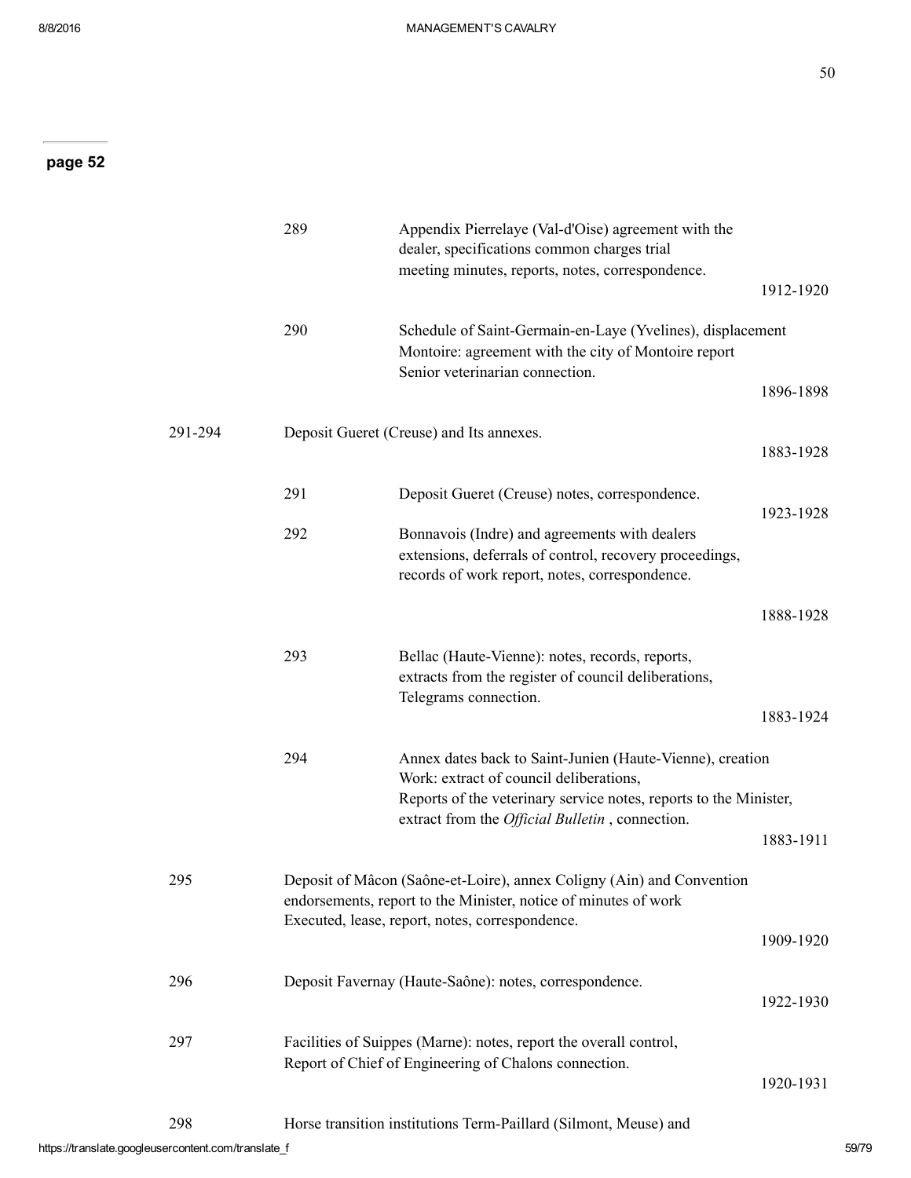50

|         | 289 | Appendix Pierrelaye (Val-d'Oise) agreement with the<br>dealer, specifications common charges trial<br>meeting minutes, reports, notes, correspondence.                                      |           |
|---------|-----|---------------------------------------------------------------------------------------------------------------------------------------------------------------------------------------------|-----------|
|         |     |                                                                                                                                                                                             | 1912-1920 |
|         | 290 | Schedule of Saint-Germain-en-Laye (Yvelines), displacement<br>Montoire: agreement with the city of Montoire report<br>Senior veterinarian connection.                                       |           |
|         |     |                                                                                                                                                                                             | 1896-1898 |
| 291-294 |     | Deposit Gueret (Creuse) and Its annexes.                                                                                                                                                    | 1883-1928 |
|         | 291 | Deposit Gueret (Creuse) notes, correspondence.                                                                                                                                              | 1923-1928 |
|         | 292 | Bonnavois (Indre) and agreements with dealers<br>extensions, deferrals of control, recovery proceedings,<br>records of work report, notes, correspondence.                                  |           |
|         |     |                                                                                                                                                                                             | 1888-1928 |
|         | 293 | Bellac (Haute-Vienne): notes, records, reports,<br>extracts from the register of council deliberations,<br>Telegrams connection.                                                            | 1883-1924 |
|         | 294 | Annex dates back to Saint-Junien (Haute-Vienne), creation<br>Work: extract of council deliberations,                                                                                        |           |
|         |     | Reports of the veterinary service notes, reports to the Minister,<br>extract from the <i>Official Bulletin</i> , connection.                                                                |           |
|         |     |                                                                                                                                                                                             | 1883-1911 |
| 295     |     | Deposit of Mâcon (Saône-et-Loire), annex Coligny (Ain) and Convention<br>endorsements, report to the Minister, notice of minutes of work<br>Executed, lease, report, notes, correspondence. |           |
|         |     |                                                                                                                                                                                             | 1909-1920 |
| 296     |     | Deposit Favernay (Haute-Saône): notes, correspondence.                                                                                                                                      | 1922-1930 |
| 297     |     | Facilities of Suippes (Marne): notes, report the overall control,<br>Report of Chief of Engineering of Chalons connection.                                                                  | 1920-1931 |
| 298     |     | Horse transition institutions Term-Paillard (Silmont, Meuse) and                                                                                                                            |           |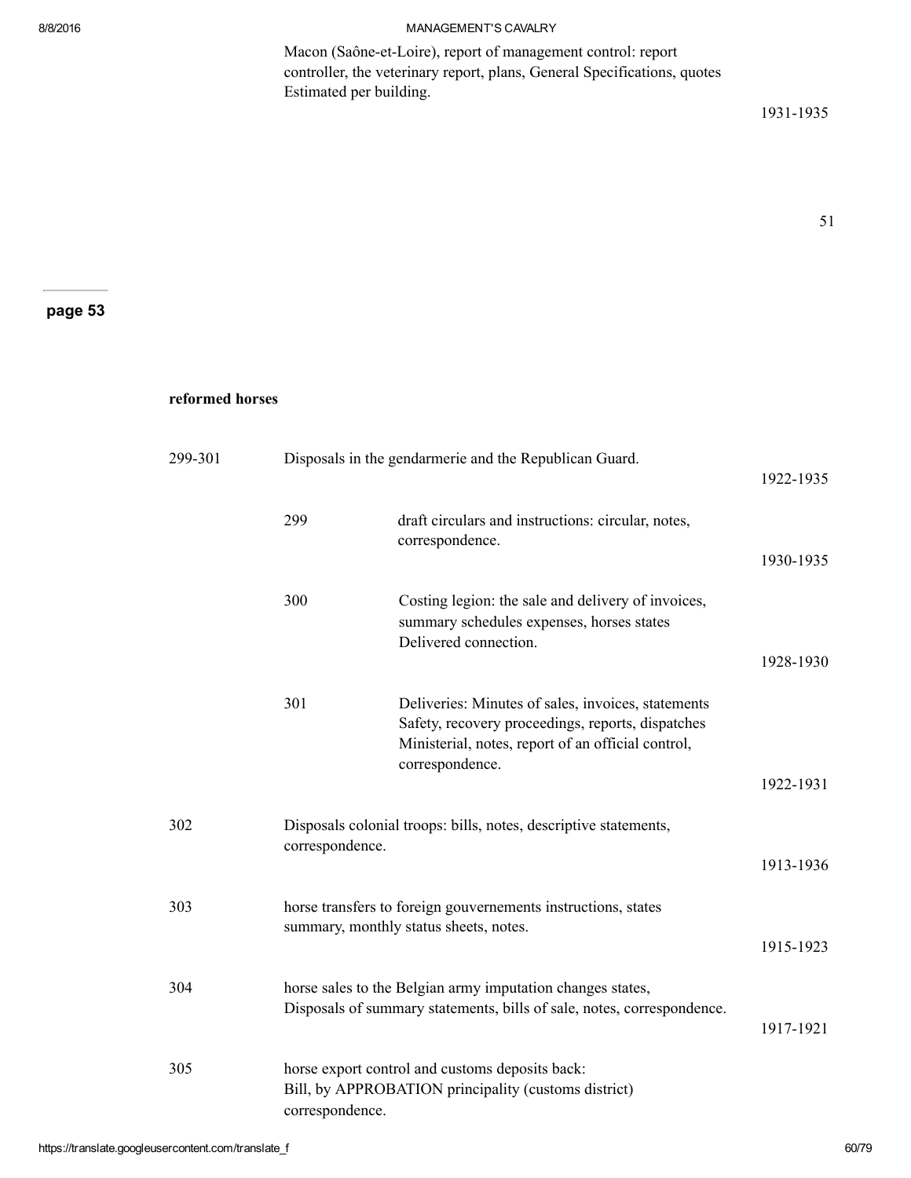Macon (Saône-et-Loire), report of management control: report controller, the veterinary report, plans, General Specifications, quotes Estimated per building.

1931-1935

51

page 53

#### reformed horses

| 299-301 | Disposals in the gendarmerie and the Republican Guard.<br>1922-1935 |                                                                                                                                                                                  |           |
|---------|---------------------------------------------------------------------|----------------------------------------------------------------------------------------------------------------------------------------------------------------------------------|-----------|
|         | 299                                                                 | draft circulars and instructions: circular, notes,<br>correspondence.                                                                                                            | 1930-1935 |
|         | 300                                                                 | Costing legion: the sale and delivery of invoices,<br>summary schedules expenses, horses states<br>Delivered connection.                                                         | 1928-1930 |
|         | 301                                                                 | Deliveries: Minutes of sales, invoices, statements<br>Safety, recovery proceedings, reports, dispatches<br>Ministerial, notes, report of an official control,<br>correspondence. | 1922-1931 |
| 302     | correspondence.                                                     | Disposals colonial troops: bills, notes, descriptive statements,                                                                                                                 | 1913-1936 |
| 303     |                                                                     | horse transfers to foreign gouvernements instructions, states<br>summary, monthly status sheets, notes.                                                                          | 1915-1923 |
| 304     |                                                                     | horse sales to the Belgian army imputation changes states,<br>Disposals of summary statements, bills of sale, notes, correspondence.                                             | 1917-1921 |
| 305     | correspondence.                                                     | horse export control and customs deposits back:<br>Bill, by APPROBATION principality (customs district)                                                                          |           |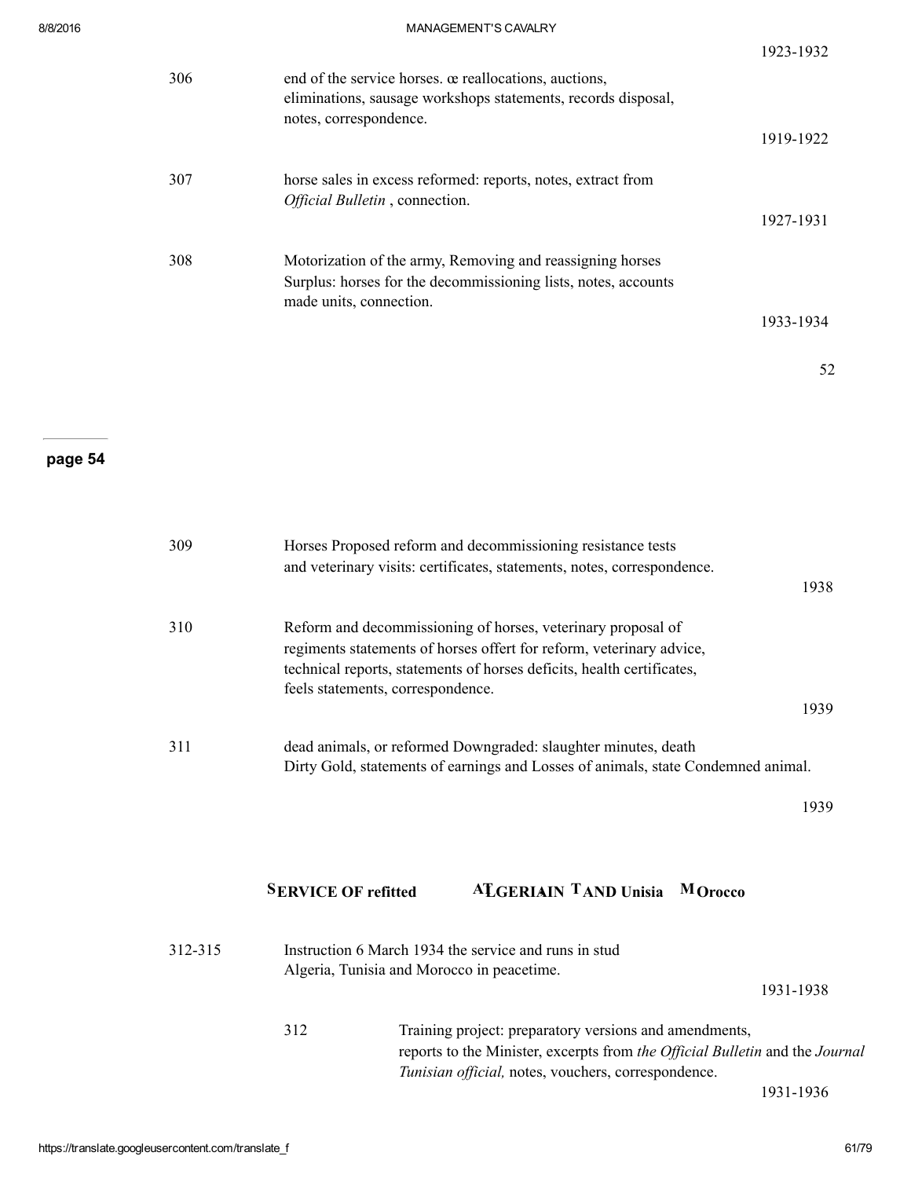|     |                                                                                                                                                   | 1923-1932 |
|-----|---------------------------------------------------------------------------------------------------------------------------------------------------|-----------|
| 306 | end of the service horses, or reallocations, auctions,<br>eliminations, sausage workshops statements, records disposal,<br>notes, correspondence. |           |
|     |                                                                                                                                                   | 1919-1922 |
| 307 | horse sales in excess reformed: reports, notes, extract from<br>Official Bulletin, connection.                                                    |           |
|     |                                                                                                                                                   | 1927-1931 |
| 308 | Motorization of the army, Removing and reassigning horses                                                                                         |           |
|     | Surplus: horses for the decommissioning lists, notes, accounts<br>made units, connection.                                                         |           |
|     |                                                                                                                                                   | 1933-1934 |
|     |                                                                                                                                                   | 52        |

| 309 | Horses Proposed reform and decommissioning resistance tests<br>and veterinary visits: certificates, statements, notes, correspondence.         |      |
|-----|------------------------------------------------------------------------------------------------------------------------------------------------|------|
|     |                                                                                                                                                | 1938 |
| 310 | Reform and decommissioning of horses, veterinary proposal of                                                                                   |      |
|     | regiments statements of horses offert for reform, veterinary advice,<br>technical reports, statements of horses deficits, health certificates, |      |
|     | feels statements, correspondence.                                                                                                              |      |
|     |                                                                                                                                                | 1939 |
| 311 | dead animals, or reformed Downgraded: slaughter minutes, death                                                                                 |      |
|     | Dirty Gold, statements of earnings and Losses of animals, state Condemned animal.                                                              |      |
|     |                                                                                                                                                | 1939 |
|     |                                                                                                                                                |      |
|     | <b>ALGERIAIN TAND Unisia</b><br><b>SERVICE OF refitted</b><br>M Orocco                                                                         |      |

| 312-315 |     | Instruction 6 March 1934 the service and runs in stud<br>Algeria, Tunisia and Morocco in peacetime.                                                                                           |  |
|---------|-----|-----------------------------------------------------------------------------------------------------------------------------------------------------------------------------------------------|--|
|         |     | 1931-1938                                                                                                                                                                                     |  |
|         | 312 | Training project: preparatory versions and amendments,<br>reports to the Minister, excerpts from the Official Bulletin and the Journal<br>Tunisian official, notes, vouchers, correspondence. |  |

1931-1936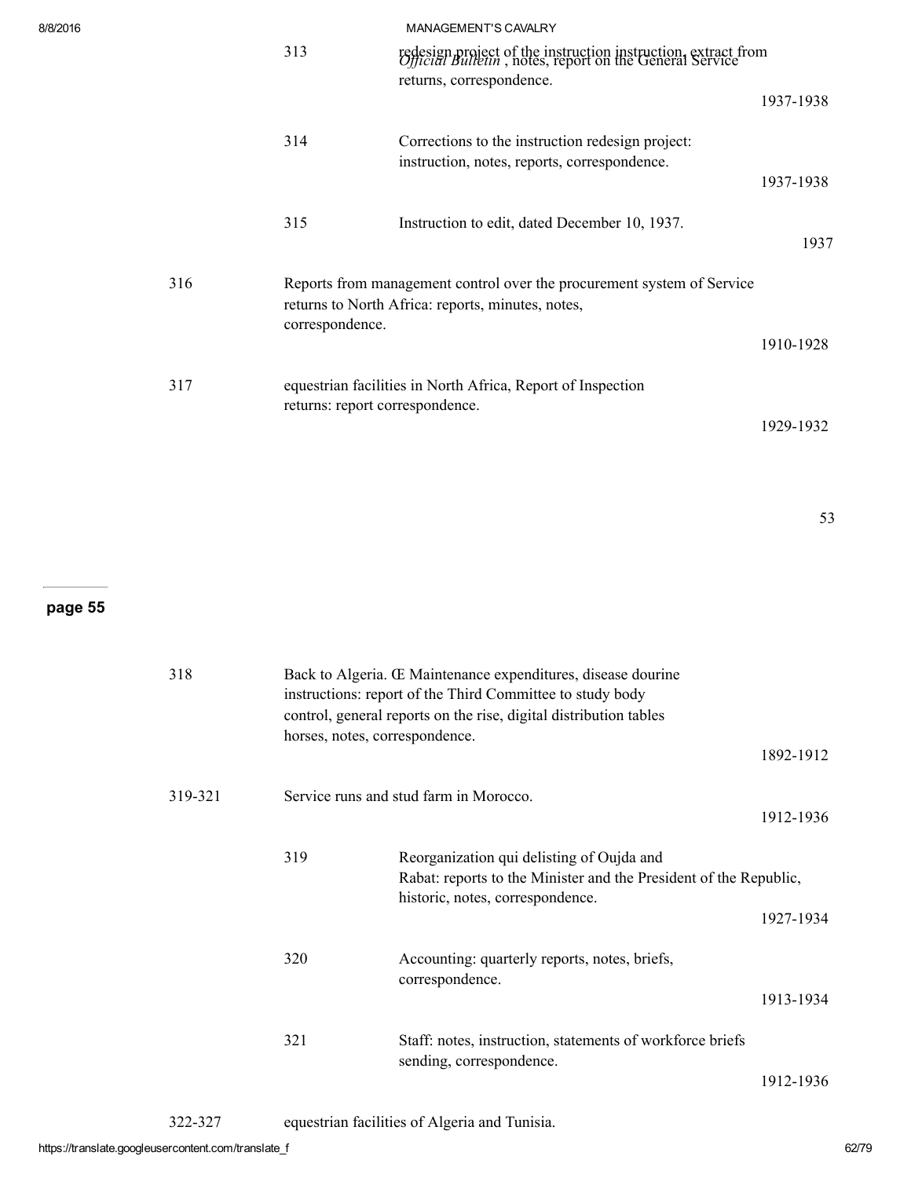| 8/8/2016 | <b>MANAGEMENT'S CAVALRY</b><br>313<br>redesign project of the instruction instruction, extract from<br><i>Official Bulletin</i> , notes, report on the General Service |                                                                                                  |           |
|----------|------------------------------------------------------------------------------------------------------------------------------------------------------------------------|--------------------------------------------------------------------------------------------------|-----------|
|          |                                                                                                                                                                        | returns, correspondence.                                                                         | 1937-1938 |
|          | 314                                                                                                                                                                    | Corrections to the instruction redesign project:<br>instruction, notes, reports, correspondence. |           |
|          |                                                                                                                                                                        |                                                                                                  | 1937-1938 |
|          | 315                                                                                                                                                                    | Instruction to edit, dated December 10, 1937.                                                    | 1937      |
| 316      | Reports from management control over the procurement system of Service<br>returns to North Africa: reports, minutes, notes,                                            |                                                                                                  |           |
|          | correspondence.                                                                                                                                                        |                                                                                                  | 1910-1928 |
| 317      | returns: report correspondence.                                                                                                                                        | equestrian facilities in North Africa, Report of Inspection                                      |           |
|          |                                                                                                                                                                        |                                                                                                  | 1929-1932 |

53

# page 55

| 318     | Back to Algeria. Œ Maintenance expenditures, disease dourine<br>instructions: report of the Third Committee to study body<br>control, general reports on the rise, digital distribution tables |                                                                                                                                                    |           |
|---------|------------------------------------------------------------------------------------------------------------------------------------------------------------------------------------------------|----------------------------------------------------------------------------------------------------------------------------------------------------|-----------|
|         | horses, notes, correspondence.                                                                                                                                                                 |                                                                                                                                                    | 1892-1912 |
| 319-321 |                                                                                                                                                                                                | Service runs and stud farm in Morocco.                                                                                                             | 1912-1936 |
|         | 319                                                                                                                                                                                            | Reorganization qui delisting of Oujda and<br>Rabat: reports to the Minister and the President of the Republic,<br>historic, notes, correspondence. | 1927-1934 |
|         | 320                                                                                                                                                                                            | Accounting: quarterly reports, notes, briefs,<br>correspondence.                                                                                   | 1913-1934 |
|         | 321                                                                                                                                                                                            | Staff: notes, instruction, statements of workforce briefs<br>sending, correspondence.                                                              | 1912-1936 |

322327 equestrian facilities of Algeria and Tunisia.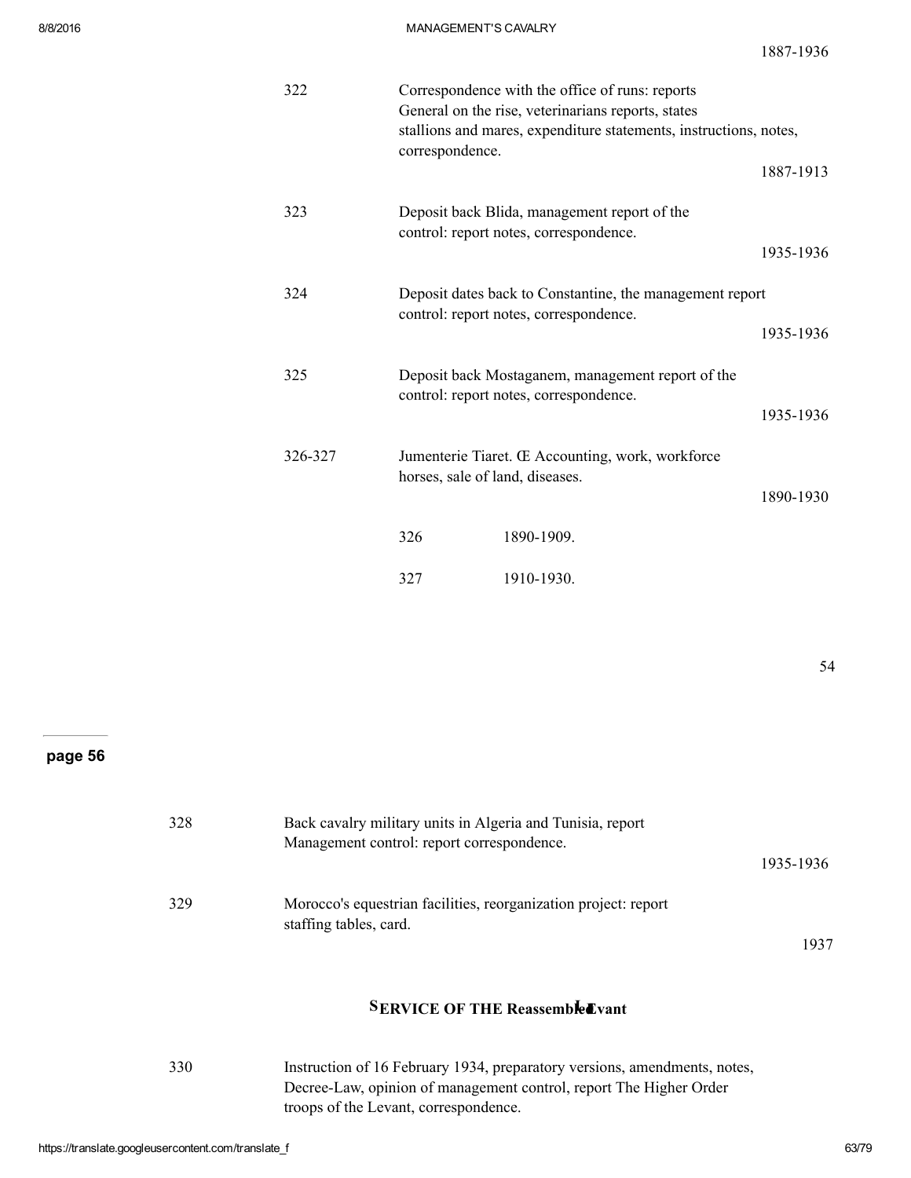18871936

| 322     | correspondence.                                          | Correspondence with the office of runs: reports<br>General on the rise, veterinarians reports, states<br>stallions and mares, expenditure statements, instructions, notes, |           |
|---------|----------------------------------------------------------|----------------------------------------------------------------------------------------------------------------------------------------------------------------------------|-----------|
|         |                                                          |                                                                                                                                                                            | 1887-1913 |
| 323     |                                                          | Deposit back Blida, management report of the<br>control: report notes, correspondence.                                                                                     |           |
|         |                                                          |                                                                                                                                                                            | 1935-1936 |
| 324     | Deposit dates back to Constantine, the management report |                                                                                                                                                                            |           |
|         |                                                          | control: report notes, correspondence.                                                                                                                                     | 1935-1936 |
| 325     |                                                          | Deposit back Mostaganem, management report of the<br>control: report notes, correspondence.                                                                                |           |
|         |                                                          |                                                                                                                                                                            | 1935-1936 |
| 326-327 | horses, sale of land, diseases.                          | Jumenterie Tiaret. Œ Accounting, work, workforce                                                                                                                           |           |
|         |                                                          |                                                                                                                                                                            | 1890-1930 |
|         | 326                                                      | 1890-1909.                                                                                                                                                                 |           |
|         | 327                                                      | 1910-1930.                                                                                                                                                                 |           |

54

## page 56

| 328 | Back cavalry military units in Algeria and Tunisia, report<br>Management control: report correspondence. |           |
|-----|----------------------------------------------------------------------------------------------------------|-----------|
|     |                                                                                                          | 1935-1936 |
| 329 | Morocco's equestrian facilities, reorganization project: report<br>staffing tables, card.                |           |
|     |                                                                                                          | 1937      |

## **SERVICE OF THE Reassembled vant**

| 330 | Instruction of 16 February 1934, preparatory versions, amendments, notes, |
|-----|---------------------------------------------------------------------------|
|     | Decree-Law, opinion of management control, report The Higher Order        |
|     | troops of the Levant, correspondence.                                     |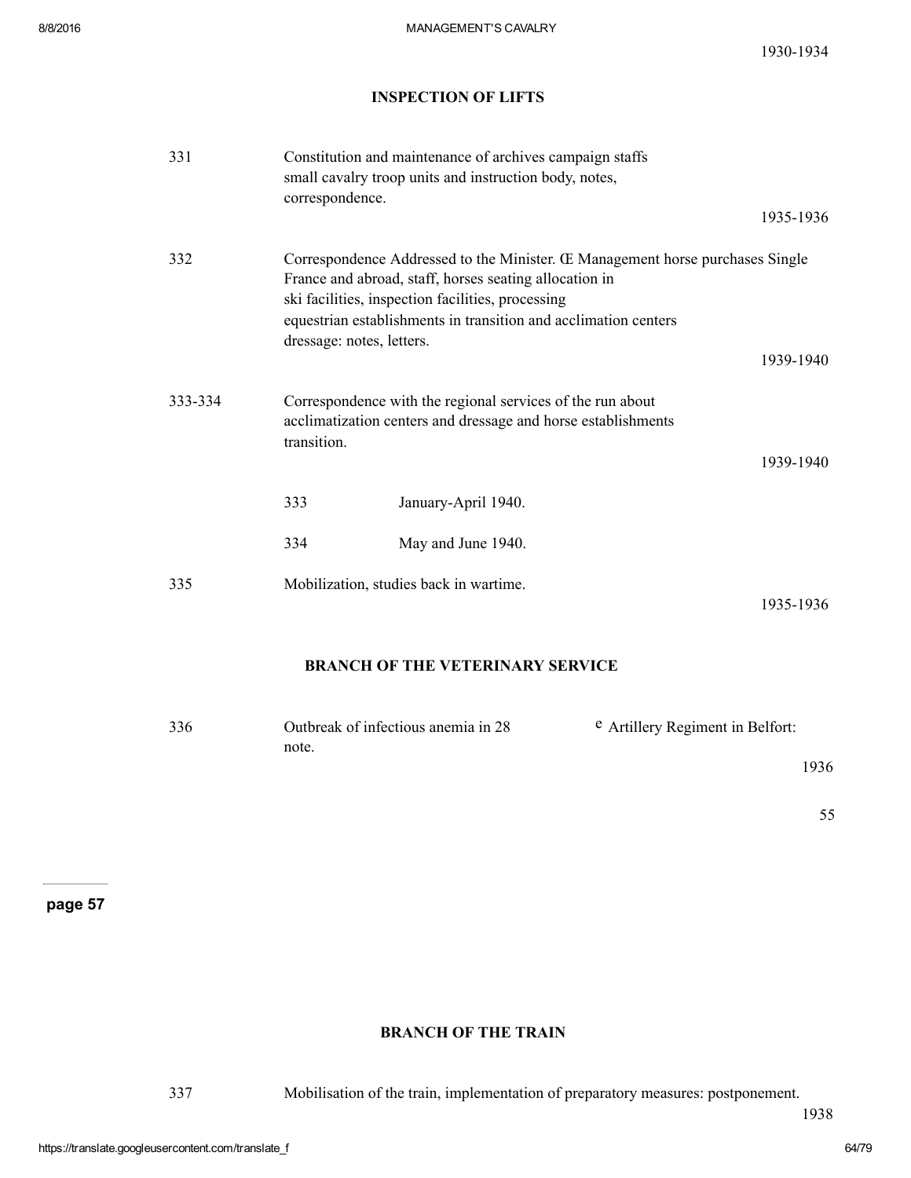### INSPECTION OF LIFTS

| 331     | correspondence.           | Constitution and maintenance of archives campaign staffs<br>small cavalry troop units and instruction body, notes,                                                                                                                                              |           |
|---------|---------------------------|-----------------------------------------------------------------------------------------------------------------------------------------------------------------------------------------------------------------------------------------------------------------|-----------|
|         |                           |                                                                                                                                                                                                                                                                 | 1935-1936 |
| 332     | dressage: notes, letters. | Correspondence Addressed to the Minister. Œ Management horse purchases Single<br>France and abroad, staff, horses seating allocation in<br>ski facilities, inspection facilities, processing<br>equestrian establishments in transition and acclimation centers | 1939-1940 |
| 333-334 | transition.               | Correspondence with the regional services of the run about<br>acclimatization centers and dressage and horse establishments                                                                                                                                     | 1939-1940 |
|         | 333                       | January-April 1940.                                                                                                                                                                                                                                             |           |
|         | 334                       | May and June 1940.                                                                                                                                                                                                                                              |           |
| 335     |                           | Mobilization, studies back in wartime.                                                                                                                                                                                                                          | 1935-1936 |
|         |                           | <b>BRANCH OF THE VETERINARY SERVICE</b>                                                                                                                                                                                                                         |           |

| 336 | Outbreak of infectious anemia in 28 | <sup>e</sup> Artillery Regiment in Belfort: |
|-----|-------------------------------------|---------------------------------------------|
|     | note.                               |                                             |
|     |                                     | 1936                                        |

55

page 57

# BRANCH OF THE TRAIN

337 Mobilisation of the train, implementation of preparatory measures: postponement.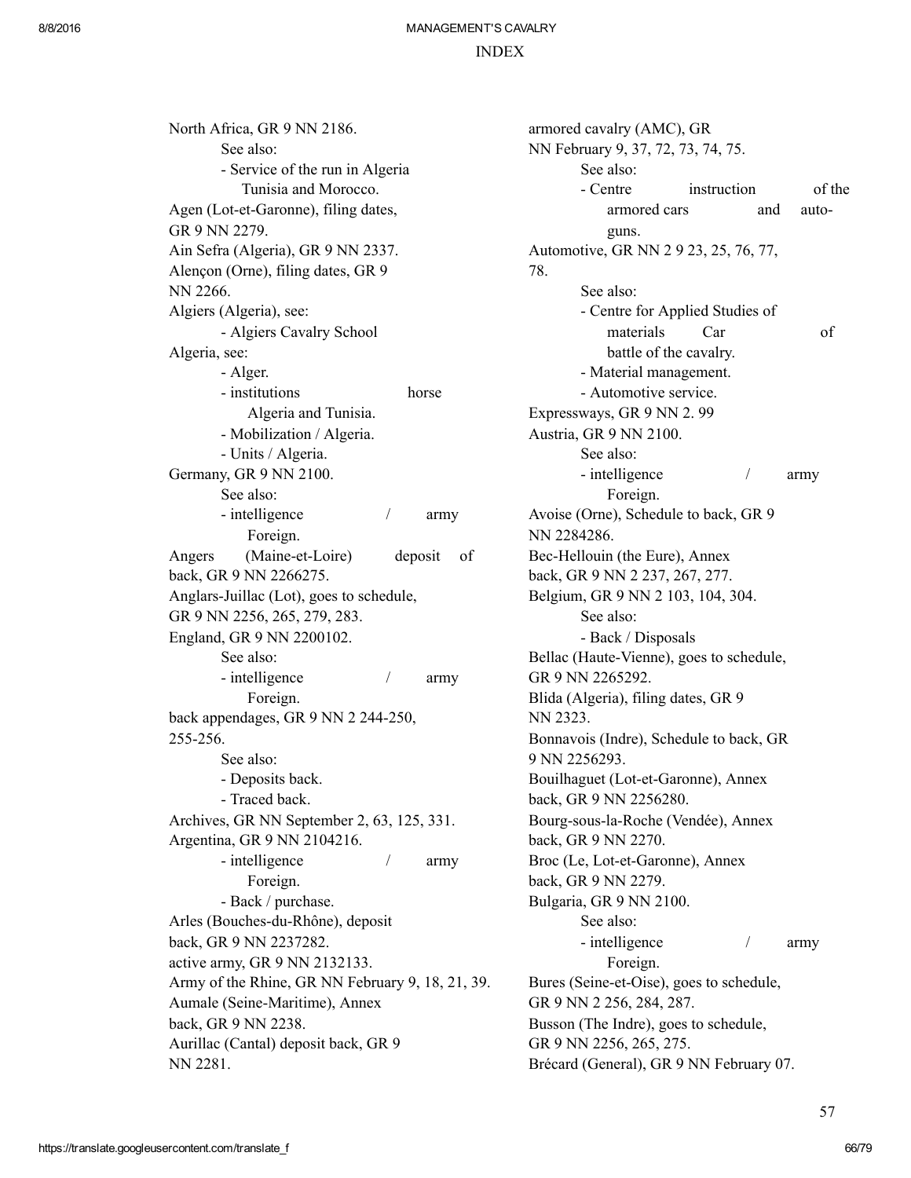#### INDEX

North Africa, GR 9 NN 2186. See also: Service of the run in Algeria Tunisia and Morocco. Agen (Lot-et-Garonne), filing dates, GR 9 NN 2279. Ain Sefra (Algeria), GR 9 NN 2337. Alençon (Orne), filing dates, GR 9 NN 2266. Algiers (Algeria), see: Algiers Cavalry School Algeria, see: Alger. - institutions horse Algeria and Tunisia. Mobilization / Algeria. Units / Algeria. Germany, GR 9 NN 2100. See also: - intelligence / army Foreign. Angers (Maine-et-Loire) deposit of back, GR 9 NN 2266275. Anglars-Juillac (Lot), goes to schedule, GR 9 NN 2256, 265, 279, 283. England, GR 9 NN 2200102. See also: - intelligence / army Foreign. back appendages, GR 9 NN 2 244-250, 255256. See also: Deposits back. - Traced back. Archives, GR NN September 2, 63, 125, 331. Argentina, GR 9 NN 2104216. - intelligence / army Foreign. - Back / purchase. Arles (Bouches-du-Rhône), deposit back, GR 9 NN 2237282. active army, GR 9 NN 2132133. Army of the Rhine, GR NN February 9, 18, 21, 39. Aumale (Seine-Maritime), Annex back, GR 9 NN 2238. Aurillac (Cantal) deposit back, GR 9 NN 2281.

armored cavalry (AMC), GR NN February 9, 37, 72, 73, 74, 75. See also: - Centre instruction of the armored cars and autoguns. Automotive, GR NN 2 9 23, 25, 76, 77, 78. See also: Centre for Applied Studies of materials Car of battle of the cavalry. Material management. Automotive service. Expressways, GR 9 NN 2. 99 Austria, GR 9 NN 2100. See also: - intelligence / army Foreign. Avoise (Orne), Schedule to back, GR 9 NN 2284286. Bec-Hellouin (the Eure), Annex back, GR 9 NN 2 237, 267, 277. Belgium, GR 9 NN 2 103, 104, 304. See also: - Back / Disposals Bellac (Haute-Vienne), goes to schedule, GR 9 NN 2265292. Blida (Algeria), filing dates, GR 9 NN 2323. Bonnavois (Indre), Schedule to back, GR 9 NN 2256293. Bouilhaguet (Lot-et-Garonne), Annex back, GR 9 NN 2256280. Bourg-sous-la-Roche (Vendée), Annex back, GR 9 NN 2270. Broc (Le, Lot-et-Garonne), Annex back, GR 9 NN 2279. Bulgaria, GR 9 NN 2100. See also: - intelligence / army Foreign. Bures (Seine-et-Oise), goes to schedule, GR 9 NN 2 256, 284, 287. Busson (The Indre), goes to schedule, GR 9 NN 2256, 265, 275. Brécard (General), GR 9 NN February 07.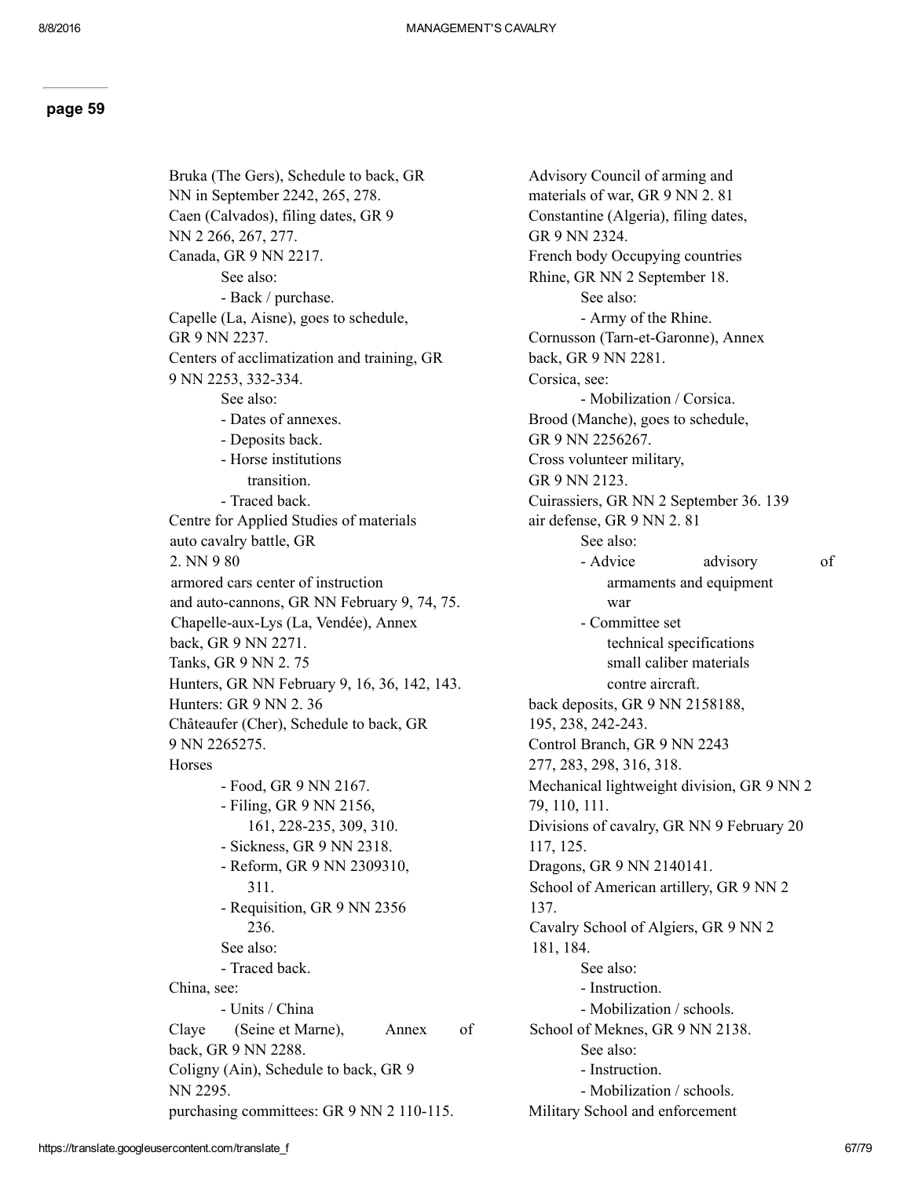Bruka (The Gers), Schedule to back, GR NN in September 2242, 265, 278. Caen (Calvados), filing dates, GR 9 NN 2 266, 267, 277. Canada, GR 9 NN 2217. See also: - Back / purchase. Capelle (La, Aisne), goes to schedule, GR 9 NN 2237. Centers of acclimatization and training, GR 9 NN 2253, 332-334. See also: Dates of annexes. Deposits back. Horse institutions transition. - Traced back. Centre for Applied Studies of materials auto cavalry battle, GR 2. NN 9 80 armored cars center of instruction and auto-cannons, GR NN February 9, 74, 75. Chapelle-aux-Lys (La, Vendée), Annex back, GR 9 NN 2271. Tanks, GR 9 NN 2. 75 Hunters, GR NN February 9, 16, 36, 142, 143. Hunters: GR 9 NN 2. 36 Châteaufer (Cher), Schedule to back, GR 9 NN 2265275. **Horses**  Food, GR 9 NN 2167. Filing, GR 9 NN 2156, 161, 228-235, 309, 310. Sickness, GR 9 NN 2318. Reform, GR 9 NN 2309310, 311. Requisition, GR 9 NN 2356 236. See also: - Traced back. China, see: Units / China Claye (Seine et Marne), Annex of back, GR 9 NN 2288. Coligny (Ain), Schedule to back, GR 9 NN 2295. purchasing committees: GR 9 NN 2 110-115.

Advisory Council of arming and materials of war, GR 9 NN 2. 81 Constantine (Algeria), filing dates, GR 9 NN 2324. French body Occupying countries Rhine, GR NN 2 September 18. See also: Army of the Rhine. Cornusson (Tarn-et-Garonne), Annex back, GR 9 NN 2281. Corsica, see: - Mobilization / Corsica. Brood (Manche), goes to schedule, GR 9 NN 2256267. Cross volunteer military, GR 9 NN 2123. Cuirassiers, GR NN 2 September 36. 139 air defense, GR 9 NN 2. 81 See also: - Advice advisory of armaments and equipment war Committee set technical specifications small caliber materials contre aircraft. back deposits, GR 9 NN 2158188, 195, 238, 242-243. Control Branch, GR 9 NN 2243 277, 283, 298, 316, 318. Mechanical lightweight division, GR 9 NN 2 79, 110, 111. Divisions of cavalry, GR NN 9 February 20 117, 125. Dragons, GR 9 NN 2140141. School of American artillery, GR 9 NN 2 137. Cavalry School of Algiers, GR 9 NN 2 181, 184. See also: - Instruction. Mobilization / schools. School of Meknes, GR 9 NN 2138. See also: - Instruction. Mobilization / schools. Military School and enforcement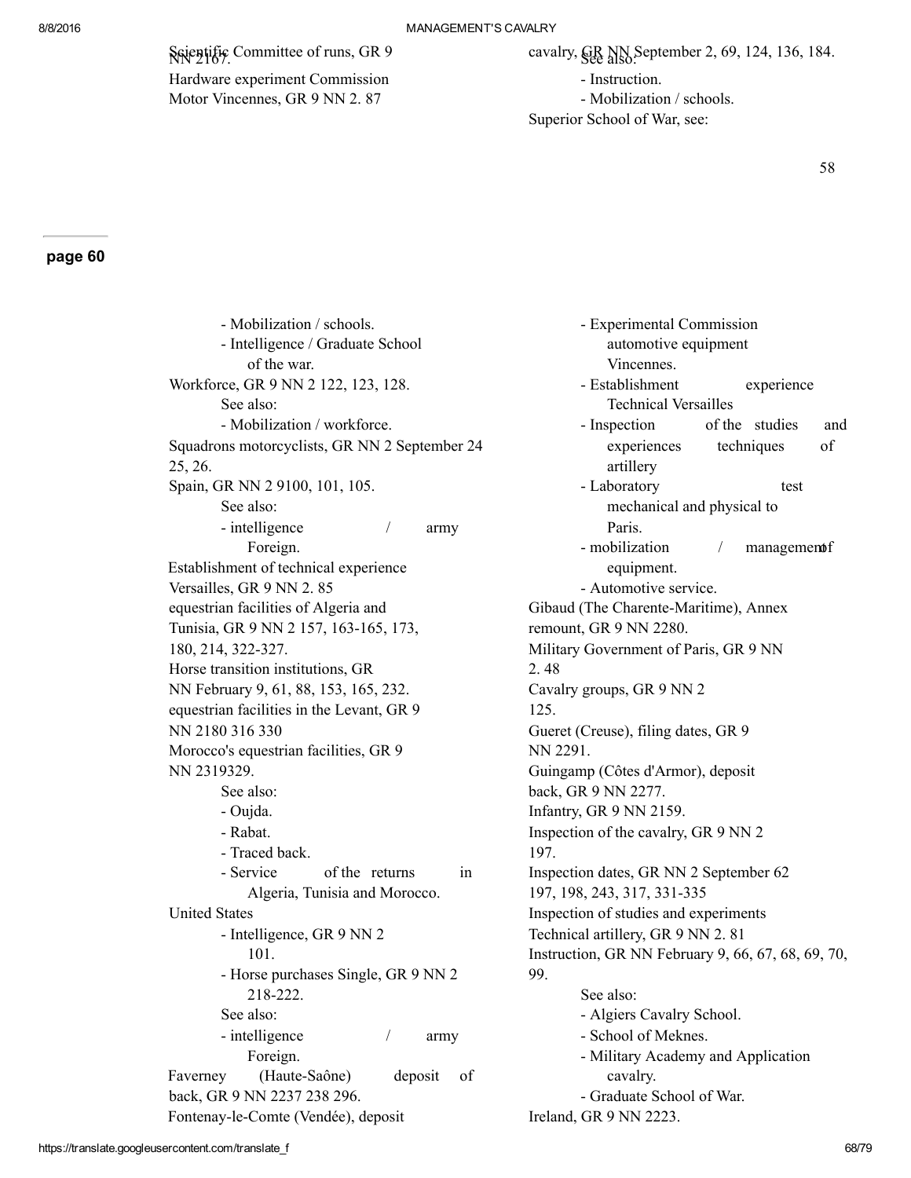Ssientific Committee of runs, GR 9

Hardware experiment Commission Motor Vincennes, GR 9 NN 2. 87

- Instruction.

- Mobilization / schools.

Superior School of War, see:

58

#### page 60

 Mobilization / schools. - Intelligence / Graduate School of the war. Workforce, GR 9 NN 2 122, 123, 128. See also: - Mobilization / workforce. Squadrons motorcyclists, GR NN 2 September 24 25, 26. Spain, GR NN 2 9100, 101, 105. See also: - intelligence / army Foreign. Establishment of technical experience Versailles, GR 9 NN 2. 85 equestrian facilities of Algeria and Tunisia, GR 9 NN 2 157, 163-165, 173, 180, 214, 322-327. Horse transition institutions, GR NN February 9, 61, 88, 153, 165, 232. equestrian facilities in the Levant, GR 9 NN 2180 316 330 Morocco's equestrian facilities, GR 9 NN 2319329. See also: Oujda. Rabat. - Traced back. - Service of the returns in Algeria, Tunisia and Morocco. United States - Intelligence, GR 9 NN 2 101. - Horse purchases Single, GR 9 NN 2 218-222. See also: - intelligence / army Foreign. Faverney (Haute-Saône) deposit of back, GR 9 NN 2237 238 296. Fontenay-le-Comte (Vendée), deposit

 Experimental Commission automotive equipment Vincennes. - Establishment experience Technical Versailles - Inspection of the studies and experiences techniques of artillery - Laboratory test mechanical and physical to Paris. - mobilization / managements equipment. Automotive service. Gibaud (The Charente-Maritime), Annex remount, GR 9 NN 2280. Military Government of Paris, GR 9 NN 2. 48 Cavalry groups, GR 9 NN 2 125. Gueret (Creuse), filing dates, GR 9 NN 2291. Guingamp (Côtes d'Armor), deposit back, GR 9 NN 2277. Infantry, GR 9 NN 2159. Inspection of the cavalry, GR 9 NN 2 197. Inspection dates, GR NN 2 September 62 197, 198, 243, 317, 331-335 Inspection of studies and experiments Technical artillery, GR 9 NN 2. 81 Instruction, GR NN February 9, 66, 67, 68, 69, 70, 99. See also: Algiers Cavalry School. - School of Meknes. Military Academy and Application cavalry. Graduate School of War.

Ireland, GR 9 NN 2223.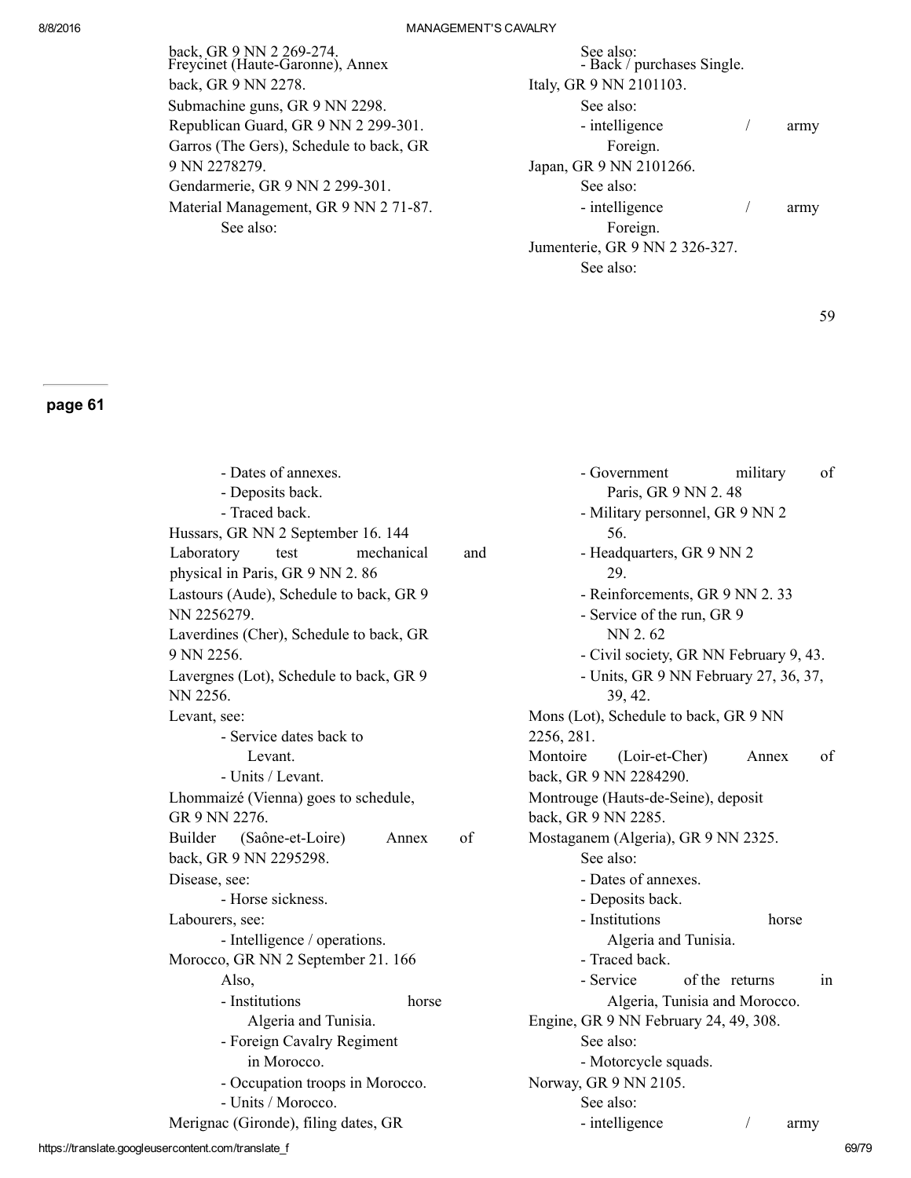| back, GR 9 NN 2 269-274.<br>Freycinet (Haute-Garonne), Annex | See also:<br>- Back / purchases Single. |      |
|--------------------------------------------------------------|-----------------------------------------|------|
| back, GR 9 NN 2278.                                          | Italy, GR 9 NN 2101103.                 |      |
| Submachine guns, GR 9 NN 2298.                               | See also:                               |      |
| Republican Guard, GR 9 NN 2 299-301.                         | - intelligence                          | army |
| Garros (The Gers), Schedule to back, GR                      | Foreign.                                |      |
| 9 NN 2278279.                                                | Japan, GR 9 NN 2101266.                 |      |
| Gendarmerie, GR 9 NN 2 299-301.                              | See also:                               |      |
| Material Management, GR 9 NN 2 71-87.                        | - intelligence                          | army |
| See also:                                                    | Foreign.                                |      |
|                                                              | Jumenterie, GR 9 NN 2 326-327.          |      |
|                                                              | See also:                               |      |

59

| - Dates of annexes.<br>- Deposits back.             | of<br>- Government<br>military<br>Paris, GR 9 NN 2.48 |
|-----------------------------------------------------|-------------------------------------------------------|
| - Traced back.                                      | - Military personnel, GR 9 NN 2                       |
| Hussars, GR NN 2 September 16. 144                  | 56.                                                   |
| Laboratory<br>mechanical<br>and<br>test             | - Headquarters, GR 9 NN 2                             |
| physical in Paris, GR 9 NN 2.86                     | 29.                                                   |
| Lastours (Aude), Schedule to back, GR 9             | - Reinforcements, GR 9 NN 2.33                        |
| NN 2256279.                                         | - Service of the run, GR 9                            |
| Laverdines (Cher), Schedule to back, GR             | NN 2.62                                               |
| 9 NN 2256.                                          | - Civil society, GR NN February 9, 43.                |
| Lavergnes (Lot), Schedule to back, GR 9<br>NN 2256. | - Units, GR 9 NN February 27, 36, 37,<br>39, 42.      |
| Levant, see:                                        | Mons (Lot), Schedule to back, GR 9 NN                 |
| - Service dates back to                             | 2256, 281.                                            |
| Levant.                                             | Montoire<br>(Loir-et-Cher)<br>of<br>Annex             |
| - Units / Levant.                                   | back, GR 9 NN 2284290.                                |
| Lhommaizé (Vienna) goes to schedule,                | Montrouge (Hauts-de-Seine), deposit                   |
| GR 9 NN 2276.                                       | back, GR 9 NN 2285.                                   |
| of<br>Builder<br>(Saône-et-Loire)<br>Annex          | Mostaganem (Algeria), GR 9 NN 2325.                   |
| back, GR 9 NN 2295298.                              | See also:                                             |
| Disease, see:                                       | - Dates of annexes.                                   |
| - Horse sickness.                                   | - Deposits back.                                      |
| Labourers, see:                                     | - Institutions<br>horse                               |
| - Intelligence / operations.                        | Algeria and Tunisia.                                  |
| Morocco, GR NN 2 September 21. 166                  | - Traced back.                                        |
| Also,                                               | of the returns<br>- Service<br>in                     |
| - Institutions<br>horse                             | Algeria, Tunisia and Morocco.                         |
| Algeria and Tunisia.                                | Engine, GR 9 NN February 24, 49, 308.                 |
| - Foreign Cavalry Regiment                          | See also:                                             |
| in Morocco.                                         | - Motorcycle squads.                                  |
| - Occupation troops in Morocco.                     | Norway, GR 9 NN 2105.                                 |
| - Units / Morocco.                                  | See also:                                             |
| Merignac (Gironde), filing dates, GR                | - intelligence<br>army                                |
|                                                     |                                                       |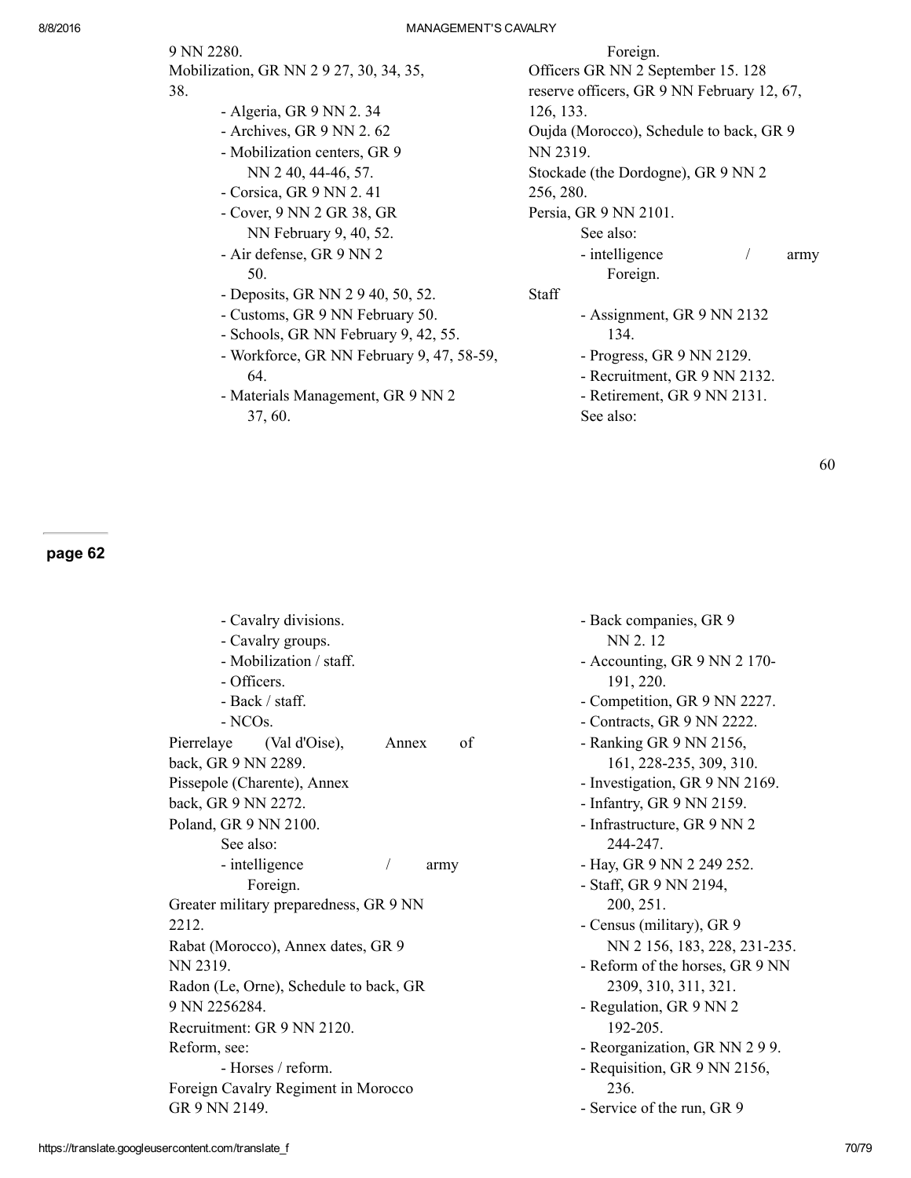9 NN 2280.

- Mobilization, GR NN 2 9 27, 30, 34, 35, 38.
	- Algeria, GR 9 NN 2. 34
	- Archives, GR 9 NN 2. 62
	- Mobilization centers, GR 9 NN 2 40, 44-46, 57.
	- Corsica, GR 9 NN 2. 41
	- Cover, 9 NN 2 GR 38, GR NN February 9, 40, 52.
	- Air defense, GR 9 NN 2 50.
	- Deposits, GR NN 2 9 40, 50, 52.
	- Customs, GR 9 NN February 50.
	- Schools, GR NN February 9, 42, 55.
	- Workforce, GR NN February 9, 47, 58-59, 64.
	- Materials Management, GR 9 NN 2 37, 60.

Foreign.

Officers GR NN 2 September 15. 128 reserve officers, GR 9 NN February 12, 67, 126, 133. Oujda (Morocco), Schedule to back, GR 9 NN 2319. Stockade (the Dordogne), GR 9 NN 2 256, 280. Persia, GR 9 NN 2101. See also: - intelligence / army Foreign. Staff Assignment, GR 9 NN 2132 134. Progress, GR 9 NN 2129. Recruitment, GR 9 NN 2132. Retirement, GR 9 NN 2131. See also:

60

| - Cavalry divisions.                   |             | - Back companies, GR 9                    |
|----------------------------------------|-------------|-------------------------------------------|
| - Cavalry groups.                      |             | NN 2.12                                   |
| - Mobilization / staff.<br>- Officers. |             | - Accounting, GR 9 NN 2 170-<br>191, 220. |
| - Back / staff.                        |             | - Competition, GR 9 NN 2227.              |
| - NCO <sub>s</sub> .                   |             | - Contracts, GR 9 NN 2222.                |
| Pierrelaye<br>(Val d'Oise),            | of<br>Annex | - Ranking GR 9 NN 2156,                   |
| back, GR 9 NN 2289.                    |             | 161, 228-235, 309, 310.                   |
| Pissepole (Charente), Annex            |             | - Investigation, GR 9 NN 2169.            |
| back, GR 9 NN 2272.                    |             | - Infantry, GR 9 NN 2159.                 |
| Poland, GR 9 NN 2100.<br>See also:     |             | - Infrastructure, GR 9 NN 2<br>244-247.   |
| - intelligence                         | army        | - Hay, GR 9 NN 2 249 252.                 |
| Foreign.                               |             | - Staff, GR 9 NN 2194,                    |
| Greater military preparedness, GR 9 NN |             | 200, 251.                                 |
| 2212.                                  |             | - Census (military), GR 9                 |
| Rabat (Morocco), Annex dates, GR 9     |             | NN 2 156, 183, 228, 231-235.              |
| NN 2319.                               |             | - Reform of the horses, GR 9 NN           |
| Radon (Le, Orne), Schedule to back, GR |             | 2309, 310, 311, 321.                      |
| 9 NN 2256284.                          |             | - Regulation, GR 9 NN 2                   |
| Recruitment: GR 9 NN 2120.             |             | 192-205.                                  |
| Reform, see:                           |             | - Reorganization, GR NN 2 9 9.            |
| - Horses / reform.                     |             | - Requisition, GR 9 NN 2156,              |
| Foreign Cavalry Regiment in Morocco    |             | 236.                                      |
| GR 9 NN 2149.                          |             | - Service of the run, GR 9                |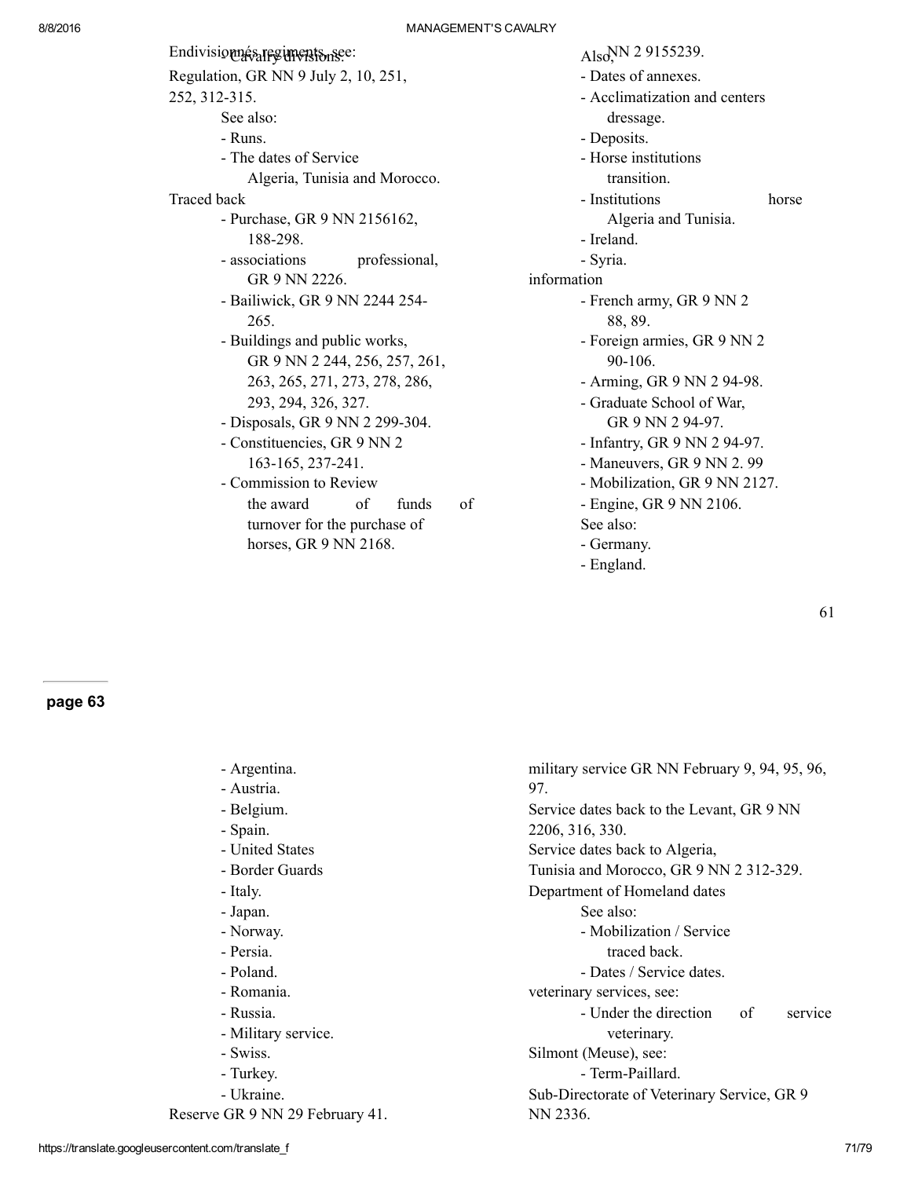| Endivisionnés regiments nsee:        | Also <sup>NN</sup> 2 9155239. |  |
|--------------------------------------|-------------------------------|--|
| Regulation, GR NN 9 July 2, 10, 251, | - Dates of annexes.           |  |
| 252, 312-315.                        | - Acclimatization and centers |  |
| See also:                            | dressage.                     |  |
| - Runs.                              | - Deposits.                   |  |
| - The dates of Service               | - Horse institutions          |  |
| Algeria, Tunisia and Morocco.        | transition.                   |  |
| Traced back                          | - Institutions<br>horse       |  |
| - Purchase, GR 9 NN 2156162,         | Algeria and Tunisia.          |  |
| 188-298.                             | - Ireland.                    |  |
| - associations<br>professional,      | - Syria.                      |  |
| GR 9 NN 2226.                        | information                   |  |
| - Bailiwick, GR 9 NN 2244 254-       | - French army, GR 9 NN 2      |  |
| 265.                                 | 88, 89.                       |  |
| - Buildings and public works,        | - Foreign armies, GR 9 NN 2   |  |
| GR 9 NN 2 244, 256, 257, 261,        | 90-106.                       |  |
| 263, 265, 271, 273, 278, 286,        | - Arming, GR 9 NN 2 94-98.    |  |
| 293, 294, 326, 327.                  | - Graduate School of War,     |  |
| - Disposals, GR 9 NN 2 299-304.      | GR 9 NN 2 94-97.              |  |
| - Constituencies, GR 9 NN 2          | - Infantry, GR 9 NN 2 94-97.  |  |
| 163-165, 237-241.                    | - Maneuvers, GR 9 NN 2.99     |  |
| - Commission to Review               | - Mobilization, GR 9 NN 2127. |  |
| of<br>of<br>the award<br>funds       | - Engine, GR 9 NN 2106.       |  |
| turnover for the purchase of         | See also:                     |  |
| horses, GR 9 NN 2168.                | - Germany.                    |  |
|                                      | - England.                    |  |

61

| - Austria.<br>97.                                          |         |
|------------------------------------------------------------|---------|
|                                                            |         |
| - Belgium.<br>Service dates back to the Levant, GR 9 NN    |         |
| 2206, 316, 330.<br>- Spain.                                |         |
| - United States<br>Service dates back to Algeria,          |         |
| - Border Guards<br>Tunisia and Morocco, GR 9 NN 2 312-329. |         |
| Department of Homeland dates<br>- Italy.                   |         |
| See also:<br>- Japan.                                      |         |
| - Mobilization / Service<br>- Norway.                      |         |
| - Persia.<br>traced back.                                  |         |
| - Poland.<br>- Dates / Service dates.                      |         |
| - Romania.<br>veterinary services, see:                    |         |
| - Under the direction<br>- Russia.<br>of                   | service |
| - Military service.<br>veterinary.                         |         |
| - Swiss.<br>Silmont (Meuse), see:                          |         |
| - Term-Paillard.<br>- Turkey.                              |         |
| - Ukraine.<br>Sub-Directorate of Veterinary Service, GR 9  |         |
| Reserve GR 9 NN 29 February 41.<br>NN 2336.                |         |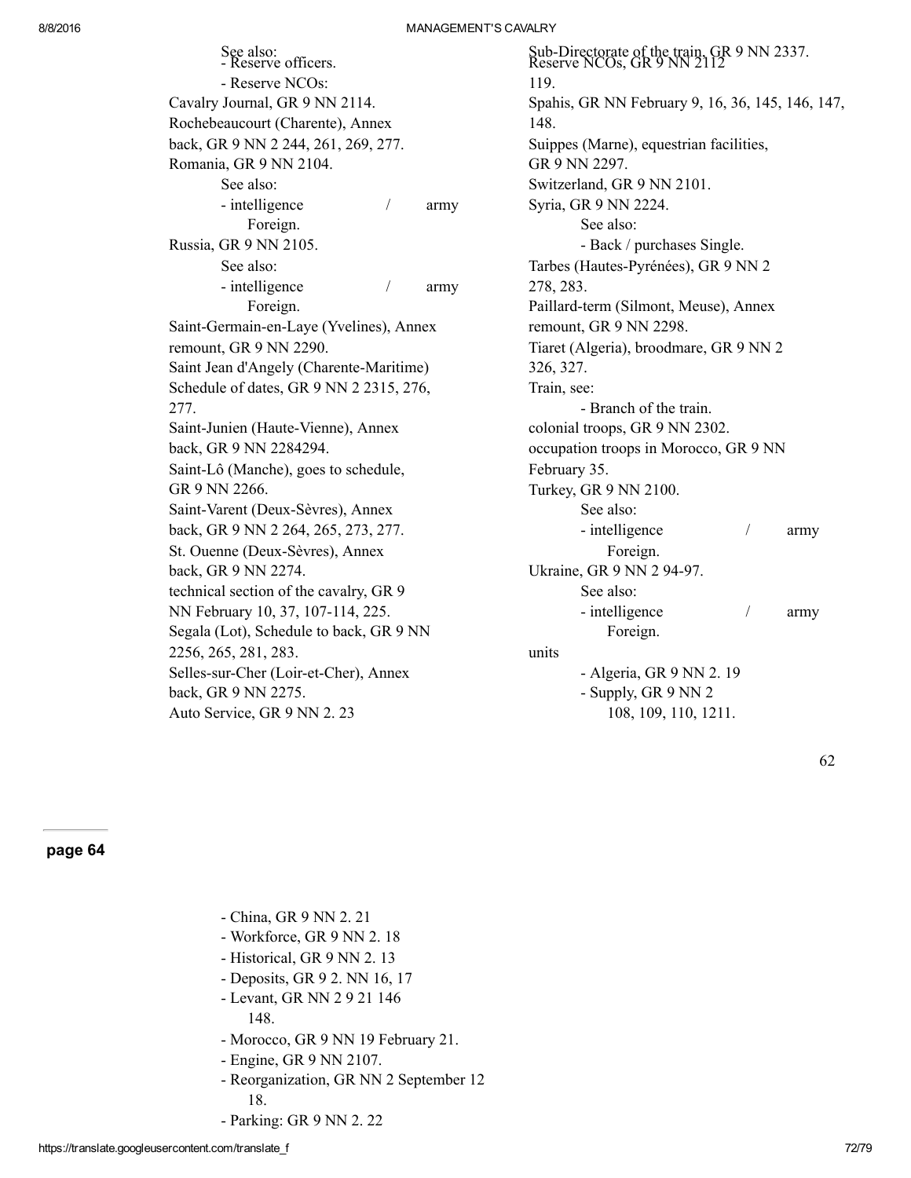| See also:<br>- Reserve officers.        |   |      |
|-----------------------------------------|---|------|
| - Reserve NCOs:                         |   |      |
| Cavalry Journal, GR 9 NN 2114.          |   |      |
| Rochebeaucourt (Charente), Annex        |   |      |
| back, GR 9 NN 2 244, 261, 269, 277.     |   |      |
| Romania, GR 9 NN 2104.                  |   |      |
| See also:                               |   |      |
| - intelligence                          | / | army |
| Foreign.                                |   |      |
| Russia, GR 9 NN 2105.                   |   |      |
| See also:                               |   |      |
| - intelligence                          | 1 | army |
| Foreign.                                |   |      |
| Saint-Germain-en-Laye (Yvelines), Annex |   |      |
| remount, GR 9 NN 2290.                  |   |      |
| Saint Jean d'Angely (Charente-Maritime) |   |      |
| Schedule of dates, GR 9 NN 2 2315, 276, |   |      |
| 277.                                    |   |      |
| Saint-Junien (Haute-Vienne), Annex      |   |      |
| back, GR 9 NN 2284294.                  |   |      |
| Saint-Lô (Manche), goes to schedule,    |   |      |
| GR 9 NN 2266.                           |   |      |
| Saint-Varent (Deux-Sèvres), Annex       |   |      |
| back, GR 9 NN 2 264, 265, 273, 277.     |   |      |
| St. Ouenne (Deux-Sèvres), Annex         |   |      |
| back, GR 9 NN 2274.                     |   |      |
| technical section of the cavalry, GR 9  |   |      |
| NN February 10, 37, 107-114, 225.       |   |      |
| Segala (Lot), Schedule to back, GR 9 NN |   |      |
| 2256, 265, 281, 283.                    |   |      |
| Selles-sur-Cher (Loir-et-Cher), Annex   |   |      |
| back, GR 9 NN 2275.                     |   |      |
| Auto Service, GR 9 NN 2.23              |   |      |

Sub-Directorate of the train, GR 9 NN 2337.<br>Reserve NCOs, GR 9 NN 2112 119. Spahis, GR NN February 9, 16, 36, 145, 146, 147, 148. Suippes (Marne), equestrian facilities, GR 9 NN 2297. Switzerland, GR 9 NN 2101. Syria, GR 9 NN 2224. See also: - Back / purchases Single. Tarbes (Hautes-Pyrénées), GR 9 NN 2 278, 283. Paillard-term (Silmont, Meuse), Annex remount, GR 9 NN 2298. Tiaret (Algeria), broodmare, GR 9 NN 2 326, 327. Train, see: Branch of the train. colonial troops, GR 9 NN 2302. occupation troops in Morocco, GR 9 NN February 35. Turkey, GR 9 NN 2100. See also: - intelligence / army Foreign. Ukraine, GR 9 NN 2 94-97. See also: - intelligence / army Foreign. units Algeria, GR 9 NN 2. 19 Supply, GR 9 NN 2

108, 109, 110, 1211.

62

#### page 64

- Workforce, GR 9 NN 2. 18
- Historical, GR 9 NN 2.13
- Deposits, GR 9 2. NN 16, 17
- Levant, GR NN 2 9 21 146

148.

- Morocco, GR 9 NN 19 February 21.
- Engine, GR 9 NN 2107.
- Reorganization, GR NN 2 September 12 18.
- Parking: GR 9 NN 2. 22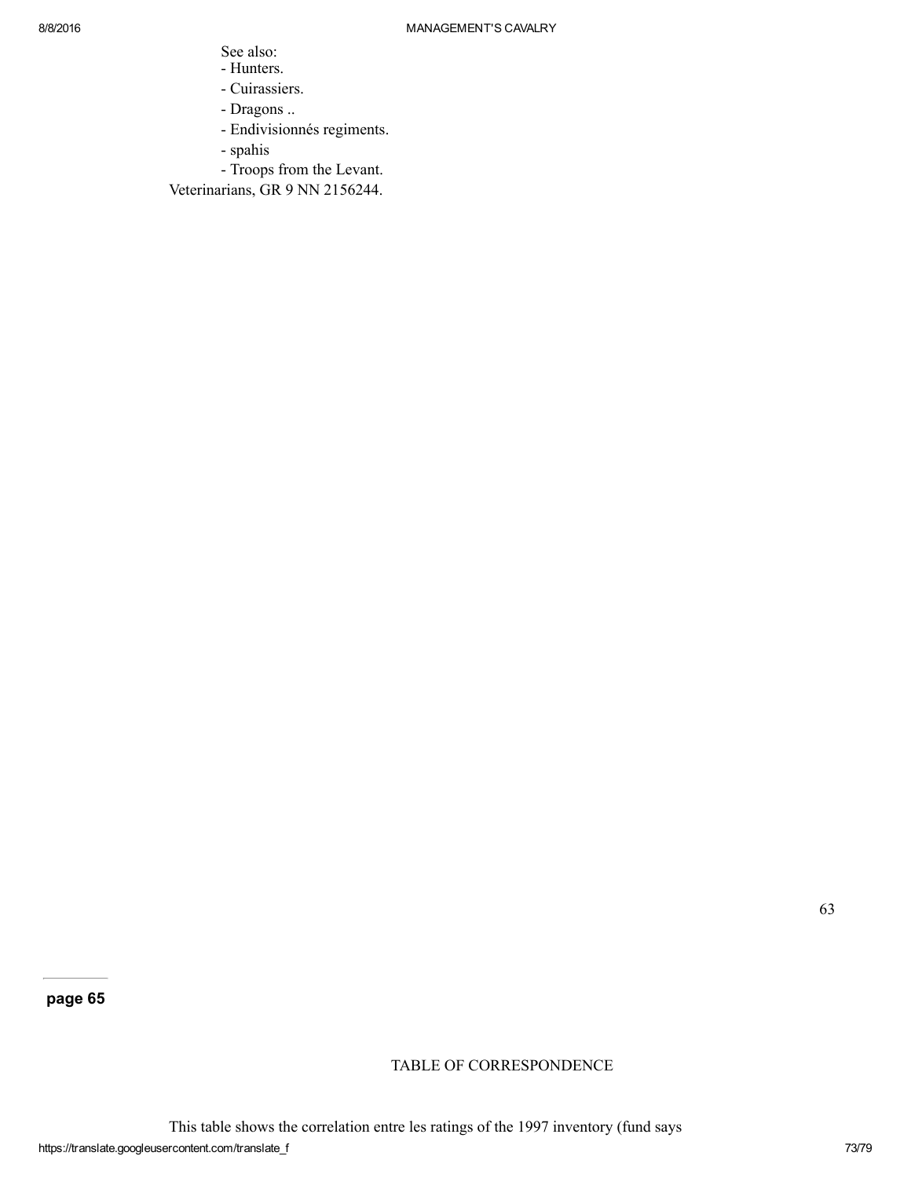- See also:
- Hunters.
- Cuirassiers.
- Dragons ..
- Endivisionnés regiments.
- spahis
- Troops from the Levant.

Veterinarians, GR 9 NN 2156244.

TABLE OF CORRESPONDENCE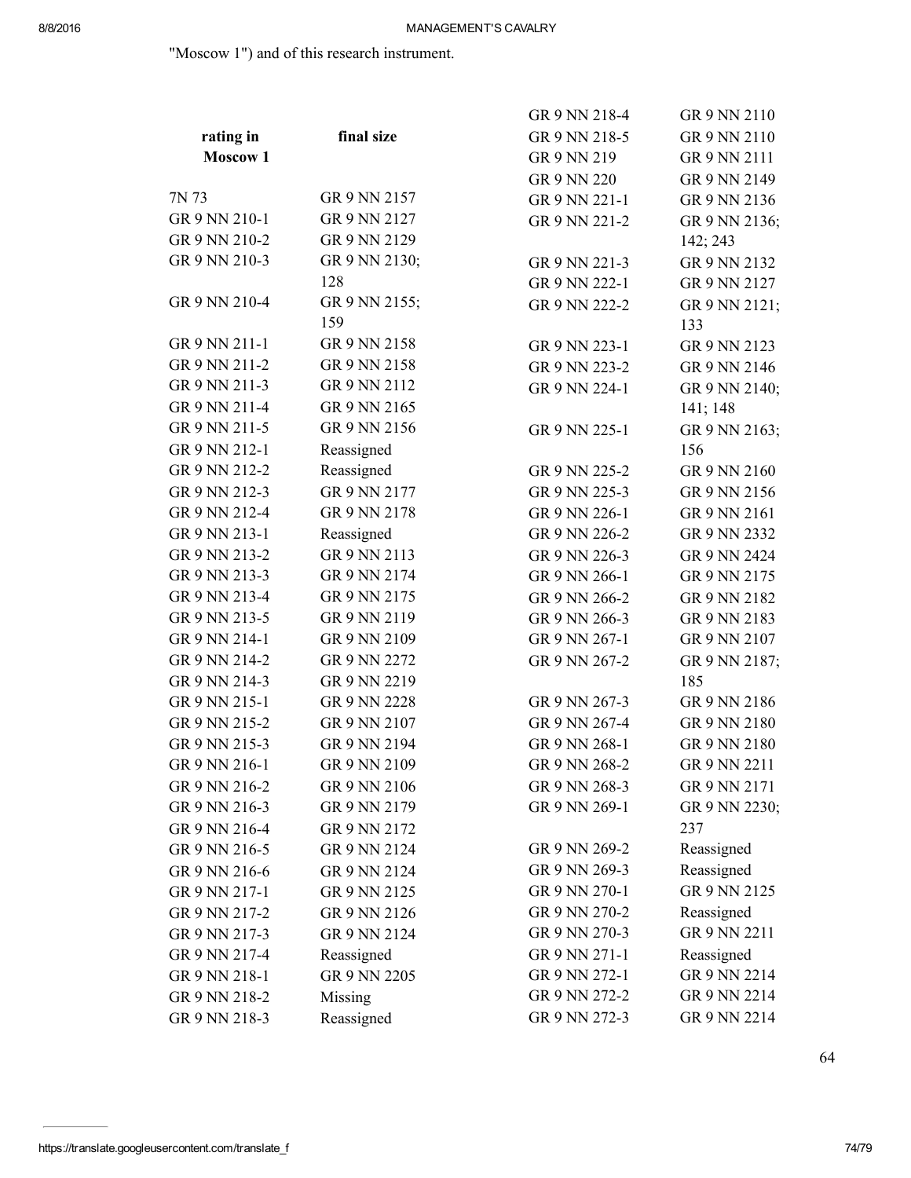"Moscow 1") and of this research instrument.

|                     |               | GR 9 NN 218-4 | GR 9 NN 2110  |
|---------------------|---------------|---------------|---------------|
| rating in           | final size    | GR 9 NN 218-5 | GR 9 NN 2110  |
| Moscow <sub>1</sub> |               | GR 9 NN 219   | GR 9 NN 2111  |
|                     |               | GR 9 NN 220   | GR 9 NN 2149  |
| 7N 73               | GR 9 NN 2157  | GR 9 NN 221-1 | GR 9 NN 2136  |
| GR 9 NN 210-1       | GR 9 NN 2127  | GR 9 NN 221-2 | GR 9 NN 2136; |
| GR 9 NN 210-2       | GR 9 NN 2129  |               | 142; 243      |
| GR 9 NN 210-3       | GR 9 NN 2130; | GR 9 NN 221-3 | GR 9 NN 2132  |
|                     | 128           | GR 9 NN 222-1 | GR 9 NN 2127  |
| GR 9 NN 210-4       | GR 9 NN 2155; | GR 9 NN 222-2 | GR 9 NN 2121; |
|                     | 159           |               | 133           |
| GR 9 NN 211-1       | GR 9 NN 2158  | GR 9 NN 223-1 | GR 9 NN 2123  |
| GR 9 NN 211-2       | GR 9 NN 2158  | GR 9 NN 223-2 | GR 9 NN 2146  |
| GR 9 NN 211-3       | GR 9 NN 2112  | GR 9 NN 224-1 | GR 9 NN 2140; |
| GR 9 NN 211-4       | GR 9 NN 2165  |               | 141; 148      |
| GR 9 NN 211-5       | GR 9 NN 2156  | GR 9 NN 225-1 | GR 9 NN 2163; |
| GR 9 NN 212-1       | Reassigned    |               | 156           |
| GR 9 NN 212-2       | Reassigned    | GR 9 NN 225-2 | GR 9 NN 2160  |
| GR 9 NN 212-3       | GR 9 NN 2177  | GR 9 NN 225-3 | GR 9 NN 2156  |
| GR 9 NN 212-4       | GR 9 NN 2178  | GR 9 NN 226-1 | GR 9 NN 2161  |
| GR 9 NN 213-1       | Reassigned    | GR 9 NN 226-2 | GR 9 NN 2332  |
| GR 9 NN 213-2       | GR 9 NN 2113  | GR 9 NN 226-3 | GR 9 NN 2424  |
| GR 9 NN 213-3       | GR 9 NN 2174  | GR 9 NN 266-1 | GR 9 NN 2175  |
| GR 9 NN 213-4       | GR 9 NN 2175  | GR 9 NN 266-2 | GR 9 NN 2182  |
| GR 9 NN 213-5       | GR 9 NN 2119  | GR 9 NN 266-3 | GR 9 NN 2183  |
| GR 9 NN 214-1       | GR 9 NN 2109  | GR 9 NN 267-1 | GR 9 NN 2107  |
| GR 9 NN 214-2       | GR 9 NN 2272  | GR 9 NN 267-2 | GR 9 NN 2187; |
| GR 9 NN 214-3       | GR 9 NN 2219  |               | 185           |
| GR 9 NN 215-1       | GR 9 NN 2228  | GR 9 NN 267-3 | GR 9 NN 2186  |
| GR 9 NN 215-2       | GR 9 NN 2107  | GR 9 NN 267-4 | GR 9 NN 2180  |
| GR 9 NN 215-3       | GR 9 NN 2194  | GR 9 NN 268-1 | GR 9 NN 2180  |
| GR 9 NN 216-1       | GR 9 NN 2109  | GR 9 NN 268-2 | GR 9 NN 2211  |
| GR 9 NN 216-2       | GR 9 NN 2106  | GR 9 NN 268-3 | GR 9 NN 2171  |
| GR 9 NN 216-3       | GR 9 NN 2179  | GR 9 NN 269-1 | GR 9 NN 2230; |
| GR 9 NN 216-4       | GR 9 NN 2172  |               | 237           |
| GR 9 NN 216-5       | GR 9 NN 2124  | GR 9 NN 269-2 | Reassigned    |
| GR 9 NN 216-6       | GR 9 NN 2124  | GR 9 NN 269-3 | Reassigned    |
| GR 9 NN 217-1       | GR 9 NN 2125  | GR 9 NN 270-1 | GR 9 NN 2125  |
| GR 9 NN 217-2       | GR 9 NN 2126  | GR 9 NN 270-2 | Reassigned    |
| GR 9 NN 217-3       | GR 9 NN 2124  | GR 9 NN 270-3 | GR 9 NN 2211  |
| GR 9 NN 217-4       | Reassigned    | GR 9 NN 271-1 | Reassigned    |
| GR 9 NN 218-1       | GR 9 NN 2205  | GR 9 NN 272-1 | GR 9 NN 2214  |
| GR 9 NN 218-2       | Missing       | GR 9 NN 272-2 | GR 9 NN 2214  |
| GR 9 NN 218-3       | Reassigned    | GR 9 NN 272-3 | GR 9 NN 2214  |
|                     |               |               |               |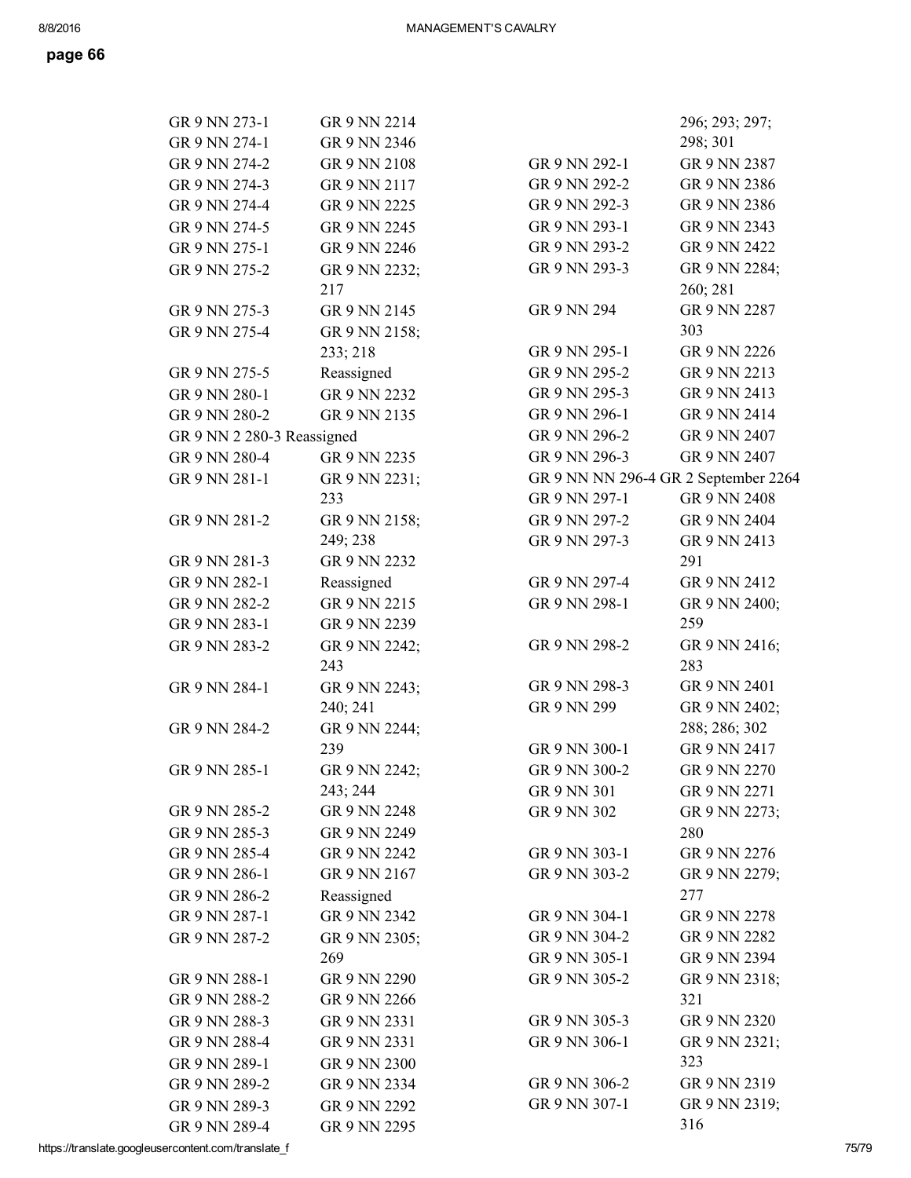| GR 9 NN 273-1              | GR 9 NN 2214  |                                      | 296; 293; 297; |
|----------------------------|---------------|--------------------------------------|----------------|
| GR 9 NN 274-1              | GR 9 NN 2346  |                                      | 298; 301       |
| GR 9 NN 274-2              | GR 9 NN 2108  | GR 9 NN 292-1                        | GR 9 NN 2387   |
| GR 9 NN 274-3              | GR 9 NN 2117  | GR 9 NN 292-2                        | GR 9 NN 2386   |
| GR 9 NN 274-4              | GR 9 NN 2225  | GR 9 NN 292-3                        | GR 9 NN 2386   |
| GR 9 NN 274-5              | GR 9 NN 2245  | GR 9 NN 293-1                        | GR 9 NN 2343   |
| GR 9 NN 275-1              | GR 9 NN 2246  | GR 9 NN 293-2                        | GR 9 NN 2422   |
| GR 9 NN 275-2              | GR 9 NN 2232; | GR 9 NN 293-3                        | GR 9 NN 2284;  |
|                            | 217           |                                      | 260; 281       |
| GR 9 NN 275-3              | GR 9 NN 2145  | GR 9 NN 294                          | GR 9 NN 2287   |
| GR 9 NN 275-4              | GR 9 NN 2158; |                                      | 303            |
|                            | 233; 218      | GR 9 NN 295-1                        | GR 9 NN 2226   |
| GR 9 NN 275-5              | Reassigned    | GR 9 NN 295-2                        | GR 9 NN 2213   |
| GR 9 NN 280-1              | GR 9 NN 2232  | GR 9 NN 295-3                        | GR 9 NN 2413   |
| GR 9 NN 280-2              | GR 9 NN 2135  | GR 9 NN 296-1                        | GR 9 NN 2414   |
| GR 9 NN 2 280-3 Reassigned |               | GR 9 NN 296-2                        | GR 9 NN 2407   |
| GR 9 NN 280-4              | GR 9 NN 2235  | GR 9 NN 296-3                        | GR 9 NN 2407   |
| GR 9 NN 281-1              | GR 9 NN 2231; | GR 9 NN NN 296-4 GR 2 September 2264 |                |
|                            | 233           | GR 9 NN 297-1                        | GR 9 NN 2408   |
| GR 9 NN 281-2              | GR 9 NN 2158; | GR 9 NN 297-2                        | GR 9 NN 2404   |
|                            | 249; 238      | GR 9 NN 297-3                        | GR 9 NN 2413   |
| GR 9 NN 281-3              | GR 9 NN 2232  |                                      | 291            |
| GR 9 NN 282-1              | Reassigned    | GR 9 NN 297-4                        | GR 9 NN 2412   |
| GR 9 NN 282-2              | GR 9 NN 2215  | GR 9 NN 298-1                        | GR 9 NN 2400;  |
| GR 9 NN 283-1              | GR 9 NN 2239  |                                      | 259            |
| GR 9 NN 283-2              | GR 9 NN 2242; | GR 9 NN 298-2                        | GR 9 NN 2416;  |
|                            | 243           |                                      | 283            |
| GR 9 NN 284-1              | GR 9 NN 2243; | GR 9 NN 298-3                        | GR 9 NN 2401   |
|                            | 240; 241      | GR 9 NN 299                          | GR 9 NN 2402;  |
| GR 9 NN 284-2              | GR 9 NN 2244; |                                      | 288; 286; 302  |
|                            | 239           | GR 9 NN 300-1                        | GR 9 NN 2417   |
| GR 9 NN 285-1              | GR 9 NN 2242; | GR 9 NN 300-2                        | GR 9 NN 2270   |
|                            | 243; 244      | GR 9 NN 301                          | GR 9 NN 2271   |
| GR 9 NN 285-2              | GR 9 NN 2248  | GR 9 NN 302                          | GR 9 NN 2273;  |
| GR 9 NN 285-3              | GR 9 NN 2249  |                                      | 280            |
| GR 9 NN 285-4              | GR 9 NN 2242  | GR 9 NN 303-1                        | GR 9 NN 2276   |
| GR 9 NN 286-1              | GR 9 NN 2167  | GR 9 NN 303-2                        | GR 9 NN 2279;  |
| GR 9 NN 286-2              | Reassigned    |                                      | 277            |
| GR 9 NN 287-1              | GR 9 NN 2342  | GR 9 NN 304-1                        | GR 9 NN 2278   |
| GR 9 NN 287-2              | GR 9 NN 2305; | GR 9 NN 304-2                        | GR 9 NN 2282   |
|                            | 269           | GR 9 NN 305-1                        | GR 9 NN 2394   |
| GR 9 NN 288-1              | GR 9 NN 2290  | GR 9 NN 305-2                        | GR 9 NN 2318;  |
| GR 9 NN 288-2              | GR 9 NN 2266  |                                      | 321            |
| GR 9 NN 288-3              | GR 9 NN 2331  | GR 9 NN 305-3                        | GR 9 NN 2320   |
| GR 9 NN 288-4              | GR 9 NN 2331  | GR 9 NN 306-1                        | GR 9 NN 2321;  |
| GR 9 NN 289-1              | GR 9 NN 2300  |                                      | 323            |
| GR 9 NN 289-2              | GR 9 NN 2334  | GR 9 NN 306-2                        | GR 9 NN 2319   |
| GR 9 NN 289-3              | GR 9 NN 2292  | GR 9 NN 307-1                        | GR 9 NN 2319;  |
| GR 9 NN 289-4              | GR 9 NN 2295  |                                      | 316            |

https://translate.googleusercontent.com/translate\_f 75/79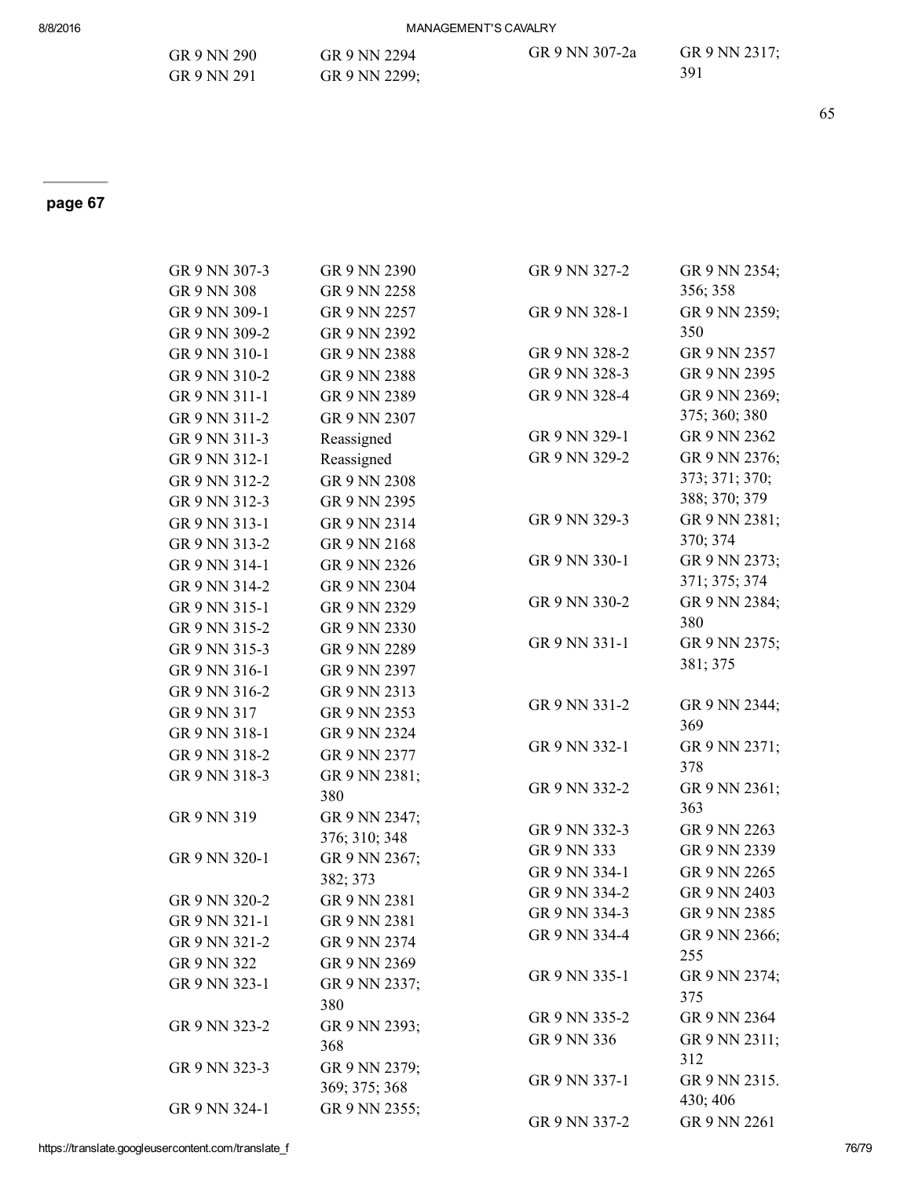## 8/8/2016 MANAGEMENT'S CAVALRY

| GR 9 NN 290 | GR 9 NN 2294  | GR 9 NN 307-2a | GR 9 NN 2317; |
|-------------|---------------|----------------|---------------|
| GR 9 NN 291 | GR 9 NN 2299; |                | 391           |

## page 67

| GR 9 NN 307-3 | GR 9 NN 2390  | GR 9 NN 327-2 | GR 9 NN 2354;  |
|---------------|---------------|---------------|----------------|
| GR 9 NN 308   | GR 9 NN 2258  |               | 356; 358       |
| GR 9 NN 309-1 | GR 9 NN 2257  | GR 9 NN 328-1 | GR 9 NN 2359;  |
| GR 9 NN 309-2 | GR 9 NN 2392  |               | 350            |
| GR 9 NN 310-1 | GR 9 NN 2388  | GR 9 NN 328-2 | GR 9 NN 2357   |
| GR 9 NN 310-2 | GR 9 NN 2388  | GR 9 NN 328-3 | GR 9 NN 2395   |
| GR 9 NN 311-1 | GR 9 NN 2389  | GR 9 NN 328-4 | GR 9 NN 2369;  |
| GR 9 NN 311-2 | GR 9 NN 2307  |               | 375; 360; 380  |
| GR 9 NN 311-3 | Reassigned    | GR 9 NN 329-1 | GR 9 NN 2362   |
| GR 9 NN 312-1 | Reassigned    | GR 9 NN 329-2 | GR 9 NN 2376;  |
| GR 9 NN 312-2 | GR 9 NN 2308  |               | 373; 371; 370; |
| GR 9 NN 312-3 | GR 9 NN 2395  |               | 388; 370; 379  |
| GR 9 NN 313-1 | GR 9 NN 2314  | GR 9 NN 329-3 | GR 9 NN 2381;  |
| GR 9 NN 313-2 | GR 9 NN 2168  |               | 370; 374       |
| GR 9 NN 314-1 | GR 9 NN 2326  | GR 9 NN 330-1 | GR 9 NN 2373;  |
| GR 9 NN 314-2 | GR 9 NN 2304  |               | 371; 375; 374  |
| GR 9 NN 315-1 | GR 9 NN 2329  | GR 9 NN 330-2 | GR 9 NN 2384;  |
| GR 9 NN 315-2 | GR 9 NN 2330  |               | 380            |
| GR 9 NN 315-3 | GR 9 NN 2289  | GR 9 NN 331-1 | GR 9 NN 2375;  |
| GR 9 NN 316-1 | GR 9 NN 2397  |               | 381; 375       |
| GR 9 NN 316-2 | GR 9 NN 2313  |               |                |
| GR 9 NN 317   | GR 9 NN 2353  | GR 9 NN 331-2 | GR 9 NN 2344;  |
| GR 9 NN 318-1 | GR 9 NN 2324  |               | 369            |
| GR 9 NN 318-2 | GR 9 NN 2377  | GR 9 NN 332-1 | GR 9 NN 2371;  |
| GR 9 NN 318-3 | GR 9 NN 2381; |               | 378            |
|               | 380           | GR 9 NN 332-2 | GR 9 NN 2361;  |
| GR 9 NN 319   | GR 9 NN 2347; |               | 363            |
|               | 376; 310; 348 | GR 9 NN 332-3 | GR 9 NN 2263   |
| GR 9 NN 320-1 | GR 9 NN 2367; | GR 9 NN 333   | GR 9 NN 2339   |
|               | 382; 373      | GR 9 NN 334-1 | GR 9 NN 2265   |
| GR 9 NN 320-2 | GR 9 NN 2381  | GR 9 NN 334-2 | GR 9 NN 2403   |
| GR 9 NN 321-1 | GR 9 NN 2381  | GR 9 NN 334-3 | GR 9 NN 2385   |
| GR 9 NN 321-2 | GR 9 NN 2374  | GR 9 NN 334-4 | GR 9 NN 2366;  |
| GR 9 NN 322   | GR 9 NN 2369  |               | 255            |
| GR 9 NN 323-1 | GR 9 NN 2337; | GR 9 NN 335-1 | GR 9 NN 2374;  |
|               | 380           |               | 375            |
| GR 9 NN 323-2 | GR 9 NN 2393; | GR 9 NN 335-2 | GR 9 NN 2364   |
|               | 368           | GR 9 NN 336   | GR 9 NN 2311;  |
| GR 9 NN 323-3 | GR 9 NN 2379; |               | 312            |
|               | 369; 375; 368 | GR 9 NN 337-1 | GR 9 NN 2315.  |
| GR 9 NN 324-1 | GR 9 NN 2355; |               | 430; 406       |
|               |               | GR 9 NN 337-2 | GR 9 NN 2261   |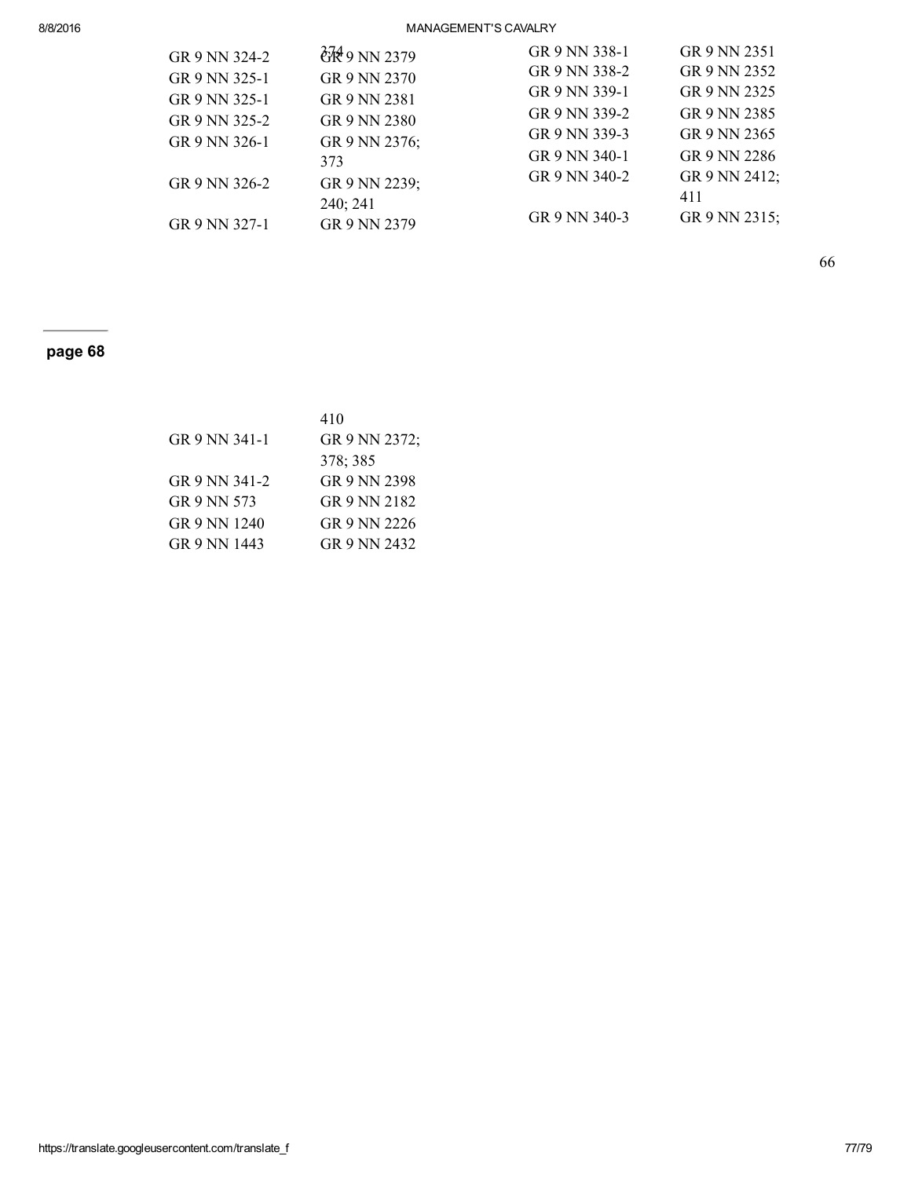## 8/8/2016 MANAGEMENT'S CAVALRY

| GR 9 NN 324-2 | $\frac{274}{10}$ 9 NN 2379 | GR 9 NN 338-1 | GR 9 NN 2351  |
|---------------|----------------------------|---------------|---------------|
| GR 9 NN 325-1 | GR 9 NN 2370               | GR 9 NN 338-2 | GR 9 NN 2352  |
| GR 9 NN 325-1 | GR 9 NN 2381               | GR 9 NN 339-1 | GR 9 NN 2325  |
| GR 9 NN 325-2 | GR 9 NN 2380               | GR 9 NN 339-2 | GR 9 NN 2385  |
| GR 9 NN 326-1 | GR 9 NN 2376;              | GR 9 NN 339-3 | GR 9 NN 2365  |
|               | 373                        | GR 9 NN 340-1 | GR 9 NN 2286  |
| GR 9 NN 326-2 | GR 9 NN 2239;              | GR 9 NN 340-2 | GR 9 NN 2412; |
|               | 240; 241                   |               | 411           |
| GR 9 NN 327-1 | GR 9 NN 2379               | GR 9 NN 340-3 | GR 9 NN 2315; |
|               |                            |               |               |

66

## page 68

|               | 410           |
|---------------|---------------|
| GR 9 NN 341-1 | GR 9 NN 2372; |
|               | 378; 385      |
| GR 9 NN 341-2 | GR 9 NN 2398  |
| GR 9 NN 573   | GR 9 NN 2182  |
| GR 9 NN 1240  | GR 9 NN 2226  |
| GR 9 NN 1443  | GR 9 NN 2432  |
|               |               |